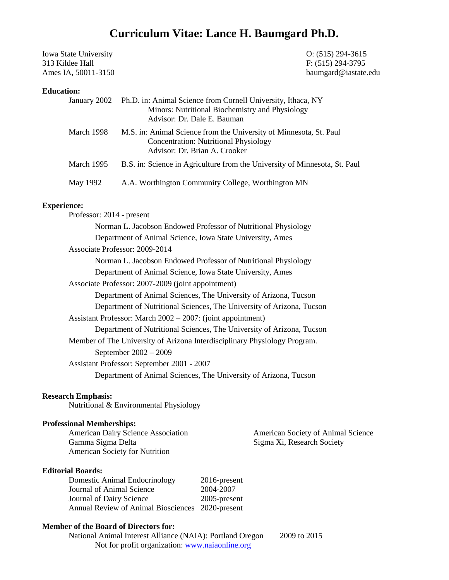# **Curriculum Vitae: Lance H. Baumgard Ph.D.**

Iowa State University O: (515) 294-3615 313 Kildee Hall F: (515) 294-3795

Ames IA, 50011-3150 baumgard@iastate.edu

#### **Education:**

|            | January 2002 Ph.D. in: Animal Science from Cornell University, Ithaca, NY<br>Minors: Nutritional Biochemistry and Physiology<br>Advisor: Dr. Dale E. Bauman |
|------------|-------------------------------------------------------------------------------------------------------------------------------------------------------------|
| March 1998 | M.S. in: Animal Science from the University of Minnesota, St. Paul<br><b>Concentration: Nutritional Physiology</b><br>Advisor: Dr. Brian A. Crooker         |
| March 1995 | B.S. in: Science in Agriculture from the University of Minnesota, St. Paul                                                                                  |
| May 1992   | A.A. Worthington Community College, Worthington MN                                                                                                          |

### **Experience:**

| Professor: 2014 - present                                                 |
|---------------------------------------------------------------------------|
| Norman L. Jacobson Endowed Professor of Nutritional Physiology            |
| Department of Animal Science, Iowa State University, Ames                 |
| Associate Professor: 2009-2014                                            |
| Norman L. Jacobson Endowed Professor of Nutritional Physiology            |
| Department of Animal Science, Iowa State University, Ames                 |
| Associate Professor: 2007-2009 (joint appointment)                        |
| Department of Animal Sciences, The University of Arizona, Tucson          |
| Department of Nutritional Sciences, The University of Arizona, Tucson     |
| Assistant Professor: March $2002 - 2007$ : (joint appointment)            |
| Department of Nutritional Sciences, The University of Arizona, Tucson     |
| Member of The University of Arizona Interdisciplinary Physiology Program. |
| September $2002 - 2009$                                                   |
| Assistant Professor: September 2001 - 2007                                |
| Department of Animal Sciences, The University of Arizona, Tucson          |
|                                                                           |

### **Research Emphasis:**

Nutritional & Environmental Physiology

### **Professional Memberships:**

American Dairy Science Association<br>
Gamma Sigma Delta<br>
Sigma Xi, Research Society American Society for Nutrition

Sigma Xi, Research Society

#### **Editorial Boards:**

| <b>Domestic Animal Endocrinology</b>             | $2016$ -present |
|--------------------------------------------------|-----------------|
| Journal of Animal Science                        | 2004-2007       |
| Journal of Dairy Science                         | 2005-present    |
| Annual Review of Animal Biosciences 2020-present |                 |

### **Member of the Board of Directors for:**

National Animal Interest Alliance (NAIA): Portland Oregon 2009 to 2015 Not for profit organization: [www.naiaonline.org](http://www.naiaonline.org/)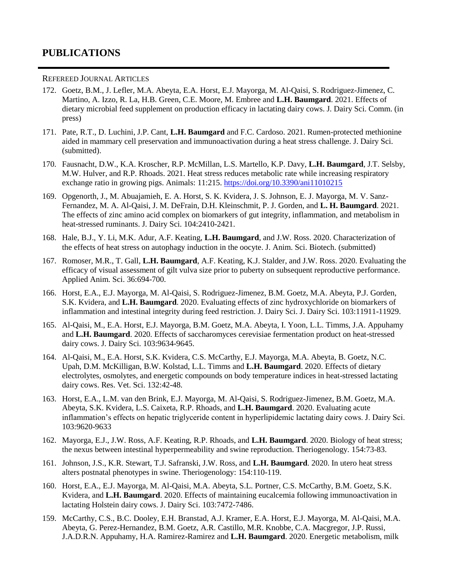### **PUBLICATIONS**

#### REFEREED JOURNAL ARTICLES

- 172. Goetz, B.M., J. Lefler, M.A. Abeyta, E.A. Horst, E.J. Mayorga, M. Al-Qaisi, S. Rodriguez-Jimenez, C. Martino, A. Izzo, R. La, H.B. Green, C.E. Moore, M. Embree and **L.H. Baumgard**. 2021. Effects of dietary microbial feed supplement on production efficacy in lactating dairy cows. J. Dairy Sci. Comm. (in press)
- 171. Pate, R.T., D. Luchini, J.P. Cant, **L.H. Baumgard** and F.C. Cardoso. 2021. Rumen-protected methionine aided in mammary cell preservation and immunoactivation during a heat stress challenge. J. Dairy Sci. (submitted).
- 170. Fausnacht, D.W., K.A. Kroscher, R.P. McMillan, L.S. Martello, K.P. Davy, **L.H. Baumgard**, J.T. Selsby, M.W. Hulver, and R.P. Rhoads. 2021. Heat stress reduces metabolic rate while increasing respiratory exchange ratio in growing pigs. Animals: 11:215.<https://doi.org/10.3390/ani11010215>
- 169. Opgenorth, J., M. Abuajamieh, E. A. Horst, S. K. Kvidera, J. S. Johnson, E. J. Mayorga, M. V. Sanz-Fernandez, M. A. Al-Qaisi, J. M. DeFrain, D.H. Kleinschmit, P. J. Gorden, and **L. H. Baumgard**. 2021. The effects of zinc amino acid complex on biomarkers of gut integrity, inflammation, and metabolism in heat-stressed ruminants. J. Dairy Sci. 104:2410-2421.
- 168. Hale, B.J., Y. Li, M.K. Adur, A.F. Keating, **L.H. Baumgard**, and J.W. Ross. 2020. Characterization of the effects of heat stress on autophagy induction in the oocyte. J. Anim. Sci. Biotech. (submitted)
- 167. Romoser, M.R., T. Gall, **L.H. Baumgard**, A.F. Keating, K.J. Stalder, and J.W. Ross. 2020. Evaluating the efficacy of visual assessment of gilt vulva size prior to puberty on subsequent reproductive performance. Applied Anim. Sci. 36:694-700.
- 166. Horst, E.A., E.J. Mayorga, M. Al-Qaisi, S. Rodriguez-Jimenez, B.M. Goetz, M.A. Abeyta, P.J. Gorden, S.K. Kvidera, and **L.H. Baumgard**. 2020. Evaluating effects of zinc hydroxychloride on biomarkers of inflammation and intestinal integrity during feed restriction. J. Dairy Sci. J. Dairy Sci. 103:11911-11929.
- 165. Al-Qaisi, M., E.A. Horst, E.J. Mayorga, B.M. Goetz, M.A. Abeyta, I. Yoon, L.L. Timms, J.A. Appuhamy and **L.H. Baumgard**. 2020. Effects of saccharomyces cerevisiae fermentation product on heat-stressed dairy cows. J. Dairy Sci. 103:9634-9645.
- 164. Al-Qaisi, M., E.A. Horst, S.K. Kvidera, C.S. McCarthy, E.J. Mayorga, M.A. Abeyta, B. Goetz, N.C. Upah, D.M. McKilligan, B.W. Kolstad, L.L. Timms and **L.H. Baumgard**. 2020. Effects of dietary electrolytes, osmolytes, and energetic compounds on body temperature indices in heat-stressed lactating dairy cows. Res. Vet. Sci. 132:42-48.
- 163. Horst, E.A., L.M. van den Brink, E.J. Mayorga, M. Al-Qaisi, S. Rodriguez-Jimenez, B.M. Goetz, M.A. Abeyta, S.K. Kvidera, L.S. Caixeta, R.P. Rhoads, and **L.H. Baumgard**. 2020. Evaluating acute inflammation's effects on hepatic triglyceride content in hyperlipidemic lactating dairy cows. J. Dairy Sci. 103:9620-9633
- 162. Mayorga, E.J., J.W. Ross, A.F. Keating, R.P. Rhoads, and **L.H. Baumgard**. 2020. Biology of heat stress; the nexus between intestinal hyperpermeability and swine reproduction. Theriogenology. 154:73-83.
- 161. Johnson, J.S., K.R. Stewart, T.J. Safranski, J.W. Ross, and **L.H. Baumgard**. 2020. In utero heat stress alters postnatal phenotypes in swine. Theriogenology: 154:110-119.
- 160. Horst, E.A., E.J. Mayorga, M. Al-Qaisi, M.A. Abeyta, S.L. Portner, C.S. McCarthy, B.M. Goetz, S.K. Kvidera, and **L.H. Baumgard**. 2020. Effects of maintaining eucalcemia following immunoactivation in lactating Holstein dairy cows. J. Dairy Sci. 103:7472-7486.
- 159. McCarthy, C.S., B.C. Dooley, E.H. Branstad, A.J. Kramer, E.A. Horst, E.J. Mayorga, M. Al-Qaisi, M.A. Abeyta, G. Perez-Hernandez, B.M. Goetz, A.R. Castillo, M.R. Knobbe, C.A. Macgregor, J.P. Russi, J.A.D.R.N. Appuhamy, H.A. Ramirez-Ramirez and **L.H. Baumgard**. 2020. Energetic metabolism, milk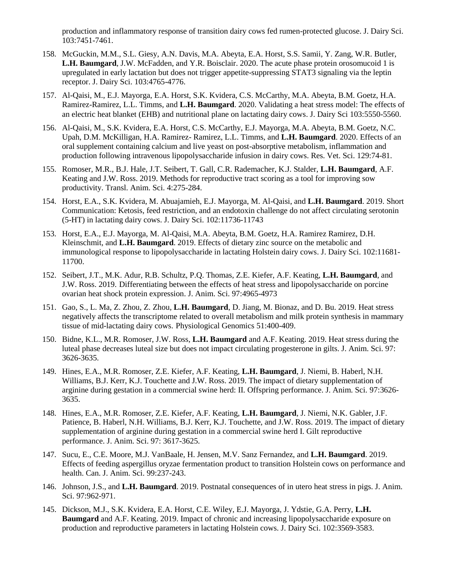production and inflammatory response of transition dairy cows fed rumen-protected glucose. J. Dairy Sci. 103:7451-7461.

- 158. McGuckin, M.M., S.L. Giesy, A.N. Davis, M.A. Abeyta, E.A. Horst, S.S. Samii, Y. Zang, W.R. Butler, **L.H. Baumgard**, J.W. McFadden, and Y.R. Boisclair. 2020. The acute phase protein orosomucoid 1 is upregulated in early lactation but does not trigger appetite-suppressing STAT3 signaling via the leptin receptor. J. Dairy Sci. 103:4765-4776.
- 157. Al-Qaisi, M., E.J. Mayorga, E.A. Horst, S.K. Kvidera, C.S. McCarthy, M.A. Abeyta, B.M. Goetz, H.A. Ramirez-Ramirez, L.L. Timms, and **L.H. Baumgard**. 2020. Validating a heat stress model: The effects of an electric heat blanket (EHB) and nutritional plane on lactating dairy cows. J. Dairy Sci 103:5550-5560.
- 156. Al-Qaisi, M., S.K. Kvidera, E.A. Horst, C.S. McCarthy, E.J. Mayorga, M.A. Abeyta, B.M. Goetz, N.C. Upah, D.M. McKilligan, H.A. Ramirez- Ramirez, L.L. Timms, and **L.H. Baumgard**. 2020. Effects of an oral supplement containing calcium and live yeast on post-absorptive metabolism, inflammation and production following intravenous lipopolysaccharide infusion in dairy cows. Res. Vet. Sci. 129:74-81.
- 155. Romoser, M.R., B.J. Hale, J.T. Seibert, T. Gall, C.R. Rademacher, K.J. Stalder, **L.H. Baumgard**, A.F. Keating and J.W. Ross. 2019. Methods for reproductive tract scoring as a tool for improving sow productivity. Transl. Anim. Sci. 4:275-284.
- 154. Horst, E.A., S.K. Kvidera, M. Abuajamieh, E.J. Mayorga, M. Al-Qaisi, and **L.H. Baumgard**. 2019. Short Communication: Ketosis, feed restriction, and an endotoxin challenge do not affect circulating serotonin (5-HT) in lactating dairy cows. J. Dairy Sci. 102:11736-11743
- 153. Horst, E.A., E.J. Mayorga, M. Al-Qaisi, M.A. Abeyta, B.M. Goetz, H.A. Ramirez Ramirez, D.H. Kleinschmit, and **L.H. Baumgard**. 2019. Effects of dietary zinc source on the metabolic and immunological response to lipopolysaccharide in lactating Holstein dairy cows. J. Dairy Sci. 102:11681- 11700.
- 152. Seibert, J.T., M.K. Adur, R.B. Schultz, P.Q. Thomas, Z.E. Kiefer, A.F. Keating, **L.H. Baumgard**, and J.W. Ross. 2019. Differentiating between the effects of heat stress and lipopolysaccharide on porcine ovarian heat shock protein expression. J. Anim. Sci. 97:4965-4973
- 151. Gao, S., L. Ma, Z. Zhou, Z. Zhou, **L.H. Baumgard**, D. Jiang, M. Bionaz, and D. Bu. 2019. Heat stress negatively affects the transcriptome related to overall metabolism and milk protein synthesis in mammary tissue of mid-lactating dairy cows. Physiological Genomics 51:400-409.
- 150. Bidne, K.L., M.R. Romoser, J.W. Ross, **L.H. Baumgard** and A.F. Keating. 2019. Heat stress during the luteal phase decreases luteal size but does not impact circulating progesterone in gilts. J. Anim. Sci. 97: 3626-3635.
- 149. Hines, E.A., M.R. Romoser, Z.E. Kiefer, A.F. Keating, **L.H. Baumgard**, J. Niemi, B. Haberl, N.H. Williams, B.J. Kerr, K.J. Touchette and J.W. Ross. 2019. The impact of dietary supplementation of arginine during gestation in a commercial swine herd: II. Offspring performance. J. Anim. Sci. 97:3626- 3635.
- 148. Hines, E.A., M.R. Romoser, Z.E. Kiefer, A.F. Keating, **L.H. Baumgard**, J. Niemi, N.K. Gabler, J.F. Patience, B. Haberl, N.H. Williams, B.J. Kerr, K.J. Touchette, and J.W. Ross. 2019. The impact of dietary supplementation of arginine during gestation in a commercial swine herd I. Gilt reproductive performance. J. Anim. Sci. 97: 3617-3625.
- 147. Sucu, E., C.E. Moore, M.J. VanBaale, H. Jensen, M.V. Sanz Fernandez, and **L.H. Baumgard**. 2019. Effects of feeding aspergillus oryzae fermentation product to transition Holstein cows on performance and health. Can. J. Anim. Sci. 99:237-243.
- 146. Johnson, J.S., and **L.H. Baumgard**. 2019. Postnatal consequences of in utero heat stress in pigs. J. Anim. Sci. 97:962-971.
- 145. Dickson, M.J., S.K. Kvidera, E.A. Horst, C.E. Wiley, E.J. Mayorga, J. Ydstie, G.A. Perry, **L.H. Baumgard** and A.F. Keating. 2019. Impact of chronic and increasing lipopolysaccharide exposure on production and reproductive parameters in lactating Holstein cows. J. Dairy Sci. 102:3569-3583.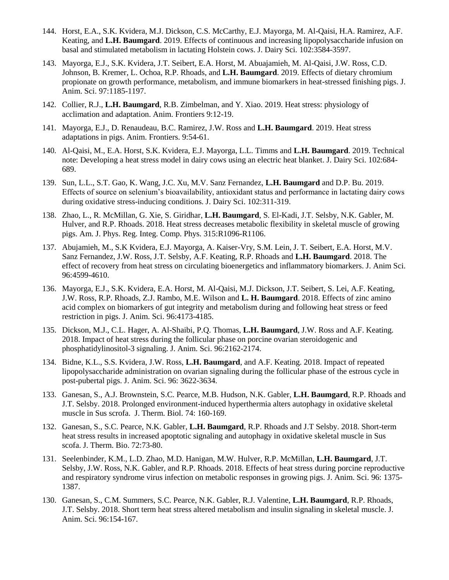- 144. Horst, E.A., S.K. Kvidera, M.J. Dickson, C.S. McCarthy, E.J. Mayorga, M. Al-Qaisi, H.A. Ramirez, A.F. Keating, and **L.H. Baumgard**. 2019. Effects of continuous and increasing lipopolysaccharide infusion on basal and stimulated metabolism in lactating Holstein cows. J. Dairy Sci. 102:3584-3597.
- 143. Mayorga, E.J., S.K. Kvidera, J.T. Seibert, E.A. Horst, M. Abuajamieh, M. Al-Qaisi, J.W. Ross, C.D. Johnson, B. Kremer, L. Ochoa, R.P. Rhoads, and **L.H. Baumgard**. 2019. Effects of dietary chromium propionate on growth performance, metabolism, and immune biomarkers in heat-stressed finishing pigs. J. Anim. Sci. 97:1185-1197.
- 142. Collier, R.J., **L.H. Baumgard**, R.B. Zimbelman, and Y. Xiao. 2019. Heat stress: physiology of acclimation and adaptation. Anim. Frontiers 9:12-19.
- 141. Mayorga, E.J., D. Renaudeau, B.C. Ramirez, J.W. Ross and **L.H. Baumgard**. 2019. Heat stress adaptations in pigs. Anim. Frontiers. 9:54-61.
- 140. Al-Qaisi, M., E.A. Horst, S.K. Kvidera, E.J. Mayorga, L.L. Timms and **L.H. Baumgard**. 2019. Technical note: Developing a heat stress model in dairy cows using an electric heat blanket. J. Dairy Sci. 102:684- 689.
- 139. Sun, L.L., S.T. Gao, K. Wang, J.C. Xu, M.V. Sanz Fernandez, **L.H. Baumgard** and D.P. Bu. 2019. Effects of source on selenium's bioavailability, antioxidant status and performance in lactating dairy cows during oxidative stress-inducing conditions. J. Dairy Sci. 102:311-319.
- 138. Zhao, L., R. McMillan, G. Xie, S. Giridhar, **L.H. Baumgard**, S. El-Kadi, J.T. Selsby, N.K. Gabler, M. Hulver, and R.P. Rhoads. 2018. Heat stress decreases metabolic flexibility in skeletal muscle of growing pigs. Am. J. Phys. Reg. Integ. Comp. Phys. 315:R1096-R1106.
- 137. Abujamieh, M., S.K Kvidera, E.J. Mayorga, A. Kaiser-Vry, S.M. Lein, J. T. Seibert, E.A. Horst, M.V. Sanz Fernandez, J.W. Ross, J.T. Selsby, A.F. Keating, R.P. Rhoads and **L.H. Baumgard**. 2018. The effect of recovery from heat stress on circulating bioenergetics and inflammatory biomarkers. J. Anim Sci. 96:4599-4610.
- 136. Mayorga, E.J., S.K. Kvidera, E.A. Horst, M. Al-Qaisi, M.J. Dickson, J.T. Seibert, S. Lei, A.F. Keating, J.W. Ross, R.P. Rhoads, Z.J. Rambo, M.E. Wilson and **L. H. Baumgard**. 2018. Effects of zinc amino acid complex on biomarkers of gut integrity and metabolism during and following heat stress or feed restriction in pigs. J. Anim. Sci. 96:4173-4185.
- 135. Dickson, M.J., C.L. Hager, A. Al-Shaibi, P.Q. Thomas, **L.H. Baumgard**, J.W. Ross and A.F. Keating. 2018. Impact of heat stress during the follicular phase on porcine ovarian steroidogenic and phosphatidylinositol-3 signaling. J. Anim. Sci. 96:2162-2174.
- 134. Bidne, K.L., S.S. Kvidera, J.W. Ross, **L.H. Baumgard**, and A.F. Keating. 2018. Impact of repeated lipopolysaccharide administration on ovarian signaling during the follicular phase of the estrous cycle in post-pubertal pigs. J. Anim. Sci. 96: 3622-3634.
- 133. Ganesan, S., A.J. Brownstein, S.C. Pearce, M.B. Hudson, N.K. Gabler, **L.H. Baumgard**, R.P. Rhoads and J.T. Selsby. 2018. Prolonged environment-induced hyperthermia alters autophagy in oxidative skeletal muscle in Sus scrofa. J. Therm. Biol. 74: 160-169.
- 132. Ganesan, S., S.C. Pearce, N.K. Gabler, **L.H. Baumgard**, R.P. Rhoads and J.T Selsby. 2018. Short-term heat stress results in increased apoptotic signaling and autophagy in oxidative skeletal muscle in Sus scofa. J. Therm. Bio. 72:73-80.
- 131. Seelenbinder, K.M., L.D. Zhao, M.D. Hanigan, M.W. Hulver, R.P. McMillan, **L.H. Baumgard**, J.T. Selsby, J.W. Ross, N.K. Gabler, and R.P. Rhoads. 2018. Effects of heat stress during porcine reproductive and respiratory syndrome virus infection on metabolic responses in growing pigs. J. Anim. Sci. 96: 1375- 1387.
- 130. Ganesan, S., C.M. Summers, S.C. Pearce, N.K. Gabler, R.J. Valentine, **L.H. Baumgard**, R.P. Rhoads, J.T. Selsby. 2018. Short term heat stress altered metabolism and insulin signaling in skeletal muscle. J. Anim. Sci. 96:154-167.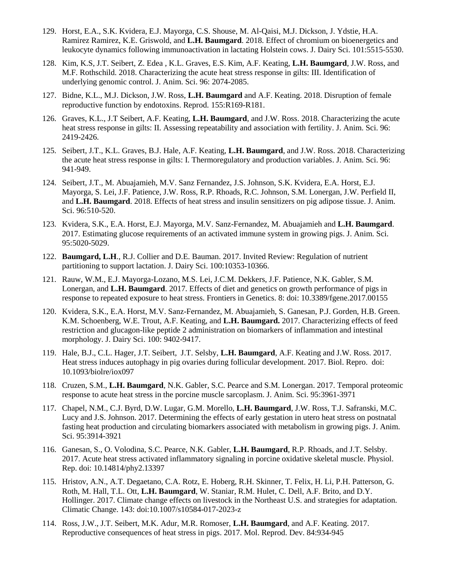- 129. Horst, E.A., S.K. Kvidera, E.J. Mayorga, C.S. Shouse, M. Al-Qaisi, M.J. Dickson, J. Ydstie, H.A. Ramirez Ramirez, K.E. Griswold, and **L.H. Baumgard**. 2018. Effect of chromium on bioenergetics and leukocyte dynamics following immunoactivation in lactating Holstein cows. J. Dairy Sci. 101:5515-5530.
- 128. Kim, K.S, J.T. Seibert, Z. Edea , K.L. Graves, E.S. Kim, A.F. Keating, **L.H. Baumgard**, J.W. Ross, and M.F. Rothschild. 2018. Characterizing the acute heat stress response in gilts: III. Identification of underlying genomic control. J. Anim. Sci. 96: 2074-2085.
- 127. Bidne, K.L., M.J. Dickson, J.W. Ross, **L.H. Baumgard** and A.F. Keating. 2018. Disruption of female reproductive function by endotoxins. Reprod. 155:R169-R181.
- 126. Graves, K.L., J.T Seibert, A.F. Keating, **L.H. Baumgard**, and J.W. Ross. 2018. Characterizing the acute heat stress response in gilts: II. Assessing repeatability and association with fertility. J. Anim. Sci. 96: 2419-2426.
- 125. Seibert, J.T., K.L. Graves, B.J. Hale, A.F. Keating, **L.H. Baumgard**, and J.W. Ross. 2018. Characterizing the acute heat stress response in gilts: I. Thermoregulatory and production variables. J. Anim. Sci. 96: 941-949.
- 124. Seibert, J.T., M. Abuajamieh, M.V. Sanz Fernandez, J.S. Johnson, S.K. Kvidera, E.A. Horst, E.J. Mayorga, S. Lei, J.F. Patience, J.W. Ross, R.P. Rhoads, R.C. Johnson, S.M. Lonergan, J.W. Perfield II, and **L.H. Baumgard**. 2018. Effects of heat stress and insulin sensitizers on pig adipose tissue. J. Anim. Sci. 96:510-520.
- 123. Kvidera, S.K., E.A. Horst, E.J. Mayorga, M.V. Sanz-Fernandez, M. Abuajamieh and **L.H. Baumgard**. 2017. Estimating glucose requirements of an activated immune system in growing pigs. J. Anim. Sci. 95:5020-5029.
- 122. **Baumgard, L.H**., R.J. Collier and D.E. Bauman. 2017. Invited Review: Regulation of nutrient partitioning to support lactation. J. Dairy Sci. 100:10353-10366.
- 121. Rauw, W.M., E.J. Mayorga-Lozano, M.S. Lei, J.C.M. Dekkers, J.F. Patience, N.K. Gabler, S.M. Lonergan, and **L.H. Baumgard**. 2017. Effects of diet and genetics on growth performance of pigs in response to repeated exposure to heat stress. Frontiers in Genetics. 8: doi: 10.3389/fgene.2017.00155
- 120. Kvidera, S.K., E.A. Horst, M.V. Sanz-Fernandez, M. Abuajamieh, S. Ganesan, P.J. Gorden, H.B. Green. K.M. Schoenberg, W.E. Trout, A.F. Keating, and **L.H. Baumgard.** 2017. Characterizing effects of feed restriction and glucagon-like peptide 2 administration on biomarkers of inflammation and intestinal morphology. J. Dairy Sci. 100: 9402-9417.
- 119. Hale, B.J., C.L. Hager, J.T. Seibert, J.T. Selsby, **L.H. Baumgard**, A.F. Keating and J.W. Ross. 2017. Heat stress induces autophagy in pig ovaries during follicular development. 2017. Biol. Repro. doi: 10.1093/biolre/iox097
- 118. Cruzen, S.M., **L.H. Baumgard**, N.K. Gabler, S.C. Pearce and S.M. Lonergan. 2017. Temporal proteomic response to acute heat stress in the porcine muscle sarcoplasm. J. Anim. Sci. 95:3961-3971
- 117. Chapel, N.M., C.J. Byrd, D.W. Lugar, G.M. Morello, **L.H. Baumgard**, J.W. Ross, T.J. Safranski, M.C. Lucy and J.S. Johnson. 2017. Determining the effects of early gestation in utero heat stress on postnatal fasting heat production and circulating biomarkers associated with metabolism in growing pigs. J. Anim. Sci. 95:3914-3921
- 116. Ganesan, S., O. Volodina, S.C. Pearce, N.K. Gabler, **L.H. Baumgard**, R.P. Rhoads, and J.T. Selsby. 2017. Acute heat stress activated inflammatory signaling in porcine oxidative skeletal muscle. Physiol. Rep. doi: 10.14814/phy2.13397
- 115. Hristov, A.N., A.T. Degaetano, C.A. Rotz, E. Hoberg, R.H. Skinner, T. Felix, H. Li, P.H. Patterson, G. Roth, M. Hall, T.L. Ott, **L.H. Baumgard**, W. Staniar, R.M. Hulet, C. Dell, A.F. Brito, and D.Y. Hollinger. 2017. Climate change effects on livestock in the Northeast U.S. and strategies for adaptation. Climatic Change. 143: doi:10.1007/s10584-017-2023-z
- 114. Ross, J.W., J.T. Seibert, M.K. Adur, M.R. Romoser, **L.H. Baumgard**, and A.F. Keating. 2017. Reproductive consequences of heat stress in pigs. 2017. Mol. Reprod. Dev. 84:934-945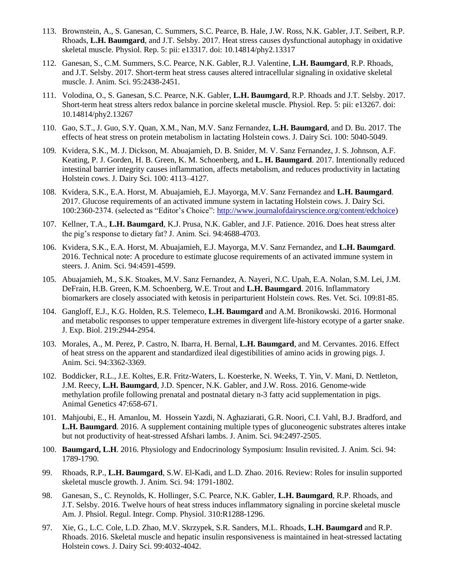- 113. Brownstein, A., S. Ganesan, C. Summers, S.C. Pearce, B. Hale, J.W. Ross, N.K. Gabler, J.T. Seibert, R.P. Rhoads, **L.H. Baumgard**, and J.T. Selsby. 2017. Heat stress causes dysfunctional autophagy in oxidative skeletal muscle. Physiol. Rep. 5: pii: e13317. doi: 10.14814/phy2.13317
- 112. Ganesan, S., C.M. Summers, S.C. Pearce, N.K. Gabler, R.J. Valentine, **L.H. Baumgard**, R.P. Rhoads, and J.T. Selsby. 2017. Short-term heat stress causes altered intracellular signaling in oxidative skeletal muscle. J. Anim. Sci. 95:2438-2451.
- 111. Volodina, O., S. Ganesan, S.C. Pearce, N.K. Gabler, **L.H. Baumgard**, R.P. Rhoads and J.T. Selsby. 2017. Short-term heat stress alters redox balance in porcine skeletal muscle. Physiol. Rep. 5: pii: e13267. doi: 10.14814/phy2.13267
- 110. Gao, S.T., J. Guo, S.Y. Quan, X.M., Nan, M.V. Sanz Fernandez, **L.H. Baumgard**, and D. Bu. 2017. The effects of heat stress on protein metabolism in lactating Holstein cows. J. Dairy Sci. 100: 5040-5049.
- 109. Kvidera, S.K., M. J. Dickson, M. Abuajamieh, D. B. Snider, M. V. Sanz Fernandez, J. S. Johnson, A.F. Keating, P. J. Gorden, H. B. Green, K. M. Schoenberg, and **L. H. Baumgard**. 2017. Intentionally reduced intestinal barrier integrity causes inflammation, affects metabolism, and reduces productivity in lactating Holstein cows. J. Dairy Sci. 100: 4113–4127.
- 108. Kvidera, S.K., E.A. Horst, M. Abuajamieh, E.J. Mayorga, M.V. Sanz Fernandez and **L.H. Baumgard**. 2017. Glucose requirements of an activated immune system in lactating Holstein cows. J. Dairy Sci. 100:2360-2374. (selected as "Editor's Choice": [http://www.journalofdairyscience.org/content/edchoice\)](http://www.journalofdairyscience.org/content/edchoice)
- 107. Kellner, T.A., **L.H. Baumgard**, K.J. Prusa, N.K. Gabler, and J.F. Patience. 2016. Does heat stress alter the pig's response to dietary fat? J. Anim. Sci. 94:4688-4703.
- 106. Kvidera, S.K., E.A. Horst, M. Abuajamieh, E.J. Mayorga, M.V. Sanz Fernandez, and **L.H. Baumgard**. 2016. Technical note: A procedure to estimate glucose requirements of an activated immune system in steers. J. Anim. Sci. 94:4591-4599.
- 105. Abuajamieh, M., S.K. Stoakes, M.V. Sanz Fernandez, A. Nayeri, N.C. Upah, E.A. Nolan, S.M. Lei, J.M. DeFrain, H.B. Green, K.M. Schoenberg, W.E. Trout and **L.H. Baumgard**. 2016. Inflammatory biomarkers are closely associated with ketosis in periparturient Holstein cows. Res. Vet. Sci. 109:81-85.
- 104. Gangloff, E.J., K.G. Holden, R.S. Telemeco, **L.H. Baumgard** and A.M. Bronikowski. 2016. Hormonal and metabolic responses to upper temperature extremes in divergent life-history ecotype of a garter snake. J. Exp. Biol. 219:2944-2954.
- 103. Morales, A., M. Perez, P. Castro, N. Ibarra, H. Bernal, **L.H. Baumgard**, and M. Cervantes. 2016. Effect of heat stress on the apparent and standardized ileal digestibilities of amino acids in growing pigs. J. Anim. Sci. 94:3362-3369.
- 102. Boddicker, R.L., J.E. Koltes, E.R. Fritz-Waters, L. Koesterke, N. Weeks, T. Yin, V. Mani, D. Nettleton, J.M. Reecy, **L.H. Baumgard**, J.D. Spencer, N.K. Gabler, and J.W. Ross. 2016. Genome-wide methylation profile following prenatal and postnatal dietary n-3 fatty acid supplementation in pigs. Animal Genetics 47:658-671.
- 101. Mahjoubi, E., H. Amanlou, M. Hossein Yazdi, N. Aghaziarati, G.R. Noori, C.I. Vahl, B.J. Bradford, and **L.H. Baumgard**. 2016. A supplement containing multiple types of gluconeogenic substrates alteres intake but not productivity of heat-stressed Afshari lambs. J. Anim. Sci. 94:2497-2505.
- 100. **Baumgard, L.H**. 2016. Physiology and Endocrinology Symposium: Insulin revisited. J. Anim. Sci. 94: 1789-1790.
- 99. Rhoads, R.P., **L.H. Baumgard**, S.W. El-Kadi, and L.D. Zhao. 2016. Review: Roles for insulin supported skeletal muscle growth. J. Anim. Sci. 94: 1791-1802.
- 98. Ganesan, S., C. Reynolds, K. Hollinger, S.C. Pearce, N.K. Gabler, **L.H. Baumgard**, R.P. Rhoads, and J.T. Selsby. 2016. Twelve hours of heat stress induces inflammatory signaling in porcine skeletal muscle Am. J. Phsiol. Regul. Integr. Comp. Physiol. 310:R1288-1296.
- 97. Xie, G., L.C. Cole, L.D. Zhao, M.V. Skrzypek, S.R. Sanders, M.L. Rhoads, **L.H. Baumgard** and R.P. Rhoads. 2016. Skeletal muscle and hepatic insulin responsiveness is maintained in heat-stressed lactating Holstein cows. J. Dairy Sci. 99:4032-4042.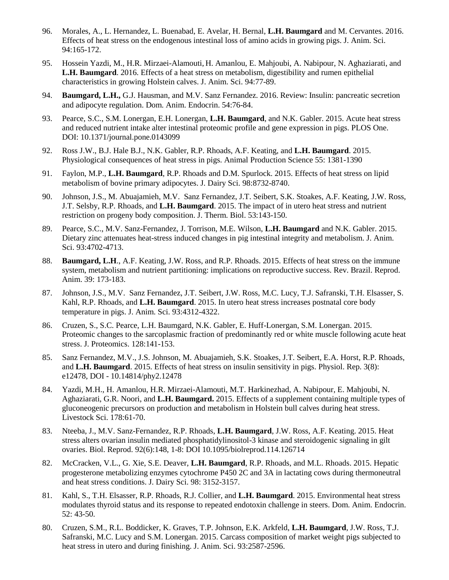- 96. Morales, A., L. Hernandez, L. Buenabad, E. Avelar, H. Bernal, **L.H. Baumgard** and M. Cervantes. 2016. Effects of heat stress on the endogenous intestinal loss of amino acids in growing pigs. J. Anim. Sci. 94:165-172.
- 95. Hossein Yazdi, M., H.R. Mirzaei-Alamouti, H. Amanlou, E. Mahjoubi, A. Nabipour, N. Aghaziarati, and **L.H. Baumgard**. 2016. Effects of a heat stress on metabolism, digestibility and rumen epithelial characteristics in growing Holstein calves. J. Anim. Sci. 94:77-89.
- 94. **Baumgard, L.H.,** G.J. Hausman, and M.V. Sanz Fernandez. 2016. Review: Insulin: pancreatic secretion and adipocyte regulation. Dom. Anim. Endocrin. 54:76-84.
- 93. Pearce, S.C., S.M. Lonergan, E.H. Lonergan, **L.H. Baumgard**, and N.K. Gabler. 2015. Acute heat stress and reduced nutrient intake alter intestinal proteomic profile and gene expression in pigs. PLOS One. DOI: 10.1371/journal.pone.0143099
- 92. Ross J.W., B.J. Hale B.J., N.K. Gabler, R.P. Rhoads, A.F. Keating, and **L.H. Baumgard**. 2015. Physiological consequences of heat stress in pigs. Animal Production Science 55: 1381-1390
- 91. Faylon, M.P., **L.H. Baumgard**, R.P. Rhoads and D.M. Spurlock. 2015. Effects of heat stress on lipid metabolism of bovine primary adipocytes. J. Dairy Sci. 98:8732-8740.
- 90. Johnson, J.S., M. Abuajamieh, M.V. Sanz Fernandez, J.T. Seibert, S.K. Stoakes, A.F. Keating, J.W. Ross, J.T. Selsby, R.P. Rhoads, and **L.H. Baumgard**. 2015. The impact of in utero heat stress and nutrient restriction on progeny body composition. J. Therm. Biol. 53:143-150.
- 89. Pearce, S.C., M.V. Sanz-Fernandez, J. Torrison, M.E. Wilson, **L.H. Baumgard** and N.K. Gabler. 2015. Dietary zinc attenuates heat-stress induced changes in pig intestinal integrity and metabolism. J. Anim. Sci. 93:4702-4713.
- 88. **Baumgard, L.H**., A.F. Keating, J.W. Ross, and R.P. Rhoads. 2015. Effects of heat stress on the immune system, metabolism and nutrient partitioning: implications on reproductive success. Rev. Brazil. Reprod. Anim. 39: 173-183.
- 87. Johnson, J.S., M.V. Sanz Fernandez, J.T. Seibert, J.W. Ross, M.C. Lucy, T.J. Safranski, T.H. Elsasser, S. Kahl, R.P. Rhoads, and **L.H. Baumgard**. 2015. In utero heat stress increases postnatal core body temperature in pigs. J. Anim. Sci. 93:4312-4322.
- 86. Cruzen, S., S.C. Pearce, L.H. Baumgard, N.K. Gabler, E. Huff-Lonergan, S.M. Lonergan. 2015. Proteomic changes to the sarcoplasmic fraction of predominantly red or white muscle following acute heat stress. J. Proteomics. 128:141-153.
- 85. Sanz Fernandez, M.V., J.S. Johnson, M. Abuajamieh, S.K. Stoakes, J.T. Seibert, E.A. Horst, R.P. Rhoads, and **L.H. Baumgard**. 2015. Effects of heat stress on insulin sensitivity in pigs. Physiol. Rep. 3(8): e12478, DOI - 10.14814/phy2.12478
- 84. Yazdi, M.H., H. Amanlou, H.R. Mirzaei-Alamouti, M.T. Harkinezhad, A. Nabipour, E. Mahjoubi, N. Aghaziarati, G.R. Noori, and **L.H. Baumgard.** 2015. Effects of a supplement containing multiple types of gluconeogenic precursors on production and metabolism in Holstein bull calves during heat stress. Livestock Sci. 178:61-70.
- 83. Nteeba, J., M.V. Sanz-Fernandez, R.P. Rhoads, **L.H. Baumgard**, J.W. Ross, A.F. Keating. 2015. Heat stress alters ovarian insulin mediated phosphatidylinositol-3 kinase and steroidogenic signaling in gilt ovaries. Biol. Reprod. 92(6):148, 1-8: DOI 10.1095/biolreprod.114.126714
- 82. McCracken, V.L., G. Xie, S.E. Deaver, **L.H. Baumgard**, R.P. Rhoads, and M.L. Rhoads. 2015. Hepatic progesterone metabolizing enzymes cytochrome P450 2C and 3A in lactating cows during thermoneutral and heat stress conditions. J. Dairy Sci. 98: 3152-3157.
- 81. Kahl, S., T.H. Elsasser, R.P. Rhoads, R.J. Collier, and **L.H. Baumgard**. 2015. Environmental heat stress modulates thyroid status and its response to repeated endotoxin challenge in steers. Dom. Anim. Endocrin. 52: 43-50.
- 80. Cruzen, S.M., R.L. Boddicker, K. Graves, T.P. Johnson, E.K. Arkfeld, **L.H. Baumgard**, J.W. Ross, T.J. Safranski, M.C. Lucy and S.M. Lonergan. 2015. Carcass composition of market weight pigs subjected to heat stress in utero and during finishing. J. Anim. Sci. 93:2587-2596.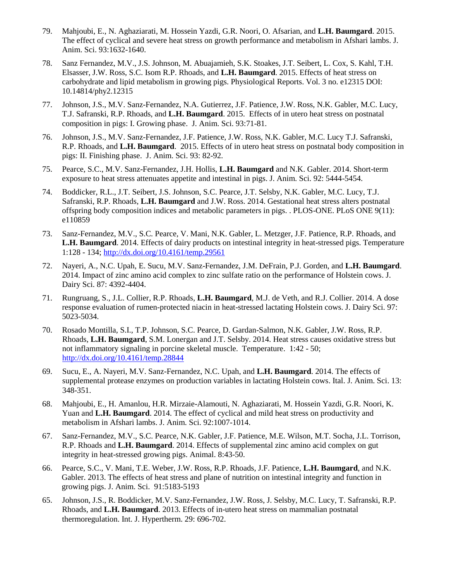- 79. Mahjoubi, E., N. Aghaziarati, M. Hossein Yazdi, G.R. Noori, O. Afsarian, and **L.H. Baumgard**. 2015. The effect of cyclical and severe heat stress on growth performance and metabolism in Afshari lambs. J. Anim. Sci. 93:1632-1640.
- 78. Sanz Fernandez, M.V., J.S. Johnson, M. Abuajamieh, S.K. Stoakes, J.T. Seibert, L. Cox, S. Kahl, T.H. Elsasser, J.W. Ross, S.C. Isom R.P. Rhoads, and **L.H. Baumgard**. 2015. Effects of heat stress on carbohydrate and lipid metabolism in growing pigs. Physiological Reports. Vol. 3 no. e12315 DOI: 10.14814/phy2.12315
- 77. Johnson, J.S., M.V. Sanz-Fernandez, N.A. Gutierrez, J.F. Patience, J.W. Ross, N.K. Gabler, M.C. Lucy, T.J. Safranski, R.P. Rhoads, and **L.H. Baumgard**. 2015. Effects of in utero heat stress on postnatal composition in pigs: I. Growing phase. J. Anim. Sci. 93:71-81.
- 76. Johnson, J.S., M.V. Sanz-Fernandez, J.F. Patience, J.W. Ross, N.K. Gabler, M.C. Lucy T.J. Safranski, R.P. Rhoads, and **L.H. Baumgard**. 2015. Effects of in utero heat stress on postnatal body composition in pigs: II. Finishing phase. J. Anim. Sci. 93: 82-92.
- 75. Pearce, S.C., M.V. Sanz-Fernandez, J.H. Hollis, **L.H. Baumgard** and N.K. Gabler. 2014. Short-term exposure to heat stress attenuates appetite and intestinal in pigs. J. Anim. Sci. 92: 5444-5454.
- 74. Boddicker, R.L., J.T. Seibert, J.S. Johnson, S.C. Pearce, J.T. Selsby, N.K. Gabler, M.C. Lucy, T.J. Safranski, R.P. Rhoads, **L.H. Baumgard** and J.W. Ross. 2014. Gestational heat stress alters postnatal offspring body composition indices and metabolic parameters in pigs. . PLOS-ONE. PLoS ONE 9(11): e110859
- 73. Sanz-Fernandez, M.V., S.C. Pearce, V. Mani, N.K. Gabler, L. Metzger, J.F. Patience, R.P. Rhoads, and **L.H. Baumgard**. 2014. Effects of dairy products on intestinal integrity in heat-stressed pigs. Temperature 1:128 - 134;<http://dx.doi.org/10.4161/temp.29561>
- 72. Nayeri, A., N.C. Upah, E. Sucu, M.V. Sanz-Fernandez, J.M. DeFrain, P.J. Gorden, and **L.H. Baumgard**. 2014. Impact of zinc amino acid complex to zinc sulfate ratio on the performance of Holstein cows. J. Dairy Sci. 87: 4392-4404.
- 71. Rungruang, S., J.L. Collier, R.P. Rhoads, **L.H. Baumgard**, M.J. de Veth, and R.J. Collier. 2014. A dose response evaluation of rumen-protected niacin in heat-stressed lactating Holstein cows. J. Dairy Sci. 97: 5023-5034.
- 70. Rosado Montilla, S.I., T.P. Johnson, S.C. Pearce, D. Gardan-Salmon, N.K. Gabler, J.W. Ross, R.P. Rhoads, **L.H. Baumgard**, S.M. Lonergan and J.T. Selsby. 2014. Heat stress causes oxidative stress but not inflammatory signaling in porcine skeletal muscle. Temperature. 1:42 - 50; <http://dx.doi.org/10.4161/temp.28844>
- 69. Sucu, E., A. Nayeri, M.V. Sanz-Fernandez, N.C. Upah, and **L.H. Baumgard**. 2014. The effects of supplemental protease enzymes on production variables in lactating Holstein cows. Ital. J. Anim. Sci. 13: 348-351.
- 68. Mahjoubi, E., H. Amanlou, H.R. Mirzaie-Alamouti, N. Aghaziarati, M. Hossein Yazdi, G.R. Noori, K. Yuan and **L.H. Baumgard**. 2014. The effect of cyclical and mild heat stress on productivity and metabolism in Afshari lambs. J. Anim. Sci. 92:1007-1014.
- 67. Sanz-Fernandez, M.V., S.C. Pearce, N.K. Gabler, J.F. Patience, M.E. Wilson, M.T. Socha, J.L. Torrison, R.P. Rhoads and **L.H. Baumgard**. 2014. Effects of supplemental zinc amino acid complex on gut integrity in heat-stressed growing pigs. Animal. 8:43-50.
- 66. Pearce, S.C., V. Mani, T.E. Weber, J.W. Ross, R.P. Rhoads, J.F. Patience, **L.H. Baumgard**, and N.K. Gabler. 2013. The effects of heat stress and plane of nutrition on intestinal integrity and function in growing pigs. J. Anim. Sci. 91:5183-5193
- 65. Johnson, J.S., R. Boddicker, M.V. Sanz-Fernandez, J.W. Ross, J. Selsby, M.C. Lucy, T. Safranski, R.P. Rhoads, and **L.H. Baumgard**. 2013. Effects of in-utero heat stress on mammalian postnatal thermoregulation. Int. J. Hypertherm. 29: 696-702.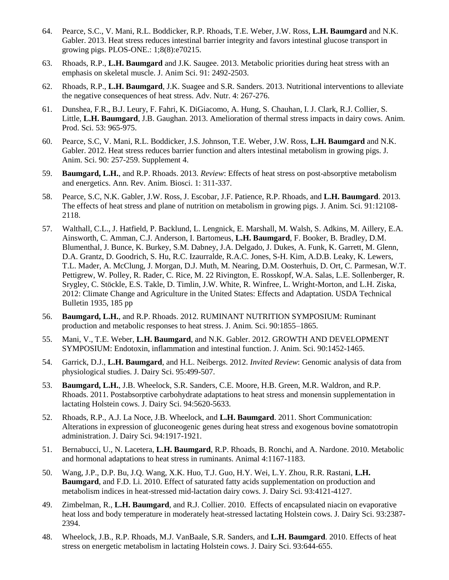- 64. Pearce, S.C., V. Mani, R.L. Boddicker, R.P. Rhoads, T.E. Weber, J.W. Ross, **L.H. Baumgard** and N.K. Gabler. 2013. Heat stress reduces intestinal barrier integrity and favors intestinal glucose transport in growing pigs. PLOS-ONE.: 1;8(8):e70215.
- 63. Rhoads, R.P., **L.H. Baumgard** and J.K. Saugee. 2013. Metabolic priorities during heat stress with an emphasis on skeletal muscle. J. Anim Sci. 91: 2492-2503.
- 62. Rhoads, R.P., **L.H. Baumgard**, J.K. Suagee and S.R. Sanders. 2013. Nutritional interventions to alleviate the negative consequences of heat stress. Adv. Nutr. 4: 267-276.
- 61. Dunshea, F.R., B.J. Leury, F. Fahri, K. DiGiacomo, A. Hung, S. Chauhan, I. J. Clark, R.J. Collier, S. Little, **L.H. Baumgard**, J.B. Gaughan. 2013. Amelioration of thermal stress impacts in dairy cows. Anim. Prod. Sci. 53: 965-975.
- 60. Pearce, S.C, V. Mani, R.L. Boddicker, J.S. Johnson, T.E. Weber, J.W. Ross, **L.H. Baumgard** and N.K. Gabler. 2012. Heat stress reduces barrier function and alters intestinal metabolism in growing pigs. J. Anim. Sci. 90: 257-259. Supplement 4.
- 59. **Baumgard, L.H.**, and R.P. Rhoads. 2013. *Review*: Effects of heat stress on post-absorptive metabolism and energetics. Ann. Rev. Anim. Biosci. 1: 311-337.
- 58. Pearce, S.C, N.K. Gabler, J.W. Ross, J. Escobar, J.F. Patience, R.P. Rhoads, and **L.H. Baumgard**. 2013. The effects of heat stress and plane of nutrition on metabolism in growing pigs. J. Anim. Sci. 91:12108- 2118.
- 57. Walthall, C.L., J. Hatfield, P. Backlund, L. Lengnick, E. Marshall, M. Walsh, S. Adkins, M. Aillery, E.A. Ainsworth, C. Amman, C.J. Anderson, I. Bartomeus, **L.H. Baumgard**, F. Booker, B. Bradley, D.M. Blumenthal, J. Bunce, K. Burkey, S.M. Dabney, J.A. Delgado, J. Dukes, A. Funk, K. Garrett, M. Glenn, D.A. Grantz, D. Goodrich, S. Hu, R.C. Izaurralde, R.A.C. Jones, S-H. Kim, A.D.B. Leaky, K. Lewers, T.L. Mader, A. McClung, J. Morgan, D.J. Muth, M. Nearing, D.M. Oosterhuis, D. Ort, C. Parmesan, W.T. Pettigrew, W. Polley, R. Rader, C. Rice, M. 22 Rivington, E. Rosskopf, W.A. Salas, L.E. Sollenberger, R. Srygley, C. Stöckle, E.S. Takle, D. Timlin, J.W. White, R. Winfree, L. Wright-Morton, and L.H. Ziska, 2012: Climate Change and Agriculture in the United States: Effects and Adaptation. USDA Technical Bulletin 1935, 185 pp
- 56. **Baumgard, L.H.**, and R.P. Rhoads. 2012. RUMINANT NUTRITION SYMPOSIUM: Ruminant production and metabolic responses to heat stress. J. Anim. Sci. 90:1855–1865.
- 55. Mani, V., T.E. Weber, **L.H. Baumgard**, and N.K. Gabler. 2012. GROWTH AND DEVELOPMENT SYMPOSIUM: Endotoxin, inflammation and intestinal function. J. Anim. Sci. 90:1452-1465.
- 54. Garrick, D.J., **L.H. Baumgard**, and H.L. Neibergs. 2012. *Invited Review*: Genomic analysis of data from physiological studies. J. Dairy Sci. 95:499-507.
- 53. **Baumgard, L.H.**, J.B. Wheelock, S.R. Sanders, C.E. Moore, H.B. Green, M.R. Waldron, and R.P. Rhoads. 2011. Postabsorptive carbohydrate adaptations to heat stress and monensin supplementation in lactating Holstein cows. J. Dairy Sci. 94:5620-5633.
- 52. Rhoads, R.P., A.J. La Noce, J.B. Wheelock, and **L.H. Baumgard**. 2011. Short Communication: Alterations in expression of gluconeogenic genes during heat stress and exogenous bovine somatotropin administration. J. Dairy Sci. 94:1917-1921.
- 51. Bernabucci, U., N. Lacetera, **L.H. Baumgard**, R.P. Rhoads, B. Ronchi, and A. Nardone. 2010. Metabolic and hormonal adaptations to heat stress in ruminants. Animal 4:1167-1183.
- 50. Wang, J.P., D.P. Bu, J.Q. Wang, X.K. Huo, T.J. Guo, H.Y. Wei, L.Y. Zhou, R.R. Rastani, **L.H. Baumgard**, and F.D. Li. 2010. Effect of saturated fatty acids supplementation on production and metabolism indices in heat-stressed mid-lactation dairy cows. J. Dairy Sci. 93:4121-4127.
- 49. Zimbelman, R., **L.H. Baumgard**, and R.J. Collier. 2010. Effects of encapsulated niacin on evaporative heat loss and body temperature in moderately heat-stressed lactating Holstein cows. J. Dairy Sci. 93:2387- 2394.
- 48. Wheelock, J.B., R.P. Rhoads, M.J. VanBaale, S.R. Sanders, and **L.H. Baumgard**. 2010. Effects of heat stress on energetic metabolism in lactating Holstein cows. J. Dairy Sci. 93:644-655.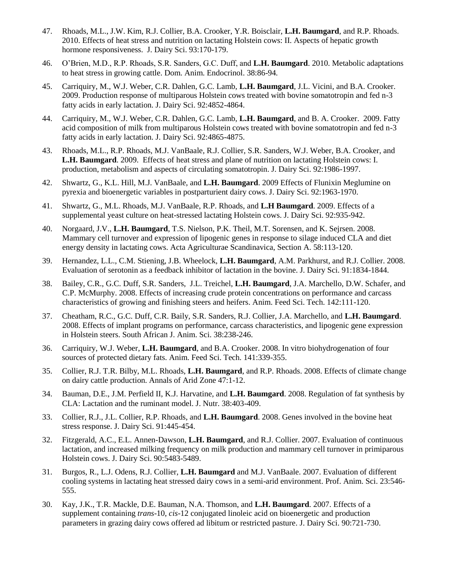- 47. Rhoads, M.L., J.W. Kim, R.J. Collier, B.A. Crooker, Y.R. Boisclair, **L.H. Baumgard**, and R.P. Rhoads. 2010. Effects of heat stress and nutrition on lactating Holstein cows: II. Aspects of hepatic growth hormone responsiveness. J. Dairy Sci. 93:170-179.
- 46. O'Brien, M.D., R.P. Rhoads, S.R. Sanders, G.C. Duff, and **L.H. Baumgard**. 2010. Metabolic adaptations to heat stress in growing cattle. Dom. Anim. Endocrinol. 38:86-94*.*
- 45. Carriquiry, M., W.J. Weber, C.R. Dahlen, G.C. Lamb, **L.H. Baumgard**, J.L. Vicini, and B.A. Crooker. 2009. Production response of multiparous Holstein cows treated with bovine somatotropin and fed n-3 fatty acids in early lactation. J. Dairy Sci. 92:4852-4864.
- 44. Carriquiry, M., W.J. Weber, C.R. Dahlen, G.C. Lamb, **L.H. Baumgard**, and B. A. Crooker. 2009. Fatty acid composition of milk from multiparous Holstein cows treated with bovine somatotropin and fed n-3 fatty acids in early lactation. J. Dairy Sci. 92:4865-4875.
- 43. Rhoads, M.L., R.P. Rhoads, M.J. VanBaale, R.J. Collier, S.R. Sanders, W.J. Weber, B.A. Crooker, and **L.H. Baumgard**. 2009. Effects of heat stress and plane of nutrition on lactating Holstein cows: I. production, metabolism and aspects of circulating somatotropin. J. Dairy Sci. 92:1986-1997.
- 42. Shwartz, G., K.L. Hill, M.J. VanBaale, and **L.H. Baumgard**. 2009 Effects of Flunixin Meglumine on pyrexia and bioenergetic variables in postparturient dairy cows. J. Dairy Sci. 92:1963-1970.
- 41. Shwartz, G., M.L. Rhoads, M.J. VanBaale, R.P. Rhoads, and **L.H Baumgard**. 2009. Effects of a supplemental yeast culture on heat-stressed lactating Holstein cows. J. Dairy Sci. 92:935-942.
- 40. Norgaard, J.V., **L.H. Baumgard**, T.S. Nielson, P.K. Theil, M.T. Sorensen, and K. Sejrsen. 2008. Mammary cell turnover and expression of lipogenic genes in response to silage induced CLA and diet energy density in lactating cows. Acta Agriculturae Scandinavica, Section A. 58:113-120.
- 39. Hernandez, L.L., C.M. Stiening, J.B. Wheelock, **L.H. Baumgard**, A.M. Parkhurst, and R.J. Collier. 2008. Evaluation of serotonin as a feedback inhibitor of lactation in the bovine. J. Dairy Sci. 91:1834-1844.
- 38. Bailey, C.R., G.C. Duff, S.R. Sanders, J.L. Treichel, **L.H. Baumgard**, J.A. Marchello, D.W. Schafer, and C.P. McMurphy. 2008. Effects of increasing crude protein concentrations on performance and carcass characteristics of growing and finishing steers and heifers. Anim. Feed Sci. Tech. 142:111-120.
- 37. Cheatham, R.C., G.C. Duff, C.R. Baily, S.R. Sanders, R.J. Collier, J.A. Marchello, and **L.H. Baumgard**. 2008. Effects of implant programs on performance, carcass characteristics, and lipogenic gene expression in Holstein steers. South African J. Anim. Sci. 38:238-246.
- 36. Carriquiry, W.J. Weber, **L.H. Baumgard**, and B.A. Crooker. 2008. In vitro biohydrogenation of four sources of protected dietary fats. Anim. Feed Sci. Tech. 141:339-355.
- 35. Collier, R.J. T.R. Bilby, M.L. Rhoads, **L.H. Baumgard**, and R.P. Rhoads. 2008. Effects of climate change on dairy cattle production. Annals of Arid Zone 47:1-12.
- 34. Bauman, D.E., J.M. Perfield II, K.J. Harvatine, and **L.H. Baumgard**. 2008. Regulation of fat synthesis by CLA: Lactation and the ruminant model. J. Nutr. 38:403-409.
- 33. Collier, R.J., J.L. Collier, R.P. Rhoads, and **L.H. Baumgard**. 2008. Genes involved in the bovine heat stress response. J. Dairy Sci. 91:445-454.
- 32. Fitzgerald, A.C., E.L. Annen-Dawson, **L.H. Baumgard**, and R.J. Collier. 2007. Evaluation of continuous lactation, and increased milking frequency on milk production and mammary cell turnover in primiparous Holstein cows. J. Dairy Sci. 90:5483-5489.
- 31. Burgos, R., L.J. Odens, R.J. Collier, **L.H. Baumgard** and M.J. VanBaale. 2007. Evaluation of different cooling systems in lactating heat stressed dairy cows in a semi-arid environment. Prof. Anim. Sci. 23:546- 555.
- 30. Kay, J.K., T.R. Mackle, D.E. Bauman, N.A. Thomson, and **L.H. Baumgard**. 2007. Effects of a supplement containing *trans*-10, *cis*-12 conjugated linoleic acid on bioenergetic and production parameters in grazing dairy cows offered ad libitum or restricted pasture. J. Dairy Sci. 90:721-730.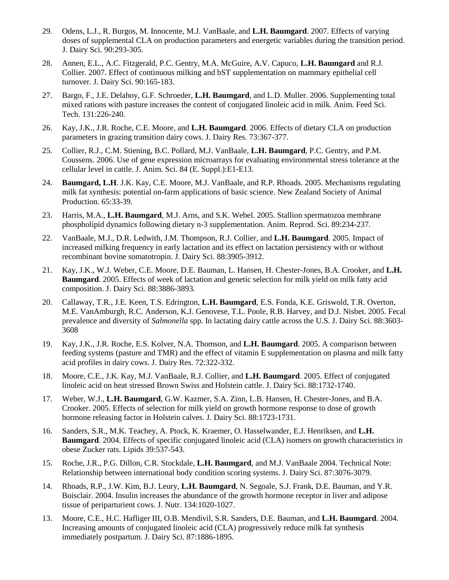- 29. Odens, L.J., R. Burgos, M. Innocente, M.J. VanBaale, and **L.H. Baumgard**. 2007. Effects of varying doses of supplemental CLA on production parameters and energetic variables during the transition period. J. Dairy Sci. 90:293-305.
- 28. Annen, E.L., A.C. Fitzgerald, P.C. Gentry, M.A. McGuire, A.V. Capuco, **L.H. Baumgard** and R.J. Collier. 2007. Effect of continuous milking and bST supplementation on mammary epithelial cell turnover. J. Dairy Sci. 90:165-183.
- 27. Bargo, F., J.E. Delahoy, G.F. Schroeder, **L.H. Baumgard**, and L.D. Muller. 2006. Supplementing total mixed rations with pasture increases the content of conjugated linoleic acid in milk. Anim. Feed Sci. Tech. 131:226-240.
- 26. Kay, J.K., J.R. Roche, C.E. Moore, and **L.H. Baumgard**. 2006. Effects of dietary CLA on production parameters in grazing transition dairy cows. J. Dairy Res. 73:367-377.
- 25. Collier, R.J., C.M. Stiening, B.C. Pollard, M.J. VanBaale, **L.H. Baumgard**, P.C. Gentry, and P.M. Coussens. 2006. Use of gene expression microarrays for evaluating environmental stress tolerance at the cellular level in cattle. J. Anim. Sci. 84 (E. Suppl.):E1-E13.
- 24. **Baumgard, L.H**. J.K. Kay, C.E. Moore, M.J. VanBaale, and R.P. Rhoads. 2005. Mechanisms regulating milk fat synthesis: potential on-farm applications of basic science. New Zealand Society of Animal Production. 65:33-39.
- 23. Harris, M.A., **L.H. Baumgard**, M.J. Arns, and S.K. Webel. 2005. Stallion spermatozoa membrane phospholipid dynamics following dietary n-3 supplementation. Anim. Reprod. Sci. 89:234-237.
- 22. VanBaale, M.J., D.R. Ledwith, J.M. Thompson, R.J. Collier, and **L.H. Baumgard**. 2005. Impact of increased milking frequency in early lactation and its effect on lactation persistency with or without recombinant bovine somatotropin. J. Dairy Sci. 88:3905-3912.
- 21. Kay, J.K., W.J. Weber, C.E. Moore, D.E. Bauman, L. Hansen, H. Chester-Jones, B.A. Crooker, and **L.H. Baumgard**. 2005. Effects of week of lactation and genetic selection for milk yield on milk fatty acid composition. J. Dairy Sci. 88:3886-3893.
- 20. Callaway, T.R., J.E. Keen, T.S. Edrington, **L.H. Baumgard**, E.S. Fonda, K.E. Griswold, T.R. Overton, M.E. VanAmburgh, R.C. Anderson, K.J. Genovese, T.L. Poole, R.B. Harvey, and D.J. Nisbet. 2005. Fecal prevalence and diversity of *Salmonella* spp. In lactating dairy cattle across the U.S. J. Dairy Sci. 88:3603- 3608
- 19. Kay, J.K., J.R. Roche, E.S. Kolver, N.A. Thomson, and **L.H. Baumgard**. 2005. A comparison between feeding systems (pasture and TMR) and the effect of vitamin E supplementation on plasma and milk fatty acid profiles in dairy cows. J. Dairy Res. 72:322-332.
- 18. Moore, C.E., J.K. Kay, M.J. VanBaale, R.J. Collier, and **L.H. Baumgard**. 2005. Effect of conjugated linoleic acid on heat stressed Brown Swiss and Holstein cattle. J. Dairy Sci. 88:1732-1740.
- 17. Weber, W.J., **L.H. Baumgard**, G.W. Kazmer, S.A. Zinn, L.B. Hansen, H. Chester-Jones, and B.A. Crooker. 2005. Effects of selection for milk yield on growth hormone response to dose of growth hormone releasing factor in Holstein calves. J. Dairy Sci. 88:1723-1731.
- 16. Sanders, S.R., M.K. Teachey, A. Ptock, K. Kraemer, O. Hasselwander, E.J. Henriksen, and **L.H. Baumgard**. 2004. Effects of specific conjugated linoleic acid (CLA) isomers on growth characteristics in obese Zucker rats. Lipids 39:537-543.
- 15. Roche, J.R., P.G. Dillon, C.R. Stockdale, **L.H. Baumgard**, and M.J. VanBaale 2004. Technical Note: Relationship between international body condition scoring systems. J. Dairy Sci. 87:3076-3079.
- 14. Rhoads, R.P., J.W. Kim, B.J. Leury, **L.H. Baumgard**, N. Segoale, S.J. Frank, D.E. Bauman, and Y.R. Boisclair. 2004. Insulin increases the abundance of the growth hormone receptor in liver and adipose tissue of periparturient cows. J. Nutr. 134:1020-1027.
- 13. Moore, C.E., H.C. Hafliger III, O.B. Mendivil, S.R. Sanders, D.E. Bauman, and **L.H. Baumgard**. 2004. Increasing amounts of conjugated linoleic acid (CLA) progressively reduce milk fat synthesis immediately postpartum. J. Dairy Sci. 87:1886-1895.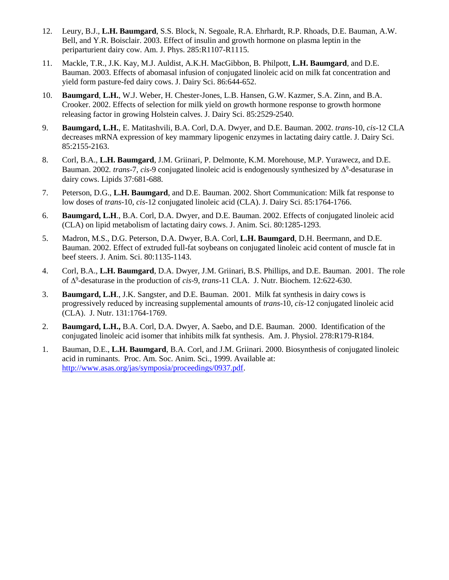- 12. Leury, B.J., **L.H. Baumgard**, S.S. Block, N. Segoale, R.A. Ehrhardt, R.P. Rhoads, D.E. Bauman, A.W. Bell, and Y.R. Boisclair. 2003. Effect of insulin and growth hormone on plasma leptin in the periparturient dairy cow. Am. J. Phys. 285:R1107-R1115.
- 11. Mackle, T.R., J.K. Kay, M.J. Auldist, A.K.H. MacGibbon, B. Philpott, **L.H. Baumgard**, and D.E. Bauman. 2003. Effects of abomasal infusion of conjugated linoleic acid on milk fat concentration and yield form pasture-fed dairy cows. J. Dairy Sci. 86:644-652.
- 10. **Baumgard**, **L.H.**, W.J. Weber, H. Chester-Jones, L.B. Hansen, G.W. Kazmer, S.A. Zinn, and B.A. Crooker. 2002. Effects of selection for milk yield on growth hormone response to growth hormone releasing factor in growing Holstein calves. J. Dairy Sci. 85:2529-2540.
- 9. **Baumgard, L.H.**, E. Matitashvili, B.A. Corl, D.A. Dwyer, and D.E. Bauman. 2002. *trans*-10, *cis*-12 CLA decreases mRNA expression of key mammary lipogenic enzymes in lactating dairy cattle. J. Dairy Sci. 85:2155-2163.
- 8. Corl, B.A., **L.H. Baumgard**, J.M. Griinari, P. Delmonte, K.M. Morehouse, M.P. Yurawecz, and D.E. Bauman. 2002. *trans*-7, *cis*-9 conjugated linoleic acid is endogenously synthesized by  $\Delta^9$ -desaturase in dairy cows. Lipids 37:681-688.
- 7. Peterson, D.G., **L.H. Baumgard**, and D.E. Bauman. 2002. Short Communication: Milk fat response to low doses of *trans-*10, *cis-*12 conjugated linoleic acid (CLA). J. Dairy Sci. 85:1764-1766.
- 6. **Baumgard, L.H**., B.A. Corl, D.A. Dwyer, and D.E. Bauman. 2002. Effects of conjugated linoleic acid (CLA) on lipid metabolism of lactating dairy cows. J. Anim. Sci. 80:1285-1293.
- 5. Madron, M.S., D.G. Peterson, D.A. Dwyer, B.A. Corl, **L.H. Baumgard**, D.H. Beermann, and D.E. Bauman. 2002. Effect of extruded full-fat soybeans on conjugated linoleic acid content of muscle fat in beef steers. J. Anim. Sci. 80:1135-1143.
- 4. Corl, B.A., **L.H. Baumgard**, D.A. Dwyer, J.M. Griinari, B.S. Phillips, and D.E. Bauman. 2001. The role of 9 -desaturase in the production of *cis*-9, *trans*-11 CLA. J. Nutr. Biochem. 12:622-630.
- 3. **Baumgard, L.H**., J.K. Sangster, and D.E. Bauman. 2001. Milk fat synthesis in dairy cows is progressively reduced by increasing supplemental amounts of *trans*-10, *cis*-12 conjugated linoleic acid (CLA). J. Nutr. 131:1764-1769.
- 2. **Baumgard, L.H.,** B.A. Corl, D.A. Dwyer, A. Saebo, and D.E. Bauman. 2000. Identification of the conjugated linoleic acid isomer that inhibits milk fat synthesis. Am. J. Physiol. 278:R179-R184.
- 1. Bauman, D.E., **L.H. Baumgard**, B.A. Corl, and J.M. Griinari. 2000. Biosynthesis of conjugated linoleic acid in ruminants. Proc. Am. Soc. Anim. Sci., 1999. Available at: [http://www.asas.org/jas/symposia/proceedings/0937.pdf.](http://www.asas.org/jas/symposia/proceedings/0937.pdf)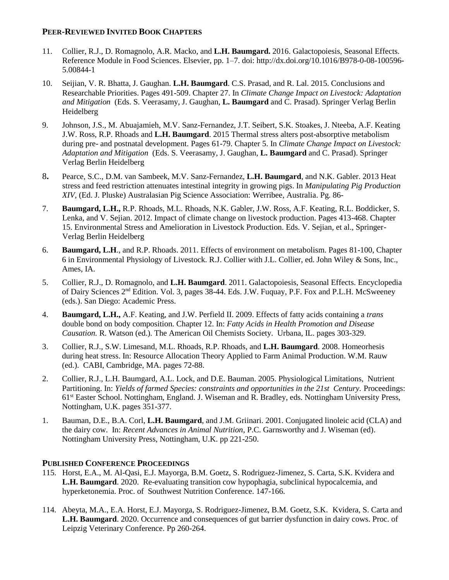### **PEER-REVIEWED INVITED BOOK CHAPTERS**

- 11. Collier, R.J., D. Romagnolo, A.R. Macko, and **L.H. Baumgard.** 2016. Galactopoiesis, Seasonal Effects. Reference Module in Food Sciences. Elsevier, pp. 1–7. doi: http://dx.doi.org/10.1016/B978-0-08-100596- 5.00844-1
- 10. Seijian, V. R. Bhatta, J. Gaughan. **L.H. Baumgard**. C.S. Prasad, and R. Lal. 2015. Conclusions and Researchable Priorities. Pages 491-509. Chapter 27. In *Climate Change Impact on Livestock: Adaptation and Mitigation* (Eds. S. Veerasamy, J. Gaughan, **L. Baumgard** and C. Prasad). Springer Verlag Berlin Heidelberg
- 9. Johnson, J.S., M. Abuajamieh, M.V. Sanz-Fernandez, J.T. Seibert, S.K. Stoakes, J. Nteeba, A.F. Keating J.W. Ross, R.P. Rhoads and **L.H. Baumgard**. 2015 Thermal stress alters post-absorptive metabolism during pre- and postnatal development. Pages 61-79. Chapter 5. In *Climate Change Impact on Livestock: Adaptation and Mitigation* (Eds. S. Veerasamy, J. Gaughan, **L. Baumgard** and C. Prasad). Springer Verlag Berlin Heidelberg
- 8**.** Pearce, S.C., D.M. van Sambeek, M.V. Sanz-Fernandez, **L.H. Baumgard**, and N.K. Gabler. 2013 Heat stress and feed restriction attenuates intestinal integrity in growing pigs. In *Manipulating Pig Production XIV,* (Ed. J. Pluske) Australasian Pig Science Association: Werribee, Australia. Pg. 86-
- 7. **Baumgard, L.H.,** R.P. Rhoads, M.L. Rhoads, N.K. Gabler, J.W. Ross, A.F. Keating, R.L. Boddicker, S. Lenka, and V. Sejian. 2012. Impact of climate change on livestock production. Pages 413-468. Chapter 15. Environmental Stress and Amelioration in Livestock Production. Eds. V. Sejian, et al., Springer-Verlag Berlin Heidelberg
- 6. **Baumgard, L.H**., and R.P. Rhoads. 2011. Effects of environment on metabolism. Pages 81-100, Chapter 6 in Environmental Physiology of Livestock. R.J. Collier with J.L. Collier, ed. John Wiley & Sons, Inc., Ames, IA.
- 5. Collier, R.J., D. Romagnolo, and **L.H. Baumgard**. 2011. Galactopoiesis, Seasonal Effects. Encyclopedia of Dairy Sciences 2nd Edition. Vol. 3, pages 38-44. Eds. J.W. Fuquay, P.F. Fox and P.L.H. McSweeney (eds.). San Diego: Academic Press.
- 4. **Baumgard, L.H.,** A.F. Keating, and J.W. Perfield II. 2009. Effects of fatty acids containing a *trans* double bond on body composition. Chapter 12. In: *Fatty Acids in Health Promotion and Disease Causation.* R. Watson (ed.). The American Oil Chemists Society. Urbana, IL. pages 303-329.
- 3. Collier, R.J., S.W. Limesand, M.L. Rhoads, R.P. Rhoads, and **L.H. Baumgard**. 2008. Homeorhesis during heat stress. In: Resource Allocation Theory Applied to Farm Animal Production. W.M. Rauw (ed.). CABI, Cambridge, MA. pages 72-88.
- 2. Collier, R.J., L.H. Baumgard, A.L. Lock, and D.E. Bauman. 2005. Physiological Limitations, Nutrient Partitioning. In: *Yields of farmed Species: constraints and opportunities in the 21st Century.* Proceedings: 61st Easter School. Nottingham, England. J. Wiseman and R. Bradley, eds. Nottingham University Press, Nottingham, U.K. pages 351-377.
- 1. Bauman, D.E., B.A. Corl, **L.H. Baumgard**, and J.M. Griinari. 2001. Conjugated linoleic acid (CLA) and the dairy cow. In: *Recent Advances in Animal Nutrition*, P.C. Garnsworthy and J. Wiseman (ed). Nottingham University Press, Nottingham, U.K. pp 221-250.

### **PUBLISHED CONFERENCE PROCEEDINGS**

- 115. Horst, E.A., M. Al-Qasi, E.J. Mayorga, B.M. Goetz, S. Rodriguez-Jimenez, S. Carta, S.K. Kvidera and **L.H. Baumgard**. 2020. Re-evaluating transition cow hypophagia, subclinical hypocalcemia, and hyperketonemia. Proc. of Southwest Nutrition Conference. 147-166.
- 114. Abeyta, M.A., E.A. Horst, E.J. Mayorga, S. Rodriguez-Jimenez, B.M. Goetz, S.K. Kvidera, S. Carta and **L.H. Baumgard**. 2020. Occurrence and consequences of gut barrier dysfunction in dairy cows. Proc. of Leipzig Veterinary Conference. Pp 260-264.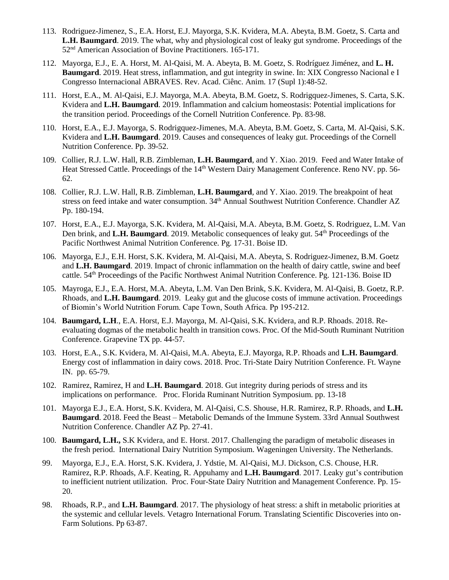- 113. Rodriguez-Jimenez, S., E.A. Horst, E.J. Mayorga, S.K. Kvidera, M.A. Abeyta, B.M. Goetz, S. Carta and **L.H. Baumgard**. 2019. The what, why and physiological cost of leaky gut syndrome. Proceedings of the 52nd American Association of Bovine Practitioners. 165-171.
- 112. Mayorga, E.J., E. A. Horst, M. Al-Qaisi, M. A. Abeyta, B. M. Goetz, S. Rodríguez Jiménez, and **L. H. Baumgard**. 2019. Heat stress, inflammation, and gut integrity in swine. In: XIX Congresso Nacional e I Congresso Internacional ABRAVES. Rev. Acad. Ciênc. Anim. 17 (Supl 1):48-52.
- 111. Horst, E.A., M. Al-Qaisi, E.J. Mayorga, M.A. Abeyta, B.M. Goetz, S. Rodrigquez-Jimenes, S. Carta, S.K. Kvidera and **L.H. Baumgard**. 2019. Inflammation and calcium homeostasis: Potential implications for the transition period. Proceedings of the Cornell Nutrition Conference. Pp. 83-98.
- 110. Horst, E.A., E.J. Mayorga, S. Rodrigquez-Jimenes, M.A. Abeyta, B.M. Goetz, S. Carta, M. Al-Qaisi, S.K. Kvidera and **L.H. Baumgard**. 2019. Causes and consequences of leaky gut. Proceedings of the Cornell Nutrition Conference. Pp. 39-52.
- 109. Collier, R.J. L.W. Hall, R.B. Zimbleman, **L.H. Baumgard**, and Y. Xiao. 2019. Feed and Water Intake of Heat Stressed Cattle. Proceedings of the 14<sup>th</sup> Western Dairy Management Conference. Reno NV. pp. 56-62.
- 108. Collier, R.J. L.W. Hall, R.B. Zimbleman, **L.H. Baumgard**, and Y. Xiao. 2019. The breakpoint of heat stress on feed intake and water consumption. 34<sup>th</sup> Annual Southwest Nutrition Conference. Chandler AZ Pp. 180-194.
- 107. Horst, E.A., E.J. Mayorga, S.K. Kvidera, M. Al-Qaisi, M.A. Abeyta, B.M. Goetz, S. Rodriguez, L.M. Van Den brink, and **L.H. Baumgard**. 2019. Metabolic consequences of leaky gut. 54<sup>th</sup> Proceedings of the Pacific Northwest Animal Nutrition Conference. Pg. 17-31. Boise ID.
- 106. Mayorga, E.J., E.H. Horst, S.K. Kvidera, M. Al-Qaisi, M.A. Abeyta, S. Rodriguez-Jimenez, B.M. Goetz and **L.H. Baumgard**. 2019. Impact of chronic inflammation on the health of dairy cattle, swine and beef cattle. 54th Proceedings of the Pacific Northwest Animal Nutrition Conference. Pg. 121-136. Boise ID
- 105. Mayroga, E.J., E.A. Horst, M.A. Abeyta, L.M. Van Den Brink, S.K. Kvidera, M. Al-Qaisi, B. Goetz, R.P. Rhoads, and **L.H. Baumgard**. 2019. Leaky gut and the glucose costs of immune activation. Proceedings of Biomin's World Nutrition Forum. Cape Town, South Africa. Pp 195-212.
- 104. **Baumgard, L.H**., E.A. Horst, E.J. Mayorga, M. Al-Qaisi, S.K. Kvidera, and R.P. Rhoads. 2018. Reevaluating dogmas of the metabolic health in transition cows. Proc. Of the Mid-South Ruminant Nutrition Conference. Grapevine TX pp. 44-57.
- 103. Horst, E.A., S.K. Kvidera, M. Al-Qaisi, M.A. Abeyta, E.J. Mayorga, R.P. Rhoads and **L.H. Baumgard**. Energy cost of inflammation in dairy cows. 2018. Proc. Tri-State Dairy Nutrition Conference. Ft. Wayne IN. pp. 65-79.
- 102. Ramirez, Ramirez, H and **L.H. Baumgard**. 2018. Gut integrity during periods of stress and its implications on performance. Proc. Florida Ruminant Nutrition Symposium. pp. 13-18
- 101. Mayorga E.J., E.A. Horst, S.K. Kvidera, M. Al-Qaisi, C.S. Shouse, H.R. Ramirez, R.P. Rhoads, and **L.H. Baumgard**. 2018. Feed the Beast – Metabolic Demands of the Immune System. 33rd Annual Southwest Nutrition Conference. Chandler AZ Pp. 27-41.
- 100. **Baumgard, L.H.,** S.K Kvidera, and E. Horst. 2017. Challenging the paradigm of metabolic diseases in the fresh period. International Dairy Nutrition Symposium. Wageningen University. The Netherlands.
- 99. Mayorga, E.J., E.A. Horst, S.K. Kvidera, J. Ydstie, M. Al-Qaisi, M.J. Dickson, C.S. Chouse, H.R. Ramirez, R.P. Rhoads, A.F. Keating, R. Appuhamy and **L.H. Baumgard**. 2017. Leaky gut's contribution to inefficient nutrient utilization. Proc. Four-State Dairy Nutrition and Management Conference. Pp. 15- 20.
- 98. Rhoads, R.P., and **L.H. Baumgard**. 2017. The physiology of heat stress: a shift in metabolic priorities at the systemic and cellular levels. Vetagro International Forum. Translating Scientific Discoveries into on-Farm Solutions. Pp 63-87.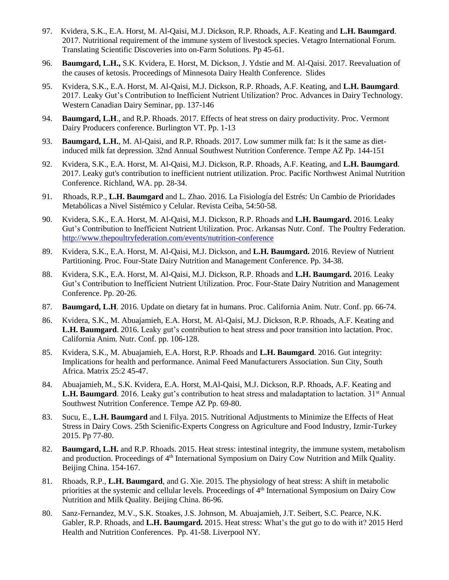- 97. Kvidera, S.K., E.A. Horst, M. Al-Qaisi, M.J. Dickson, R.P. Rhoads, A.F. Keating and **L.H. Baumgard**. 2017. Nutritional requirement of the immune system of livestock species. Vetagro International Forum. Translating Scientific Discoveries into on-Farm Solutions. Pp 45-61.
- 96. **Baumgard, L.H.,** S.K. Kvidera, E. Horst, M. Dickson, J. Ydstie and M. Al-Qaisi. 2017. Reevaluation of the causes of ketosis. Proceedings of Minnesota Dairy Health Conference. Slides
- 95. Kvidera, S.K., E.A. Horst, M. Al-Qaisi, M.J. Dickson, R.P. Rhoads, A.F. Keating, and **L.H. Baumgard**. 2017. Leaky Gut's Contribution to Inefficient Nutrient Utilization? Proc. Advances in Dairy Technology. Western Canadian Dairy Seminar, pp. 137-146
- 94. **Baumgard, L.H**., and R.P. Rhoads. 2017. Effects of heat stress on dairy productivity. Proc. Vermont Dairy Producers conference. Burlington VT. Pp. 1-13
- 93. **Baumgard, L.H.**, M. Al-Qaisi, and R.P. Rhoads. 2017. Low summer milk fat: Is it the same as dietinduced milk fat depression. 32nd Annual Southwest Nutrition Conference. Tempe AZ Pp. 144-151
- 92. Kvidera, S.K., E.A. Horst, M. Al-Qaisi, M.J. Dickson, R.P. Rhoads, A.F. Keating, and **L.H. Baumgard**. 2017. Leaky gut's contribution to inefficient nutrient utilization. Proc. Pacific Northwest Animal Nutrition Conference. Richland, WA. pp. 28-34.
- 91. Rhoads, R.P., **L.H. Baumgard** and L. Zhao. 2016. La Fisiología del Estrés: Un Cambio de Prioridades Metabólicas a Nivel Sistémico y Celular. Revista Ceiba, 54:50-58.
- 90. Kvidera, S.K., E.A. Horst, M. Al-Qaisi, M.J. Dickson, R.P. Rhoads and **L.H. Baumgard.** 2016. Leaky Gut's Contribution to Inefficient Nutrient Utilization. Proc. Arkansas Nutr. Conf. The Poultry Federation. <http://www.thepoultryfederation.com/events/nutrition-conference>
- 89. Kvidera, S.K., E.A. Horst, M. Al-Qaisi, M.J. Dickson, and **L.H. Baumgard.** 2016. Review of Nutrient Partitioning. Proc. Four-State Dairy Nutrition and Management Conference. Pp. 34-38.
- 88. Kvidera, S.K., E.A. Horst, M. Al-Qaisi, M.J. Dickson, R.P. Rhoads and **L.H. Baumgard.** 2016. Leaky Gut's Contribution to Inefficient Nutrient Utilization. Proc. Four-State Dairy Nutrition and Management Conference. Pp. 20-26.
- 87. **Baumgard, L.H**. 2016. Update on dietary fat in humans. Proc. California Anim. Nutr. Conf. pp. 66-74.
- 86. Kvidera, S.K., M. Abuajamieh, E.A. Horst, M. Al-Qaisi, M.J. Dickson, R.P. Rhoads, A.F. Keating and **L.H. Baumgard**. 2016. Leaky gut's contribution to heat stress and poor transition into lactation. Proc. California Anim. Nutr. Conf. pp. 106-128.
- 85. Kvidera, S.K., M. Abuajamieh, E.A. Horst, R.P. Rhoads and **L.H. Baumgard**. 2016. Gut integrity: Implications for health and performance. Animal Feed Manufacturers Association. Sun City, South Africa. Matrix 25:2 45-47.
- 84. Abuajamieh, M., S.K. Kvidera, E.A. Horst, M.Al-Qaisi, M.J. Dickson, R.P. Rhoads, A.F. Keating and **L.H. Baumgard**. 2016. Leaky gut's contribution to heat stress and maladaptation to lactation. 31<sup>st</sup> Annual Southwest Nutrition Conference. Tempe AZ Pp. 69-80.
- 83. Sucu, E., **L.H. Baumgard** and I. Filya. 2015. Nutritional Adjustments to Minimize the Effects of Heat Stress in Dairy Cows. 25th Scienific-Experts Congress on Agriculture and Food Industry, Izmir-Turkey 2015. Pp 77-80.
- 82. **Baumgard, L.H.** and R.P. Rhoads. 2015. Heat stress: intestinal integrity, the immune system, metabolism and production. Proceedings of 4<sup>th</sup> International Symposium on Dairy Cow Nutrition and Milk Quality. Beijing China. 154-167.
- 81. Rhoads, R.P., **L.H. Baumgard**, and G. Xie. 2015. The physiology of heat stress: A shift in metabolic priorities at the systemic and cellular levels. Proceedings of 4<sup>th</sup> International Symposium on Dairy Cow Nutrition and Milk Quality. Beijing China. 86-96.
- 80. Sanz-Fernandez, M.V., S.K. Stoakes, J.S. Johnson, M. Abuajamieh, J.T. Seibert, S.C. Pearce, N.K. Gabler, R.P. Rhoads, and **L.H. Baumgard.** 2015. Heat stress: What's the gut go to do with it? 2015 Herd Health and Nutrition Conferences. Pp. 41-58. Liverpool NY.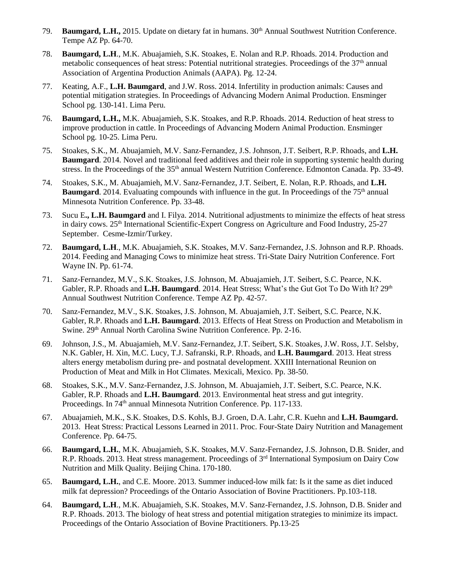- 79. **Baumgard, L.H.,** 2015. Update on dietary fat in humans. 30<sup>th</sup> Annual Southwest Nutrition Conference. Tempe AZ Pp. 64-70.
- 78. **Baumgard, L.H**., M.K. Abuajamieh, S.K. Stoakes, E. Nolan and R.P. Rhoads. 2014. Production and metabolic consequences of heat stress: Potential nutritional strategies. Proceedings of the 37<sup>th</sup> annual Association of Argentina Production Animals (AAPA). Pg. 12-24.
- 77. Keating, A.F., **L.H. Baumgard**, and J.W. Ross. 2014. Infertility in production animals: Causes and potential mitigation strategies. In Proceedings of Advancing Modern Animal Production. Ensminger School pg. 130-141. Lima Peru.
- 76. **Baumgard, L.H.,** M.K. Abuajamieh, S.K. Stoakes, and R.P. Rhoads. 2014. Reduction of heat stress to improve production in cattle. In Proceedings of Advancing Modern Animal Production. Ensminger School pg. 10-25. Lima Peru.
- 75. Stoakes, S.K., M. Abuajamieh, M.V. Sanz-Fernandez, J.S. Johnson, J.T. Seibert, R.P. Rhoads, and **L.H. Baumgard**. 2014. Novel and traditional feed additives and their role in supporting systemic health during stress. In the Proceedings of the 35<sup>th</sup> annual Western Nutrition Conference. Edmonton Canada. Pp. 33-49.
- 74. Stoakes, S.K., M. Abuajamieh, M.V. Sanz-Fernandez, J.T. Seibert, E. Nolan, R.P. Rhoads, and **L.H. Baumgard**. 2014. Evaluating compounds with influence in the gut. In Proceedings of the 75<sup>th</sup> annual Minnesota Nutrition Conference. Pp. 33-48.
- 73. Sucu E**., L.H. Baumgard** and I. Filya. 2014. Nutritional adjustments to minimize the effects of heat stress in dairy cows. 25<sup>th</sup> International Scientific-Expert Congress on Agriculture and Food Industry, 25-27 September. Cesme-Izmir/Turkey.
- 72. **Baumgard, L.H**., M.K. Abuajamieh, S.K. Stoakes, M.V. Sanz-Fernandez, J.S. Johnson and R.P. Rhoads. 2014. Feeding and Managing Cows to minimize heat stress. Tri-State Dairy Nutrition Conference. Fort Wayne IN. Pp. 61-74.
- 71. Sanz-Fernandez, M.V., S.K. Stoakes, J.S. Johnson, M. Abuajamieh, J.T. Seibert, S.C. Pearce, N.K. Gabler, R.P. Rhoads and L.H. Baumgard. 2014. Heat Stress; What's the Gut Got To Do With It? 29<sup>th</sup> Annual Southwest Nutrition Conference. Tempe AZ Pp. 42-57.
- 70. Sanz-Fernandez, M.V., S.K. Stoakes, J.S. Johnson, M. Abuajamieh, J.T. Seibert, S.C. Pearce, N.K. Gabler, R.P. Rhoads and **L.H. Baumgard**. 2013. Effects of Heat Stress on Production and Metabolism in Swine. 29<sup>th</sup> Annual North Carolina Swine Nutrition Conference. Pp. 2-16.
- 69. Johnson, J.S., M. Abuajamieh, M.V. Sanz-Fernandez, J.T. Seibert, S.K. Stoakes, J.W. Ross, J.T. Selsby, N.K. Gabler, H. Xin, M.C. Lucy, T.J. Safranski, R.P. Rhoads, and **L.H. Baumgard**. 2013. Heat stress alters energy metabolism during pre- and postnatal development. XXIII International Reunion on Production of Meat and Milk in Hot Climates. Mexicali, Mexico. Pp. 38-50.
- 68. Stoakes, S.K., M.V. Sanz-Fernandez, J.S. Johnson, M. Abuajamieh, J.T. Seibert, S.C. Pearce, N.K. Gabler, R.P. Rhoads and **L.H. Baumgard**. 2013. Environmental heat stress and gut integrity. Proceedings. In 74<sup>th</sup> annual Minnesota Nutrition Conference. Pp. 117-133.
- 67. Abuajamieh, M.K., S.K. Stoakes, D.S. Kohls, B.J. Groen, D.A. Lahr, C.R. Kuehn and **L.H. Baumgard.**  2013.Heat Stress: Practical Lessons Learned in 2011. Proc. Four-State Dairy Nutrition and Management Conference. Pp. 64-75.
- 66. **Baumgard, L.H.**, M.K. Abuajamieh, S.K. Stoakes, M.V. Sanz-Fernandez, J.S. Johnson, D.B. Snider, and R.P. Rhoads. 2013. Heat stress management. Proceedings of 3<sup>rd</sup> International Symposium on Dairy Cow Nutrition and Milk Quality. Beijing China. 170-180.
- 65. **Baumgard, L.H.**, and C.E. Moore. 2013. Summer induced-low milk fat: Is it the same as diet induced milk fat depression? Proceedings of the Ontario Association of Bovine Practitioners. Pp.103-118.
- 64. **Baumgard, L.H**., M.K. Abuajamieh, S.K. Stoakes, M.V. Sanz-Fernandez, J.S. Johnson, D.B. Snider and R.P. Rhoads. 2013. The biology of heat stress and potential mitigation strategies to minimize its impact. Proceedings of the Ontario Association of Bovine Practitioners. Pp.13-25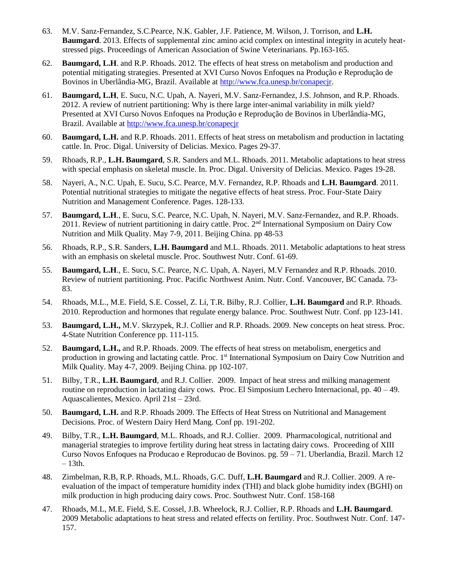- 63. M.V. Sanz-Fernandez, S.C.Pearce, N.K. Gabler, J.F. Patience, M. Wilson, J. Torrison, and **L.H. Baumgard**. 2013. Effects of supplemental zinc amino acid complex on intestinal integrity in acutely heatstressed pigs. Proceedings of American Association of Swine Veterinarians. Pp.163-165.
- 62. **Baumgard, L.H**. and R.P. Rhoads. 2012. The effects of heat stress on metabolism and production and potential mitigating strategies. Presented at XVI Curso Novos Enfoques na Produção e Reprodução de Bovinos in Uberlândia-MG, Brazil. Available at [http://www.fca.unesp.br/conapecjr.](http://www.fca.unesp.br/conapecjr)
- 61. **Baumgard, L.H**, E. Sucu, N.C. Upah, A. Nayeri, M.V. Sanz-Fernandez, J.S. Johnson, and R.P. Rhoads. 2012. A review of nutrient partitioning: Why is there large inter-animal variability in milk yield? Presented at XVI Curso Novos Enfoques na Produção e Reprodução de Bovinos in Uberlândia-MG, Brazil. Available at<http://www.fca.unesp.br/conapecjr>
- 60. **Baumgard, L.H.** and R.P. Rhoads. 2011. Effects of heat stress on metabolism and production in lactating cattle. In. Proc. Digal. University of Delicias. Mexico. Pages 29-37.
- 59. Rhoads, R.P., **L.H. Baumgard**, S.R. Sanders and M.L. Rhoads. 2011. Metabolic adaptations to heat stress with special emphasis on skeletal muscle. In. Proc. Digal. University of Delicias. Mexico. Pages 19-28.
- 58. Nayeri, A., N.C. Upah, E. Sucu, S.C. Pearce, M.V. Fernandez, R.P. Rhoads and **L.H. Baumgard**. 2011. Potential nutritional strategies to mitigate the negative effects of heat stress. Proc. Four-State Dairy Nutrition and Management Conference. Pages. 128-133.
- 57. **Baumgard, L.H**., E. Sucu, S.C. Pearce, N.C. Upah, N. Nayeri, M.V. Sanz-Fernandez, and R.P. Rhoads. 2011. Review of nutrient partitioning in dairy cattle. Proc. 2<sup>nd</sup> International Symposium on Dairy Cow Nutrition and Milk Quality. May 7-9, 2011. Beijing China. pp 48-53
- 56. Rhoads, R.P., S.R. Sanders, **L.H. Baumgard** and M.L. Rhoads. 2011. Metabolic adaptations to heat stress with an emphasis on skeletal muscle. Proc. Southwest Nutr. Conf. 61-69.
- 55. **Baumgard, L.H**., E. Sucu, S.C. Pearce, N.C. Upah, A. Nayeri, M.V Fernandez and R.P. Rhoads. 2010. Review of nutrient partitioning. Proc. Pacific Northwest Anim. Nutr. Conf. Vancouver, BC Canada. 73- 83.
- 54. Rhoads, M.L., M.E. Field, S.E. Cossel, Z. Li, T.R. Bilby, R.J. Collier, **L.H. Baumgard** and R.P. Rhoads. 2010. Reproduction and hormones that regulate energy balance. Proc. Southwest Nutr. Conf. pp 123-141.
- 53. **Baumgard, L.H.,** M.V. Skrzypek, R.J. Collier and R.P. Rhoads. 2009. New concepts on heat stress. Proc. 4-State Nutrition Conference pp. 111-115.
- 52. **Baumgard, L.H.,** and R.P. Rhoads. 2009. The effects of heat stress on metabolism, energetics and production in growing and lactating cattle. Proc. 1<sup>st</sup> International Symposium on Dairy Cow Nutrition and Milk Quality. May 4-7, 2009. Beijing China. pp 102-107.
- 51. Bilby, T.R., **L.H. Baumgard**, and R.J. Collier. 2009. Impact of heat stress and milking management routine on reproduction in lactating dairy cows. Proc. El Simposium Lechero Internacional, pp. 40 – 49. Aquascalientes, Mexico. April 21st – 23rd.
- 50. **Baumgard, L.H.** and R.P. Rhoads 2009. The Effects of Heat Stress on Nutritional and Management Decisions. Proc. of Western Dairy Herd Mang. Conf pp. 191-202.
- 49. Bilby, T.R., **L.H. Baumgard**, M.L. Rhoads, and R.J. Collier. 2009. Pharmacological, nutritional and managerial strategies to improve fertility during heat stress in lactating dairy cows. Proceeding of XIII Curso Novos Enfoques na Producao e Reproducao de Bovinos. pg. 59 – 71. Uberlandia, Brazil. March 12  $-13th.$
- 48. Zimbelman, R.B, R.P. Rhoads, M.L. Rhoads, G.C. Duff, **L.H. Baumgard** and R.J. Collier. 2009. A reevaluation of the impact of temperature humidity index (THI) and black globe humidity index (BGHI) on milk production in high producing dairy cows. Proc. Southwest Nutr. Conf. 158-168
- 47. Rhoads, M.L, M.E. Field, S.E. Cossel, J.B. Wheelock, R.J. Collier, R.P. Rhoads and **L.H. Baumgard**. 2009 Metabolic adaptations to heat stress and related effects on fertility. Proc. Southwest Nutr. Conf. 147- 157.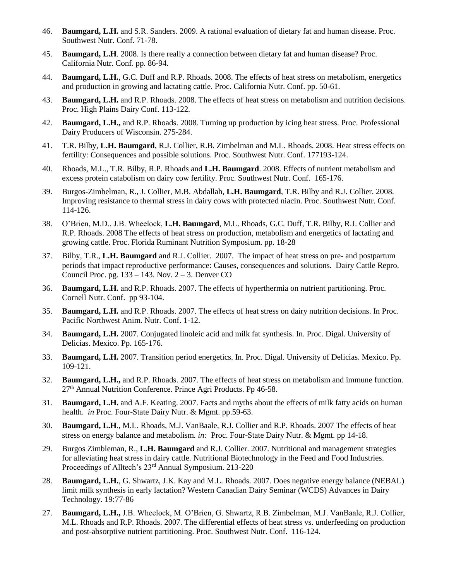- 46. **Baumgard, L.H.** and S.R. Sanders. 2009. A rational evaluation of dietary fat and human disease. Proc. Southwest Nutr. Conf. 71-78.
- 45. **Baumgard, L.H**. 2008. Is there really a connection between dietary fat and human disease? Proc. California Nutr. Conf. pp. 86-94.
- 44. **Baumgard, L.H.**, G.C. Duff and R.P. Rhoads. 2008. The effects of heat stress on metabolism, energetics and production in growing and lactating cattle. Proc. California Nutr. Conf. pp. 50-61.
- 43. **Baumgard, L.H.** and R.P. Rhoads. 2008. The effects of heat stress on metabolism and nutrition decisions. Proc. High Plains Dairy Conf. 113-122.
- 42. **Baumgard, L.H.,** and R.P. Rhoads. 2008. Turning up production by icing heat stress. Proc. Professional Dairy Producers of Wisconsin. 275-284.
- 41. T.R. Bilby, **L.H. Baumgard**, R.J. Collier, R.B. Zimbelman and M.L. Rhoads. 2008. Heat stress effects on fertility: Consequences and possible solutions. Proc. Southwest Nutr. Conf. 177193-124.
- 40. Rhoads, M.L., T.R. Bilby, R.P. Rhoads and **L.H. Baumgard**. 2008. Effects of nutrient metabolism and excess protein catabolism on dairy cow fertility. Proc. Southwest Nutr. Conf. 165-176.
- 39. Burgos-Zimbelman, R., J. Collier, M.B. Abdallah, **L.H. Baumgard**, T.R. Bilby and R.J. Collier. 2008. Improving resistance to thermal stress in dairy cows with protected niacin. Proc. Southwest Nutr. Conf. 114-126.
- 38. O'Brien, M.D., J.B. Wheelock, **L.H. Baumgard**, M.L. Rhoads, G.C. Duff, T.R. Bilby, R.J. Collier and R.P. Rhoads. 2008 The effects of heat stress on production, metabolism and energetics of lactating and growing cattle. Proc. Florida Ruminant Nutrition Symposium. pp. 18-28
- 37. Bilby, T.R., **L.H. Baumgard** and R.J. Collier. 2007. The impact of heat stress on pre- and postpartum periods that impact reproductive performance: Causes, consequences and solutions. Dairy Cattle Repro. Council Proc. pg.  $133 - 143$ . Nov.  $2 - 3$ . Denver CO
- 36. **Baumgard, L.H.** and R.P. Rhoads. 2007. The effects of hyperthermia on nutrient partitioning. Proc. Cornell Nutr. Conf. pp 93-104.
- 35. **Baumgard, L.H.** and R.P. Rhoads. 2007. The effects of heat stress on dairy nutrition decisions. In Proc. Pacific Northwest Anim. Nutr. Conf. 1-12.
- 34. **Baumgard, L.H.** 2007. Conjugated linoleic acid and milk fat synthesis. In. Proc. Digal. University of Delicias. Mexico. Pp. 165-176.
- 33. **Baumgard, L.H.** 2007. Transition period energetics. In. Proc. Digal. University of Delicias. Mexico. Pp. 109-121.
- 32. **Baumgard, L.H.,** and R.P. Rhoads. 2007. The effects of heat stress on metabolism and immune function. 27th Annual Nutrition Conference. Prince Agri Products. Pp 46-58.
- 31. **Baumgard, L.H.** and A.F. Keating. 2007. Facts and myths about the effects of milk fatty acids on human health. *in* Proc. Four-State Dairy Nutr. & Mgmt. pp.59-63.
- 30. **Baumgard, L.H**., M.L. Rhoads, M.J. VanBaale, R.J. Collier and R.P. Rhoads. 2007 The effects of heat stress on energy balance and metabolism*. in:* Proc. Four-State Dairy Nutr. & Mgmt. pp 14-18.
- 29. Burgos Zimbleman, R., **L.H. Baumgard** and R.J. Collier. 2007. Nutritional and management strategies for alleviating heat stress in dairy cattle. Nutritional Biotechnology in the Feed and Food Industries. Proceedings of Alltech's 23rd Annual Symposium. 213-220
- 28. **Baumgard, L.H.**, G. Shwartz, J.K. Kay and M.L. Rhoads. 2007. Does negative energy balance (NEBAL) limit milk synthesis in early lactation? Western Canadian Dairy Seminar (WCDS) Advances in Dairy Technology. 19:77-86
- 27. **Baumgard, L.H.,** J.B. Wheelock, M. O'Brien, G. Shwartz, R.B. Zimbelman, M.J. VanBaale, R.J. Collier, M.L. Rhoads and R.P. Rhoads. 2007. The differential effects of heat stress vs. underfeeding on production and post-absorptive nutrient partitioning. Proc. Southwest Nutr. Conf. 116-124.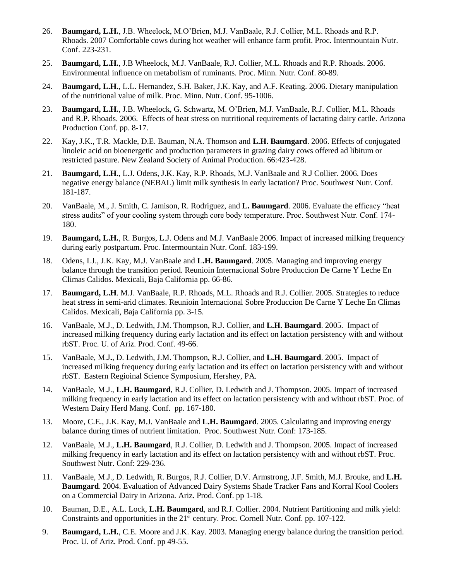- 26. **Baumgard, L.H.**, J.B. Wheelock, M.O'Brien, M.J. VanBaale, R.J. Collier, M.L. Rhoads and R.P. Rhoads. 2007 Comfortable cows during hot weather will enhance farm profit. Proc. Intermountain Nutr. Conf. 223-231.
- 25. **Baumgard, L.H.**, J.B Wheelock, M.J. VanBaale, R.J. Collier, M.L. Rhoads and R.P. Rhoads. 2006. Environmental influence on metabolism of ruminants. Proc. Minn. Nutr. Conf. 80-89.
- 24. **Baumgard, L.H.**, L.L. Hernandez, S.H. Baker, J.K. Kay, and A.F. Keating. 2006. Dietary manipulation of the nutritional value of milk. Proc. Minn. Nutr. Conf. 95-1006.
- 23. **Baumgard, L.H.**, J.B. Wheelock, G. Schwartz, M. O'Brien, M.J. VanBaale, R.J. Collier, M.L. Rhoads and R.P. Rhoads. 2006. Effects of heat stress on nutritional requirements of lactating dairy cattle. Arizona Production Conf. pp. 8-17.
- 22. Kay, J.K., T.R. Mackle, D.E. Bauman, N.A. Thomson and **L.H. Baumgard**. 2006. Effects of conjugated linoleic acid on bioenergetic and production parameters in grazing dairy cows offered ad libitum or restricted pasture. New Zealand Society of Animal Production. 66:423-428.
- 21. **Baumgard, L.H.**, L.J. Odens, J.K. Kay, R.P. Rhoads, M.J. VanBaale and R.J Collier. 2006. Does negative energy balance (NEBAL) limit milk synthesis in early lactation? Proc. Southwest Nutr. Conf. 181-187.
- 20. VanBaale, M., J. Smith, C. Jamison, R. Rodriguez, and **L. Baumgard**. 2006. Evaluate the efficacy "heat stress audits" of your cooling system through core body temperature. Proc. Southwest Nutr. Conf. 174- 180.
- 19. **Baumgard, L.H.**, R. Burgos, L.J. Odens and M.J. VanBaale 2006. Impact of increased milking frequency during early postpartum. Proc. Intermountain Nutr. Conf. 183-199.
- 18. Odens, LJ., J.K. Kay, M.J. VanBaale and **L.H. Baumgard**. 2005. Managing and improving energy balance through the transition period. Reunioin Internacional Sobre Produccion De Carne Y Leche En Climas Calidos. Mexicali, Baja California pp. 66-86.
- 17. **Baumgard, L.H**. M.J. VanBaale, R.P. Rhoads, M.L. Rhoads and R.J. Collier. 2005. Strategies to reduce heat stress in semi-arid climates. Reunioin Internacional Sobre Produccion De Carne Y Leche En Climas Calidos. Mexicali, Baja California pp. 3-15.
- 16. VanBaale, M.J., D. Ledwith, J.M. Thompson, R.J. Collier, and **L.H. Baumgard**. 2005. Impact of increased milking frequency during early lactation and its effect on lactation persistency with and without rbST. Proc. U. of Ariz. Prod. Conf. 49-66.
- 15. VanBaale, M.J**.**, D. Ledwith, J.M. Thompson, R.J. Collier, and **L.H. Baumgard**. 2005. Impact of increased milking frequency during early lactation and its effect on lactation persistency with and without rbST. Eastern Regioinal Science Symposium, Hershey, PA.
- 14. VanBaale, M.J., **L.H. Baumgard**, R.J. Collier, D. Ledwith and J. Thompson. 2005. Impact of increased milking frequency in early lactation and its effect on lactation persistency with and without rbST. Proc. of Western Dairy Herd Mang. Conf. pp. 167-180.
- 13. Moore, C.E., J.K. Kay, M.J. VanBaale and **L.H. Baumgard**. 2005. Calculating and improving energy balance during times of nutrient limitation. Proc. Southwest Nutr. Conf: 173-185.
- 12. VanBaale, M.J., **L.H. Baumgard**, R.J. Collier, D. Ledwith and J. Thompson. 2005. Impact of increased milking frequency in early lactation and its effect on lactation persistency with and without rbST. Proc. Southwest Nutr. Conf: 229-236.
- 11. VanBaale, M.J., D. Ledwith, R. Burgos, R.J. Collier, D.V. Armstrong, J.F. Smith, M.J. Brouke, and **L.H. Baumgard**. 2004. Evaluation of Advanced Dairy Systems Shade Tracker Fans and Korral Kool Coolers on a Commercial Dairy in Arizona. Ariz. Prod. Conf. pp 1-18.
- 10. Bauman, D.E., A.L. Lock, **L.H. Baumgard**, and R.J. Collier. 2004. Nutrient Partitioning and milk yield: Constraints and opportunities in the 21<sup>st</sup> century. Proc. Cornell Nutr. Conf. pp. 107-122.
- 9. **Baumgard, L.H.**, C.E. Moore and J.K. Kay. 2003. Managing energy balance during the transition period. Proc. U. of Ariz. Prod. Conf. pp 49-55.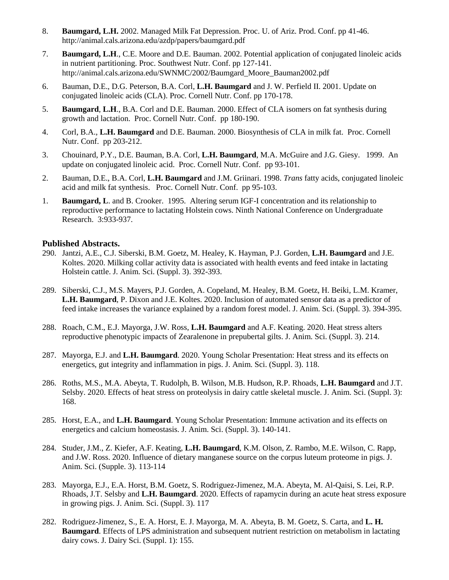- 8. **Baumgard, L.H.** 2002. Managed Milk Fat Depression. Proc. U. of Ariz. Prod. Conf. pp 41-46. http://animal.cals.arizona.edu/azdp/papers/baumgard.pdf
- 7. **Baumgard, L.H**., C.E. Moore and D.E. Bauman. 2002. Potential application of conjugated linoleic acids in nutrient partitioning. Proc. Southwest Nutr. Conf. pp 127-141. http://animal.cals.arizona.edu/SWNMC/2002/Baumgard\_Moore\_Bauman2002.pdf
- 6. Bauman, D.E., D.G. Peterson, B.A. Corl, **L.H. Baumgard** and J. W. Perfield II. 2001. Update on conjugated linoleic acids (CLA). Proc. Cornell Nutr. Conf. pp 170-178.
- 5. **Baumgard**, **L.H**., B.A. Corl and D.E. Bauman. 2000. Effect of CLA isomers on fat synthesis during growth and lactation. Proc. Cornell Nutr. Conf. pp 180-190.
- 4. Corl, B.A., **L.H. Baumgard** and D.E. Bauman. 2000. Biosynthesis of CLA in milk fat. Proc. Cornell Nutr. Conf. pp 203-212.
- 3. Chouinard, P.Y., D.E. Bauman, B.A. Corl, **L.H. Baumgard**, M.A. McGuire and J.G. Giesy. 1999. An update on conjugated linoleic acid. Proc. Cornell Nutr. Conf. pp 93-101.
- 2. Bauman, D.E., B.A. Corl, **L.H. Baumgard** and J.M. Griinari. 1998. *Trans* fatty acids, conjugated linoleic acid and milk fat synthesis. Proc. Cornell Nutr. Conf. pp 95-103.
- 1. **Baumgard, L**. and B. Crooker. 1995. Altering serum IGF-I concentration and its relationship to reproductive performance to lactating Holstein cows. Ninth National Conference on Undergraduate Research. 3:933-937.

#### **Published Abstracts.**

- 290. Jantzi, A.E., C.J. Siberski, B.M. Goetz, M. Healey, K. Hayman, P.J. Gorden, **L.H. Baumgard** and J.E. Koltes. 2020. Milking collar activity data is associated with health events and feed intake in lactating Holstein cattle. J. Anim. Sci. (Suppl. 3). 392-393.
- 289. Siberski, C.J., M.S. Mayers, P.J. Gorden, A. Copeland, M. Healey, B.M. Goetz, H. Beiki, L.M. Kramer, **L.H. Baumgard**, P. Dixon and J.E. Koltes. 2020. Inclusion of automated sensor data as a predictor of feed intake increases the variance explained by a random forest model. J. Anim. Sci. (Suppl. 3). 394-395.
- 288. Roach, C.M., E.J. Mayorga, J.W. Ross, **L.H. Baumgard** and A.F. Keating. 2020. Heat stress alters reproductive phenotypic impacts of Zearalenone in prepubertal gilts. J. Anim. Sci. (Suppl. 3). 214.
- 287. Mayorga, E.J. and **L.H. Baumgard**. 2020. Young Scholar Presentation: Heat stress and its effects on energetics, gut integrity and inflammation in pigs. J. Anim. Sci. (Suppl. 3). 118.
- 286. Roths, M.S., M.A. Abeyta, T. Rudolph, B. Wilson, M.B. Hudson, R.P. Rhoads, **L.H. Baumgard** and J.T. Selsby. 2020. Effects of heat stress on proteolysis in dairy cattle skeletal muscle. J. Anim. Sci. (Suppl. 3): 168.
- 285. Horst, E.A., and **L.H. Baumgard**. Young Scholar Presentation: Immune activation and its effects on energetics and calcium homeostasis. J. Anim. Sci. (Suppl. 3). 140-141.
- 284. Studer, J.M., Z. Kiefer, A.F. Keating, **L.H. Baumgard**, K.M. Olson, Z. Rambo, M.E. Wilson, C. Rapp, and J.W. Ross. 2020. Influence of dietary manganese source on the corpus luteum proteome in pigs. J. Anim. Sci. (Supple. 3). 113-114
- 283. Mayorga, E.J., E.A. Horst, B.M. Goetz, S. Rodriguez-Jimenez, M.A. Abeyta, M. Al-Qaisi, S. Lei, R.P. Rhoads, J.T. Selsby and **L.H. Baumgard**. 2020. Effects of rapamycin during an acute heat stress exposure in growing pigs. J. Anim. Sci. (Suppl. 3). 117
- 282. Rodriguez-Jimenez, S., E. A. Horst, E. J. Mayorga, M. A. Abeyta, B. M. Goetz, S. Carta, and **L. H. Baumgard**. Effects of LPS administration and subsequent nutrient restriction on metabolism in lactating dairy cows. J. Dairy Sci. (Suppl. 1): 155.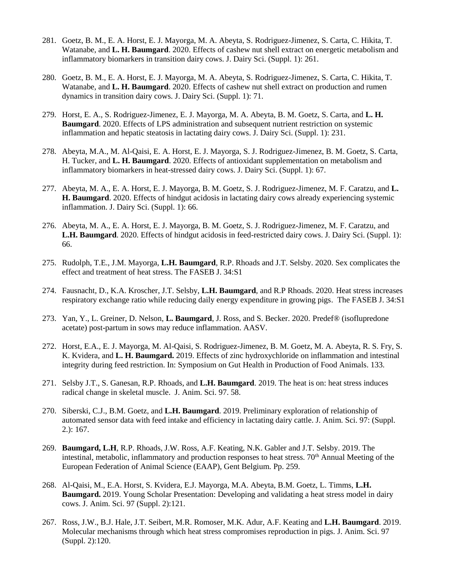- 281. Goetz, B. M., E. A. Horst, E. J. Mayorga, M. A. Abeyta, S. Rodriguez-Jimenez, S. Carta, C. Hikita, T. Watanabe, and **L. H. Baumgard**. 2020. Effects of cashew nut shell extract on energetic metabolism and inflammatory biomarkers in transition dairy cows. J. Dairy Sci. (Suppl. 1): 261.
- 280. Goetz, B. M., E. A. Horst, E. J. Mayorga, M. A. Abeyta, S. Rodriguez-Jimenez, S. Carta, C. Hikita, T. Watanabe, and **L. H. Baumgard**. 2020. Effects of cashew nut shell extract on production and rumen dynamics in transition dairy cows. J. Dairy Sci. (Suppl. 1): 71.
- 279. Horst, E. A., S. Rodriguez-Jimenez, E. J. Mayorga, M. A. Abeyta, B. M. Goetz, S. Carta, and **L. H. Baumgard**. 2020. Effects of LPS administration and subsequent nutrient restriction on systemic inflammation and hepatic steatosis in lactating dairy cows. J. Dairy Sci. (Suppl. 1): 231.
- 278. Abeyta, M.A., M. Al-Qaisi, E. A. Horst, E. J. Mayorga, S. J. Rodriguez-Jimenez, B. M. Goetz, S. Carta, H. Tucker, and **L. H. Baumgard**. 2020. Effects of antioxidant supplementation on metabolism and inflammatory biomarkers in heat-stressed dairy cows. J. Dairy Sci. (Suppl. 1): 67.
- 277. Abeyta, M. A., E. A. Horst, E. J. Mayorga, B. M. Goetz, S. J. Rodriguez-Jimenez, M. F. Caratzu, and **L. H. Baumgard**. 2020. Effects of hindgut acidosis in lactating dairy cows already experiencing systemic inflammation. J. Dairy Sci. (Suppl. 1): 66.
- 276. Abeyta, M. A., E. A. Horst, E. J. Mayorga, B. M. Goetz, S. J. Rodriguez-Jimenez, M. F. Caratzu, and **L.H. Baumgard**. 2020. Effects of hindgut acidosis in feed-restricted dairy cows. J. Dairy Sci. (Suppl. 1): 66.
- 275. Rudolph, T.E., J.M. Mayorga, **L.H. Baumgard**, R.P. Rhoads and J.T. Selsby. 2020. Sex complicates the effect and treatment of heat stress. The FASEB J. 34:S1
- 274. Fausnacht, D., K.A. Kroscher, J.T. Selsby, **L.H. Baumgard**, and R.P Rhoads. 2020. Heat stress increases respiratory exchange ratio while reducing daily energy expenditure in growing pigs. The FASEB J. 34:S1
- 273. Yan, Y., L. Greiner, D. Nelson, **L. Baumgard**, J. Ross, and S. Becker. 2020. Predef® (isoflupredone acetate) post-partum in sows may reduce inflammation. AASV.
- 272. Horst, E.A., E. J. Mayorga, M. Al-Qaisi, S. Rodriguez-Jimenez, B. M. Goetz, M. A. Abeyta, R. S. Fry, S. K. Kvidera, and **L. H. Baumgard.** 2019. Effects of zinc hydroxychloride on inflammation and intestinal integrity during feed restriction. In: Symposium on Gut Health in Production of Food Animals. 133.
- 271. Selsby J.T., S. Ganesan, R.P. Rhoads, and **L.H. Baumgard**. 2019. The heat is on: heat stress induces radical change in skeletal muscle. J. Anim. Sci. 97. 58.
- 270. Siberski, C.J., B.M. Goetz, and **L.H. Baumgard**. 2019. Preliminary exploration of relationship of automated sensor data with feed intake and efficiency in lactating dairy cattle. J. Anim. Sci. 97: (Suppl. 2.): 167.
- 269. **Baumgard, L.H**, R.P. Rhoads, J.W. Ross, A.F. Keating, N.K. Gabler and J.T. Selsby. 2019. The intestinal, metabolic, inflammatory and production responses to heat stress.  $70<sup>th</sup>$  Annual Meeting of the European Federation of Animal Science (EAAP), Gent Belgium. Pp. 259.
- 268. Al-Qaisi, M., E.A. Horst, S. Kvidera, E.J. Mayorga, M.A. Abeyta, B.M. Goetz, L. Timms, **L.H. Baumgard.** 2019. Young Scholar Presentation: Developing and validating a heat stress model in dairy cows. J. Anim. Sci. 97 (Suppl. 2):121.
- 267. Ross, J.W., B.J. Hale, J.T. Seibert, M.R. Romoser, M.K. Adur, A.F. Keating and **L.H. Baumgard**. 2019. Molecular mechanisms through which heat stress compromises reproduction in pigs. J. Anim. Sci. 97 (Suppl. 2):120.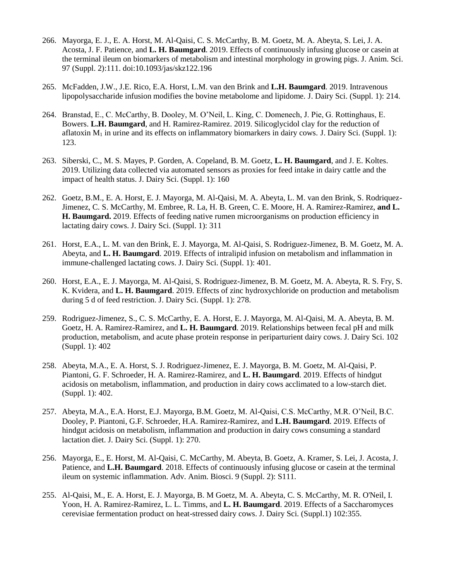- 266. Mayorga, E. J., E. A. Horst, M. Al-Qaisi, C. S. McCarthy, B. M. Goetz, M. A. Abeyta, S. Lei, J. A. Acosta, J. F. Patience, and **L. H. Baumgard**. 2019. Effects of continuously infusing glucose or casein at the terminal ileum on biomarkers of metabolism and intestinal morphology in growing pigs. J. Anim. Sci. 97 (Suppl. 2):111. doi:10.1093/jas/skz122.196
- 265. McFadden, J.W., J.E. Rico, E.A. Horst, L.M. van den Brink and **L.H. Baumgard**. 2019. Intravenous lipopolysaccharide infusion modifies the bovine metabolome and lipidome. J. Dairy Sci. (Suppl. 1): 214.
- 264. Branstad, E., C. McCarthy, B. Dooley, M. O'Neil, L. King, C. Domenech, J. Pie, G. Rottinghaus, E. Bowers. **L.H. Baumgard**, and H. Ramirez-Ramirez. 2019. Silicoglycidol clay for the reduction of aflatoxin  $M_1$  in urine and its effects on inflammatory biomarkers in dairy cows. J. Dairy Sci. (Suppl. 1): 123.
- 263. Siberski, C., M. S. Mayes, P. Gorden, A. Copeland, B. M. Goetz, **L. H. Baumgard**, and J. E. Koltes. 2019. Utilizing data collected via automated sensors as proxies for feed intake in dairy cattle and the impact of health status. J. Dairy Sci. (Suppl. 1): 160
- 262. Goetz, B.M., E. A. Horst, E. J. Mayorga, M. Al-Qaisi, M. A. Abeyta, L. M. van den Brink, S. Rodriquez-Jimenez, C. S. McCarthy, M. Embree, R. La, H. B. Green, C. E. Moore, H. A. Ramirez-Ramirez, **and L. H. Baumgard.** 2019. Effects of feeding native rumen microorganisms on production efficiency in lactating dairy cows. J. Dairy Sci. (Suppl. 1): 311
- 261. Horst, E.A., L. M. van den Brink, E. J. Mayorga, M. Al-Qaisi, S. Rodriguez-Jimenez, B. M. Goetz, M. A. Abeyta, and **L. H. Baumgard**. 2019. Effects of intralipid infusion on metabolism and inflammation in immune-challenged lactating cows. J. Dairy Sci. (Suppl. 1): 401.
- 260. Horst, E.A., E. J. Mayorga, M. Al-Qaisi, S. Rodriguez-Jimenez, B. M. Goetz, M. A. Abeyta, R. S. Fry, S. K. Kvidera, and **L. H. Baumgard**. 2019. Effects of zinc hydroxychloride on production and metabolism during 5 d of feed restriction. J. Dairy Sci. (Suppl. 1): 278.
- 259. Rodriguez-Jimenez, S., C. S. McCarthy, E. A. Horst, E. J. Mayorga, M. Al-Qaisi, M. A. Abeyta, B. M. Goetz, H. A. Ramirez-Ramirez, and **L. H. Baumgard**. 2019. Relationships between fecal pH and milk production, metabolism, and acute phase protein response in periparturient dairy cows. J. Dairy Sci. 102 (Suppl. 1): 402
- 258. Abeyta, M.A., E. A. Horst, S. J. Rodriguez-Jimenez, E. J. Mayorga, B. M. Goetz, M. Al-Qaisi, P. Piantoni, G. F. Schroeder, H. A. Ramirez-Ramirez, and **L. H. Baumgard**. 2019. Effects of hindgut acidosis on metabolism, inflammation, and production in dairy cows acclimated to a low-starch diet. (Suppl. 1): 402.
- 257. Abeyta, M.A., E.A. Horst, E.J. Mayorga, B.M. Goetz, M. Al-Qaisi, C.S. McCarthy, M.R. O'Neil, B.C. Dooley, P. Piantoni, G.F. Schroeder, H.A. Ramirez-Ramirez, and **L.H. Baumgard**. 2019. Effects of hindgut acidosis on metabolism, inflammation and production in dairy cows consuming a standard lactation diet. J. Dairy Sci. (Suppl. 1): 270.
- 256. Mayorga, E., E. Horst, M. Al-Qaisi, C. McCarthy, M. Abeyta, B. Goetz, A. Kramer, S. Lei, J. Acosta, J. Patience, and **L.H. Baumgard**. 2018. Effects of continuously infusing glucose or casein at the terminal ileum on systemic inflammation. Adv. Anim. Biosci. 9 (Suppl. 2): S111.
- 255. Al-Qaisi, M., E. A. Horst, E. J. Mayorga, B. M Goetz, M. A. Abeyta, C. S. McCarthy, M. R. O'Neil, I. Yoon, H. A. Ramirez-Ramirez, L. L. Timms, and **L. H. Baumgard**. 2019. Effects of a Saccharomyces cerevisiae fermentation product on heat-stressed dairy cows. J. Dairy Sci. (Suppl.1) 102:355.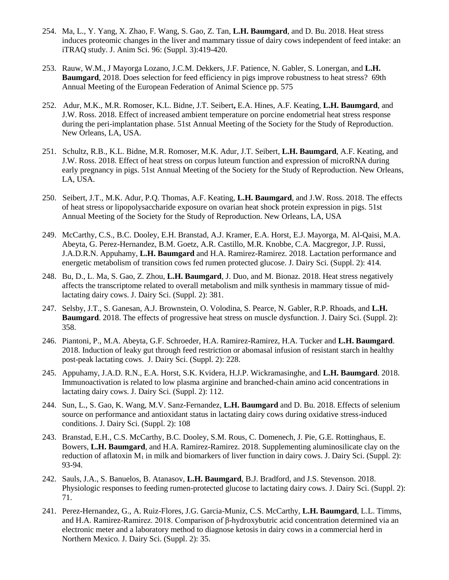- 254. Ma, L., Y. Yang, X. Zhao, F. Wang, S. Gao, Z. Tan, **L.H. Baumgard**, and D. Bu. 2018. Heat stress induces proteomic changes in the liver and mammary tissue of dairy cows independent of feed intake: an iTRAQ study. J. Anim Sci. 96: (Suppl. 3):419-420.
- 253. Rauw, W.M., J Mayorga Lozano, J.C.M. Dekkers, J.F. Patience, N. Gabler, S. Lonergan, and **L.H. Baumgard**, 2018. Does selection for feed efficiency in pigs improve robustness to heat stress? 69th Annual Meeting of the European Federation of Animal Science pp. 575
- 252. Adur, M.K., M.R. Romoser, K.L. Bidne, J.T. Seibert**,** E.A. Hines, A.F. Keating, **L.H. Baumgard**, and J.W. Ross. 2018. Effect of increased ambient temperature on porcine endometrial heat stress response during the peri-implantation phase. 51st Annual Meeting of the Society for the Study of Reproduction. New Orleans, LA, USA.
- 251. Schultz, R.B., K.L. Bidne, M.R. Romoser, M.K. Adur, J.T. Seibert, **L.H. Baumgard**, A.F. Keating, and J.W. Ross. 2018. Effect of heat stress on corpus luteum function and expression of microRNA during early pregnancy in pigs. 51st Annual Meeting of the Society for the Study of Reproduction. New Orleans, LA, USA.
- 250. Seibert, J.T., M.K. Adur, P.Q. Thomas, A.F. Keating, **L.H. Baumgard**, and J.W. Ross. 2018. The effects of heat stress or lipopolysaccharide exposure on ovarian heat shock protein expression in pigs. 51st Annual Meeting of the Society for the Study of Reproduction. New Orleans, LA, USA
- 249. McCarthy, C.S., B.C. Dooley, E.H. Branstad, A.J. Kramer, E.A. Horst, E.J. Mayorga, M. Al-Qaisi, M.A. Abeyta, G. Perez-Hernandez, B.M. Goetz, A.R. Castillo, M.R. Knobbe, C.A. Macgregor, J.P. Russi, J.A.D.R.N. Appuhamy, **L.H. Baumgard** and H.A. Ramirez-Ramirez. 2018. Lactation performance and energetic metabolism of transition cows fed rumen protected glucose. J. Dairy Sci. (Suppl. 2): 414.
- 248. Bu, D., L. Ma, S. Gao, Z. Zhou, **L.H. Baumgard**, J. Duo, and M. Bionaz. 2018. Heat stress negatively affects the transcriptome related to overall metabolism and milk synthesis in mammary tissue of midlactating dairy cows. J. Dairy Sci. (Suppl. 2): 381.
- 247. Selsby, J.T., S. Ganesan, A.J. Brownstein, O. Volodina, S. Pearce, N. Gabler, R.P. Rhoads, and **L.H. Baumgard**. 2018. The effects of progressive heat stress on muscle dysfunction. J. Dairy Sci. (Suppl. 2): 358.
- 246. Piantoni, P., M.A. Abeyta, G.F. Schroeder, H.A. Ramirez-Ramirez, H.A. Tucker and **L.H. Baumgard**. 2018. Induction of leaky gut through feed restriction or abomasal infusion of resistant starch in healthy post-peak lactating cows. J. Dairy Sci. (Suppl. 2): 228.
- 245. Appuhamy, J.A.D. R.N., E.A. Horst, S.K. Kvidera, H.J.P. Wickramasinghe, and **L.H. Baumgard**. 2018. Immunoactivation is related to low plasma arginine and branched-chain amino acid concentrations in lactating dairy cows. J. Dairy Sci. (Suppl. 2): 112.
- 244. Sun, L., S. Gao, K. Wang, M.V. Sanz-Fernandez, **L.H. Baumgard** and D. Bu. 2018. Effects of selenium source on performance and antioxidant status in lactating dairy cows during oxidative stress-induced conditions. J. Dairy Sci. (Suppl. 2): 108
- 243. Branstad, E.H., C.S. McCarthy, B.C. Dooley, S.M. Rous, C. Domenech, J. Pie, G.E. Rottinghaus, E. Bowers, **L.H. Baumgard**, and H.A. Ramirez-Ramirez. 2018. Supplementing aluminosilicate clay on the reduction of aflatoxin  $M_1$  in milk and biomarkers of liver function in dairy cows. J. Dairy Sci. (Suppl. 2): 93-94.
- 242. Sauls, J.A., S. Banuelos, B. Atanasov, **L.H. Baumgard**, B.J. Bradford, and J.S. Stevenson. 2018. Physiologic responses to feeding rumen-protected glucose to lactating dairy cows. J. Dairy Sci. (Suppl. 2): 71.
- 241. Perez-Hernandez, G., A. Ruiz-Flores, J.G. Garcia-Muniz, C.S. McCarthy, **L.H. Baumgard**, L.L. Timms, and H.A. Ramirez-Ramirez. 2018. Comparison of β-hydroxybutric acid concentration determined via an electronic meter and a laboratory method to diagnose ketosis in dairy cows in a commercial herd in Northern Mexico. J. Dairy Sci. (Suppl. 2): 35.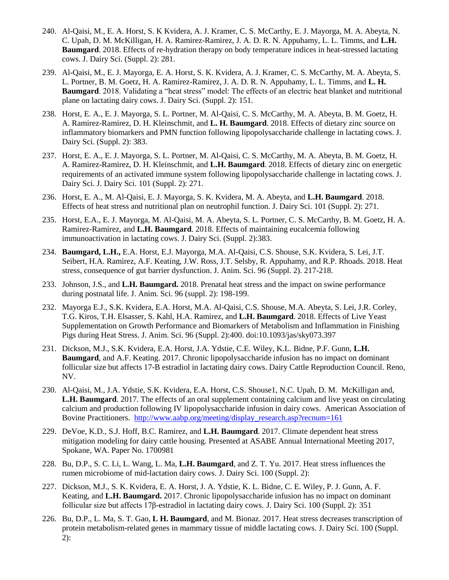- 240. Al-Qaisi, M., E. A. Horst, S. K Kvidera, A. J. Kramer, C. S. McCarthy, E. J. Mayorga, M. A. Abeyta, N. C. Upah, D. M. McKilligan, H. A. Ramirez-Ramirez, J. A. D. R. N. Appuhamy, L. L. Timms, and **L.H. Baumgard**. 2018. Effects of re-hydration therapy on body temperature indices in heat-stressed lactating cows. J. Dairy Sci. (Suppl. 2): 281.
- 239. Al-Qaisi, M., E. J. Mayorga, E. A. Horst, S. K. Kvidera, A. J. Kramer, C. S. McCarthy, M. A. Abeyta, S. L. Portner, B. M. Goetz, H. A. Ramirez-Ramirez, J. A. D. R. N. Appuhamy, L. L. Timms, and **L. H. Baumgard**. 2018. Validating a "heat stress" model: The effects of an electric heat blanket and nutritional plane on lactating dairy cows. J. Dairy Sci. (Suppl. 2): 151.
- 238. Horst, E. A., E. J. Mayorga, S. L. Portner, M. Al-Qaisi, C. S. McCarthy, M. A. Abeyta, B. M. Goetz, H. A. Ramirez-Ramirez, D. H. Kleinschmit, and **L. H. Baumgard**. 2018. Effects of dietary zinc source on inflammatory biomarkers and PMN function following lipopolysaccharide challenge in lactating cows. J. Dairy Sci. (Suppl. 2): 383.
- 237. Horst, E. A., E. J. Mayorga, S. L. Portner, M. Al-Qaisi, C. S. McCarthy, M. A. Abeyta, B. M. Goetz, H. A. Ramirez-Ramirez, D. H. Kleinschmit, and **L.H. Baumgard**. 2018. Effects of dietary zinc on energetic requirements of an activated immune system following lipopolysaccharide challenge in lactating cows. J. Dairy Sci. J. Dairy Sci. 101 (Suppl. 2): 271.
- 236. Horst, E. A., M. Al-Qaisi, E. J. Mayorga, S. K. Kvidera, M. A. Abeyta, and **L.H. Baumgard**. 2018. Effects of heat stress and nutritional plan on neutrophil function. J. Dairy Sci. 101 (Suppl. 2): 271.
- 235. Horst, E.A., E. J. Mayorga, M. Al-Qaisi, M. A. Abeyta, S. L. Portner, C. S. McCarthy, B. M. Goetz, H. A. Ramirez-Ramirez, and **L.H. Baumgard**. 2018. Effects of maintaining eucalcemia following immunoactivation in lactating cows. J. Dairy Sci. (Suppl. 2):383.
- 234. **Baumgard, L.H.,** E.A. Horst, E.J. Mayorga, M.A. Al-Qaisi, C.S. Shouse, S.K. Kvidera, S. Lei, J.T. Seibert, H.A. Ramirez, A.F. Keating, J.W. Ross, J.T. Selsby, R. Appuhamy, and R.P. Rhoads. 2018. Heat stress, consequence of gut barrier dysfunction. J. Anim. Sci. 96 (Suppl. 2). 217-218.
- 233. Johnson, J.S., and **L.H. Baumgard.** 2018. Prenatal heat stress and the impact on swine performance during postnatal life. J. Anim. Sci. 96 (suppl. 2): 198-199.
- 232. Mayorga E.J., S.K. Kvidera, E.A. Horst, M.A. Al-Qaisi, C.S. Shouse, M.A. Abeyta, S. Lei, J.R. Corley, T.G. Kiros, T.H. Elsasser, S. Kahl, H.A. Ramirez, and **L.H. Baumgard**. 2018. Effects of Live Yeast Supplementation on Growth Performance and Biomarkers of Metabolism and Inflammation in Finishing Pigs during Heat Stress. J. Anim. Sci. 96 (Suppl. 2):400. doi:10.1093/jas/sky073.397
- 231. Dickson, M.J., S.K. Kvidera, E.A. Horst, J.A. Ydstie, C.E. Wiley, K.L. Bidne, P.F. Gunn, **L.H. Baumgard**, and A.F. Keating. 2017. Chronic lipopolysaccharide infusion has no impact on dominant follicular size but affects 17-B estradiol in lactating dairy cows. Dairy Cattle Reproduction Council. Reno, NV.
- 230. Al-Qaisi, M., J.A. Ydstie, S.K. Kvidera, E.A. Horst, C.S. Shouse1, N.C. Upah, D. M. McKilligan and, **L.H. Baumgard**. 2017. The effects of an oral supplement containing calcium and live yeast on circulating calcium and production following IV lipopolysaccharide infusion in dairy cows. American Association of Bovine Practitioners. [http://www.aabp.org/meeting/display\\_research.asp?recnum=161](http://www.aabp.org/meeting/display_research.asp?recnum=161)
- 229. DeVoe, K.D., S.J. Hoff, B.C. Ramirez, and **L.H. Baumgard**. 2017. Climate dependent heat stress mitigation modeling for dairy cattle housing. Presented at ASABE Annual International Meeting 2017, Spokane, WA. Paper No. 1700981
- 228. Bu, D.P., S. C. Li, L. Wang, L. Ma, **L.H. Baumgard**, and Z. T. Yu. 2017. Heat stress influences the rumen microbiome of mid-lactation dairy cows. J. Dairy Sci. 100 (Suppl. 2):
- 227. Dickson, M.J., S. K. Kvidera, E. A. Horst, J. A. Ydstie, K. L. Bidne, C. E. Wiley, P. J. Gunn, A. F. Keating, and **L.H. Baumgard.** 2017. Chronic lipopolysaccharide infusion has no impact on dominant follicular size but affects 17β-estradiol in lactating dairy cows. J. Dairy Sci. 100 (Suppl. 2): 351
- 226. Bu, D.P., L. Ma, S. T. Gao, **L H. Baumgard**, and M. Bionaz. 2017. Heat stress decreases transcription of protein metabolism-related genes in mammary tissue of middle lactating cows. J. Dairy Sci. 100 (Suppl. 2):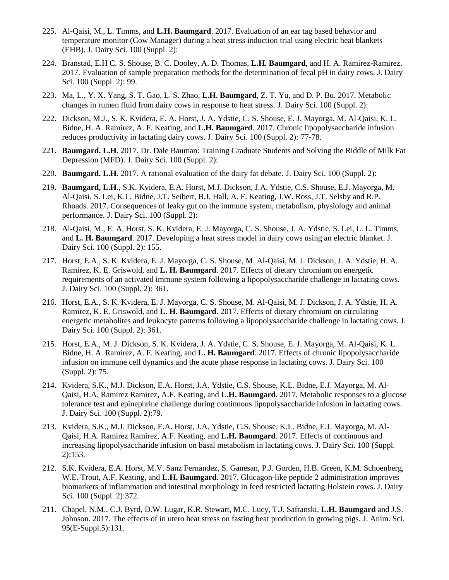- 225. Al-Qaisi, M., L. Timms, and **L.H. Baumgard**. 2017. Evaluation of an ear tag based behavior and temperature monitor (Cow Manager) during a heat stress induction trial using electric heat blankets (EHB). J. Dairy Sci. 100 (Suppl. 2):
- 224. Branstad, E.H C. S. Shouse, B. C. Dooley, A. D. Thomas, **L.H. Baumgard**, and H. A. Ramirez-Ramirez. 2017. Evaluation of sample preparation methods for the determination of fecal pH in dairy cows. J. Dairy Sci. 100 (Suppl. 2): 99.
- 223. Ma, L., Y. X. Yang, S. T. Gao, L. S. Zhao, **L.H. Baumgard**, Z. T. Yu, and D. P. Bu. 2017. Metabolic changes in rumen fluid from dairy cows in response to heat stress. J. Dairy Sci. 100 (Suppl. 2):
- 222. Dickson, M.J., S. K. Kvidera, E. A. Horst, J. A. Ydstie, C. S. Shouse, E. J. Mayorga, M. Al-Qaisi, K. L. Bidne, H. A. Ramirez, A. F. Keating, and **L.H. Baumgard**. 2017. Chronic lipopolysaccharide infusion reduces productivity in lactating dairy cows. J. Dairy Sci. 100 (Suppl. 2): 77-78.
- 221. **Baumgard. L.H**. 2017. Dr. Dale Bauman: Training Graduate Students and Solving the Riddle of Milk Fat Depression (MFD). J. Dairy Sci. 100 (Suppl. 2):
- 220. **Baumgard. L.H**. 2017. A rational evaluation of the dairy fat debate. J. Dairy Sci. 100 (Suppl. 2):
- 219. **Baumgard, L.H**., S.K. Kvidera, E.A. Horst, M.J. Dickson, J.A. Ydstie, C.S. Shouse, E.J. Mayorga, M. Al-Qaisi, S. Lei, K.L. Bidne, J.T. Seibert, B.J. Hall, A. F. Keating, J.W. Ross, J.T. Selsby and R.P. Rhoads. 2017. Consequences of leaky gut on the immune system, metabolism, physiology and animal performance. J. Dairy Sci. 100 (Suppl. 2):
- 218. Al-Qaisi, M., E. A. Horst, S. K. Kvidera, E. J. Mayorga, C. S. Shouse, J. A. Ydstie, S. Lei, L. L. Timms, and **L. H. Baumgard**. 2017. Developing a heat stress model in dairy cows using an electric blanket. J. Dairy Sci. 100 (Suppl. 2): 155.
- 217. Horst, E.A., S. K. Kvidera, E. J. Mayorga, C. S. Shouse, M. Al-Qaisi, M. J. Dickson, J. A. Ydstie, H. A. Ramirez, K. E. Griswold, and **L. H. Baumgard**. 2017. Effects of dietary chromium on energetic requirements of an activated immune system following a lipopolysaccharide challenge in lactating cows. J. Dairy Sci. 100 (Suppl. 2): 361.
- 216. Horst, E.A., S. K. Kvidera, E. J. Mayorga, C. S. Shouse, M. Al-Qaisi, M. J. Dickson, J. A. Ydstie, H. A. Ramirez, K. E. Griswold, and **L. H. Baumgard.** 2017. Effects of dietary chromium on circulating energetic metabolites and leukocyte patterns following a lipopolysaccharide challenge in lactating cows. J. Dairy Sci. 100 (Suppl. 2): 361.
- 215. Horst, E.A., M. J. Dickson, S. K. Kvidera, J. A. Ydstie, C. S. Shouse, E. J. Mayorga, M. Al-Qaisi, K. L. Bidne, H. A. Ramirez, A. F. Keating, and **L. H. Baumgard**. 2017. Effects of chronic lipopolysaccharide infusion on immune cell dynamics and the acute phase response in lactating cows. J. Dairy Sci. 100 (Suppl. 2): 75.
- 214. Kvidera, S.K., M.J. Dickson, E.A. Horst, J.A. Ydstie, C.S. Shouse, K.L. Bidne, E.J. Mayorga, M. Al-Qaisi, H.A. Ramirez Ramirez, A.F. Keating, and **L.H. Baumgard**. 2017. Metabolic responses to a glucose tolerance test and epinephrine challenge during continuous lipopolysaccharide infusion in lactating cows. J. Dairy Sci. 100 (Suppl. 2):79.
- 213. Kvidera, S.K., M.J. Dickson, E.A. Horst, J.A. Ydstie, C.S. Shouse, K.L. Bidne, E.J. Mayorga, M. Al-Qaisi, H.A. Ramirez Ramirez, A.F. Keating, and **L.H. Baumgard**. 2017. Effects of continuous and increasing lipopolysaccharide infusion on basal metabolism in lactating cows. J. Dairy Sci. 100 (Suppl. 2):153.
- 212. S.K. Kvidera, E.A. Horst, M.V. Sanz Fernandez, S. Ganesan, P.J. Gorden, H.B. Green, K.M. Schoenberg, W.E. Trout, A.F. Keating, and **L.H. Baumgard**. 2017. Glucagon-like peptide 2 administration improves biomarkers of inflammation and intestinal morphology in feed restricted lactating Holstein cows. J. Dairy Sci. 100 (Suppl. 2):372.
- 211. Chapel, N.M., C.J. Byrd, D.W. Lugar, K.R. Stewart, M.C. Lucy, T.J. Safranski, **L.H. Baumgard** and J.S. Johnson. 2017. The effects of in utero heat stress on fasting heat production in growing pigs. J. Anim. Sci. 95(E-Suppl.5):131.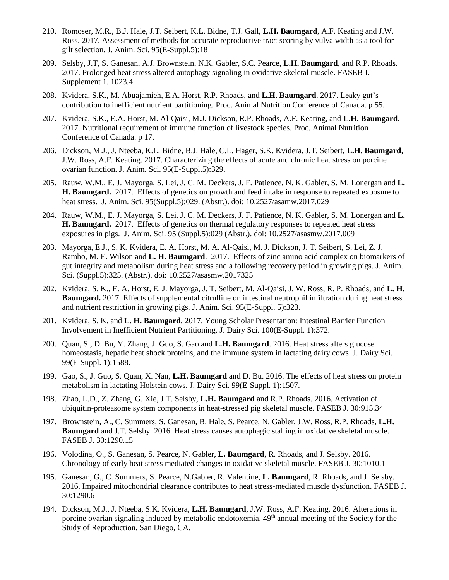- 210. Romoser, M.R., B.J. Hale, J.T. Seibert, K.L. Bidne, T.J. Gall, **L.H. Baumgard**, A.F. Keating and J.W. Ross. 2017. Assessment of methods for accurate reproductive tract scoring by vulva width as a tool for gilt selection. J. Anim. Sci. 95(E-Suppl.5):18
- 209. Selsby, J.T, S. Ganesan, A.J. Brownstein, N.K. Gabler, S.C. Pearce, **L.H. Baumgard**, and R.P. Rhoads. 2017. Prolonged heat stress altered autophagy signaling in oxidative skeletal muscle. FASEB J. Supplement 1. 1023.4
- 208. Kvidera, S.K., M. Abuajamieh, E.A. Horst, R.P. Rhoads, and **L.H. Baumgard**. 2017. Leaky gut's contribution to inefficient nutrient partitioning. Proc. Animal Nutrition Conference of Canada. p 55.
- 207. Kvidera, S.K., E.A. Horst, M. Al-Qaisi, M.J. Dickson, R.P. Rhoads, A.F. Keating, and **L.H. Baumgard**. 2017. Nutritional requirement of immune function of livestock species. Proc. Animal Nutrition Conference of Canada. p 17.
- 206. Dickson, M.J., J. Nteeba, K.L. Bidne, B.J. Hale, C.L. Hager, S.K. Kvidera, J.T. Seibert, **L.H. Baumgard**, J.W. Ross, A.F. Keating. 2017. Characterizing the effects of acute and chronic heat stress on porcine ovarian function. J. Anim. Sci. 95(E-Suppl.5):329.
- 205. Rauw, W.M., E. J. Mayorga, S. Lei, J. C. M. Deckers, J. F. Patience, N. K. Gabler, S. M. Lonergan and **L. H. Baumgard.** 2017. Effects of genetics on growth and feed intake in response to repeated exposure to heat stress. J. Anim. Sci. 95(Suppl.5):029. (Abstr.). doi: 10.2527/asamw.2017.029
- 204. Rauw, W.M., E. J. Mayorga, S. Lei, J. C. M. Deckers, J. F. Patience, N. K. Gabler, S. M. Lonergan and **L. H. Baumgard.** 2017. Effects of genetics on thermal regulatory responses to repeated heat stress exposures in pigs. J. Anim. Sci. 95 (Suppl.5):029 (Abstr.). doi: 10.2527/asasmw.2017.009
- 203. Mayorga, E.J., S. K. Kvidera, E. A. Horst, M. A. Al-Qaisi, M. J. Dickson, J. T. Seibert, S. Lei, Z. J. Rambo, M. E. Wilson and **L. H. Baumgard**. 2017. Effects of zinc amino acid complex on biomarkers of gut integrity and metabolism during heat stress and a following recovery period in growing pigs. J. Anim. Sci. (Suppl.5):325. (Abstr.). doi: 10.2527/asasmw.2017325
- 202. Kvidera, S. K., E. A. Horst, E. J. Mayorga, J. T. Seibert, M. Al-Qaisi, J. W. Ross, R. P. Rhoads, and **L. H. Baumgard.** 2017. Effects of supplemental citrulline on intestinal neutrophil infiltration during heat stress and nutrient restriction in growing pigs. J. Anim. Sci. 95(E-Suppl. 5):323.
- 201. Kvidera, S. K. and **L. H. Baumgard**. 2017. Young Scholar Presentation: Intestinal Barrier Function Involvement in Inefficient Nutrient Partitioning. J. Dairy Sci. 100(E-Suppl. 1):372.
- 200. Quan, S., D. Bu, Y. Zhang, J. Guo, S. Gao and **L.H. Baumgard**. 2016. Heat stress alters glucose homeostasis, hepatic heat shock proteins, and the immune system in lactating dairy cows. J. Dairy Sci. 99(E-Suppl. 1):1588.
- 199. Gao, S., J. Guo, S. Quan, X. Nan, **L.H. Baumgard** and D. Bu. 2016. The effects of heat stress on protein metabolism in lactating Holstein cows. J. Dairy Sci. 99(E-Suppl. 1):1507.
- 198. Zhao, L.D., Z. Zhang, G. Xie, J.T. Selsby, **L.H. Baumgard** and R.P. Rhoads. 2016. Activation of ubiquitin-proteasome system components in heat-stressed pig skeletal muscle. FASEB J. 30:915.34
- 197. Brownstein, A., C. Summers, S. Ganesan, B. Hale, S. Pearce, N. Gabler, J.W. Ross, R.P. Rhoads, **L.H. Baumgard** and J.T. Selsby. 2016. Heat stress causes autophagic stalling in oxidative skeletal muscle. FASEB J. 30:1290.15
- 196. Volodina, O., S. Ganesan, S. Pearce, N. Gabler, **L. Baumgard**, R. Rhoads, and J. Selsby. 2016. Chronology of early heat stress mediated changes in oxidative skeletal muscle. FASEB J. 30:1010.1
- 195. Ganesan, G., C. Summers, S. Pearce, N.Gabler, R. Valentine, **L. Baumgard**, R. Rhoads, and J. Selsby. 2016. Impaired mitochondrial clearance contributes to heat stress-mediated muscle dysfunction. FASEB J. 30:1290.6
- 194. Dickson, M.J., J. Nteeba, S.K. Kvidera, **L.H. Baumgard**, J.W. Ross, A.F. Keating. 2016. Alterations in porcine ovarian signaling induced by metabolic endotoxemia. 49<sup>th</sup> annual meeting of the Society for the Study of Reproduction. San Diego, CA.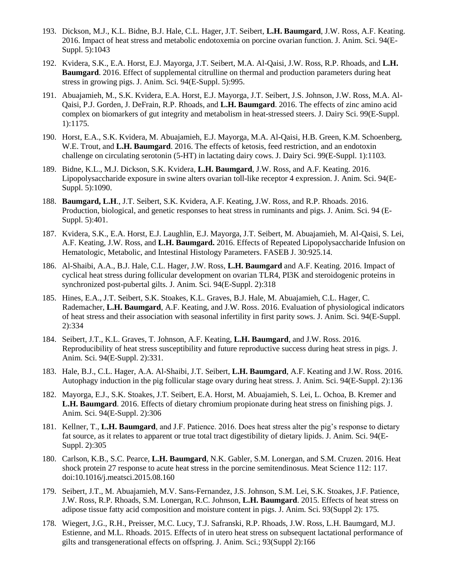- 193. Dickson, M.J., K.L. Bidne, B.J. Hale, C.L. Hager, J.T. Seibert, **L.H. Baumgard**, J.W. Ross, A.F. Keating. 2016. Impact of heat stress and metabolic endotoxemia on porcine ovarian function. J. Anim. Sci. 94(E-Suppl. 5):1043
- 192. Kvidera, S.K., E.A. Horst, E.J. Mayorga, J.T. Seibert, M.A. Al-Qaisi, J.W. Ross, R.P. Rhoads, and **L.H. Baumgard**. 2016. Effect of supplemental citrulline on thermal and production parameters during heat stress in growing pigs. J. Anim. Sci. 94(E-Suppl. 5):995.
- 191. Abuajamieh, M., S.K. Kvidera, E.A. Horst, E.J. Mayorga, J.T. Seibert, J.S. Johnson, J.W. Ross, M.A. Al-Qaisi, P.J. Gorden, J. DeFrain, R.P. Rhoads, and **L.H. Baumgard**. 2016. The effects of zinc amino acid complex on biomarkers of gut integrity and metabolism in heat-stressed steers. J. Dairy Sci. 99(E-Suppl. 1):1175.
- 190. Horst, E.A., S.K. Kvidera, M. Abuajamieh, E.J. Mayorga, M.A. Al-Qaisi, H.B. Green, K.M. Schoenberg, W.E. Trout, and **L.H. Baumgard**. 2016. The effects of ketosis, feed restriction, and an endotoxin challenge on circulating serotonin (5-HT) in lactating dairy cows. J. Dairy Sci. 99(E-Suppl. 1):1103.
- 189. Bidne, K.L., M.J. Dickson, S.K. Kvidera, **L.H. Baumgard**, J.W. Ross, and A.F. Keating. 2016. Lipopolysaccharide exposure in swine alters ovarian toll-like receptor 4 expression. J. Anim. Sci. 94(E-Suppl. 5):1090.
- 188. **Baumgard, L.H**., J.T. Seibert, S.K. Kvidera, A.F. Keating, J.W. Ross, and R.P. Rhoads. 2016. Production, biological, and genetic responses to heat stress in ruminants and pigs. J. Anim. Sci. 94 (E-Suppl. 5):401.
- 187. Kvidera, S.K., E.A. Horst, E.J. Laughlin, E.J. Mayorga, J.T. Seibert, M. Abuajamieh, M. Al-Qaisi, S. Lei, A.F. Keating, J.W. Ross, and **L.H. Baumgard.** 2016. Effects of Repeated Lipopolysaccharide Infusion on Hematologic, Metabolic, and Intestinal Histology Parameters. FASEB J. 30:925.14.
- 186. Al-Shaibi, A.A., B.J. Hale, C.L. Hager, J.W. Ross, **L.H. Baumgard** and A.F. Keating. 2016. Impact of cyclical heat stress during follicular development on ovarian TLR4, PI3K and steroidogenic proteins in synchronized post-pubertal gilts. J. Anim. Sci. 94(E-Suppl. 2):318
- 185. Hines, E.A., J.T. Seibert, S.K. Stoakes, K.L. Graves, B.J. Hale, M. Abuajamieh, C.L. Hager, C. Rademacher, **L.H. Baumgard**, A.F. Keating, and J.W. Ross. 2016. Evaluation of physiological indicators of heat stress and their association with seasonal infertility in first parity sows. J. Anim. Sci. 94(E-Suppl. 2):334
- 184. Seibert, J.T., K.L. Graves, T. Johnson, A.F. Keating, **L.H. Baumgard**, and J.W. Ross. 2016. Reproducibility of heat stress susceptibility and future reproductive success during heat stress in pigs. J. Anim. Sci. 94(E-Suppl. 2):331.
- 183. Hale, B.J., C.L. Hager, A.A. Al-Shaibi, J.T. Seibert, **L.H. Baumgard**, A.F. Keating and J.W. Ross. 2016. Autophagy induction in the pig follicular stage ovary during heat stress. J. Anim. Sci. 94(E-Suppl. 2):136
- 182. Mayorga, E.J., S.K. Stoakes, J.T. Seibert, E.A. Horst, M. Abuajamieh, S. Lei, L. Ochoa, B. Kremer and **L.H. Baumgard**. 2016. Effects of dietary chromium propionate during heat stress on finishing pigs. J. Anim. Sci. 94(E-Suppl. 2):306
- 181. Kellner, T., **L.H. Baumgard**, and J.F. Patience. 2016. Does heat stress alter the pig's response to dietary fat source, as it relates to apparent or true total tract digestibility of dietary lipids. J. Anim. Sci. 94(E-Suppl. 2):305
- 180. Carlson, K.B., S.C. Pearce, **L.H. Baumgard**, N.K. Gabler, S.M. Lonergan, and S.M. Cruzen. 2016. Heat shock protein 27 response to acute heat stress in the porcine semitendinosus. Meat Science 112: 117. doi:10.1016/j.meatsci.2015.08.160
- 179. Seibert, J.T., M. Abuajamieh, M.V. Sans-Fernandez, J.S. Johnson, S.M. Lei, S.K. Stoakes, J.F. Patience, J.W. Ross, R.P. Rhoads, S.M. Lonergan, R.C. Johnson, **L.H. Baumgard**. 2015. Effects of heat stress on adipose tissue fatty acid composition and moisture content in pigs. J. Anim. Sci. 93(Suppl 2): 175.
- 178. Wiegert, J.G., R.H., Preisser, M.C. Lucy, T.J. Safranski, R.P. Rhoads, J.W. Ross, L.H. Baumgard, M.J. Estienne, and M.L. Rhoads. 2015. Effects of in utero heat stress on subsequent lactational performance of gilts and transgenerational effects on offspring. J. Anim. Sci.; 93(Suppl 2):166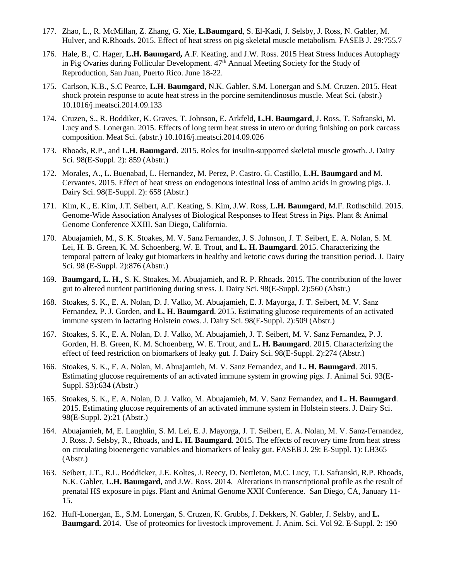- 177. Zhao, L., R. McMillan, Z. Zhang, G. Xie, **L.Baumgard**, S. El-Kadi, J. Selsby, J. Ross, N. Gabler, M. Hulver, and R.Rhoads. 2015. Effect of heat stress on pig skeletal muscle metabolism. FASEB J. 29:755.7
- 176. Hale, B., C. Hager, **L.H. Baumgard,** A.F. Keating, and J.W. Ross. 2015 Heat Stress Induces Autophagy in Pig Ovaries during Follicular Development.  $47<sup>th</sup>$  Annual Meeting Society for the Study of Reproduction, San Juan, Puerto Rico. June 18-22.
- 175. Carlson, K.B., S.C Pearce, **L.H. Baumgard**, N.K. Gabler, S.M. Lonergan and S.M. Cruzen. 2015. Heat shock protein response to acute heat stress in the porcine semitendinosus muscle. Meat Sci. (abstr.) 10.1016/j.meatsci.2014.09.133
- 174. Cruzen, S., R. Boddiker, K. Graves, T. Johnson, E. Arkfeld, **L.H. Baumgard**, J. Ross, T. Safranski, M. Lucy and S. Lonergan. 2015. Effects of long term heat stress in utero or during finishing on pork carcass composition. Meat Sci. (abstr.) 10.1016/j.meatsci.2014.09.026
- 173. Rhoads, R.P., and **L.H. Baumgard**. 2015. Roles for insulin-supported skeletal muscle growth. J. Dairy Sci. 98(E-Suppl. 2): 859 (Abstr.)
- 172. Morales, A., L. Buenabad, L. Hernandez, M. Perez, P. Castro. G. Castillo, **L.H. Baumgard** and M. Cervantes. 2015. Effect of heat stress on endogenous intestinal loss of amino acids in growing pigs. J. Dairy Sci. 98(E-Suppl. 2): 658 (Abstr.)
- 171. Kim, K., E. Kim, J.T. Seibert, A.F. Keating, S. Kim, J.W. Ross, **L.H. Baumgard**, M.F. Rothschild. 2015. Genome-Wide Association Analyses of Biological Responses to Heat Stress in Pigs. Plant & Animal Genome Conference XXIII. San Diego, California.
- 170. Abuajamieh, M., S. K. Stoakes, M. V. Sanz Fernandez, J. S. Johnson, J. T. Seibert, E. A. Nolan, S. M. Lei, H. B. Green, K. M. Schoenberg, W. E. Trout, and **L. H. Baumgard**. 2015. Characterizing the temporal pattern of leaky gut biomarkers in healthy and ketotic cows during the transition period. J. Dairy Sci. 98 (E-Suppl. 2):876 (Abstr.)
- 169. **Baumgard, L. H.,** S. K. Stoakes, M. Abuajamieh, and R. P. Rhoads. 2015. The contribution of the lower gut to altered nutrient partitioning during stress. J. Dairy Sci. 98(E-Suppl. 2):560 (Abstr.)
- 168. Stoakes, S. K., E. A. Nolan, D. J. Valko, M. Abuajamieh, E. J. Mayorga, J. T. Seibert, M. V. Sanz Fernandez, P. J. Gorden, and **L. H. Baumgard**. 2015. Estimating glucose requirements of an activated immune system in lactating Holstein cows. J. Dairy Sci. 98(E-Suppl. 2):509 (Abstr.)
- 167. Stoakes, S. K., E. A. Nolan, D. J. Valko, M. Abuajamieh, J. T. Seibert, M. V. Sanz Fernandez, P. J. Gorden, H. B. Green, K. M. Schoenberg, W. E. Trout, and **L. H. Baumgard**. 2015. Characterizing the effect of feed restriction on biomarkers of leaky gut. J. Dairy Sci. 98(E-Suppl. 2):274 (Abstr.)
- 166. Stoakes, S. K., E. A. Nolan, M. Abuajamieh, M. V. Sanz Fernandez, and **L. H. Baumgard**. 2015. Estimating glucose requirements of an activated immune system in growing pigs. J. Animal Sci. 93(E-Suppl. S3):634 (Abstr.)
- 165. Stoakes, S. K., E. A. Nolan, D. J. Valko, M. Abuajamieh, M. V. Sanz Fernandez, and **L. H. Baumgard**. 2015. Estimating glucose requirements of an activated immune system in Holstein steers. J. Dairy Sci. 98(E-Suppl. 2):21 (Abstr.)
- 164. Abuajamieh, M, E. Laughlin, S. M. Lei, E. J. Mayorga, J. T. Seibert, E. A. Nolan, M. V. Sanz-Fernandez, J. Ross. J. Selsby, R., Rhoads, and **L. H. Baumgard**. 2015. The effects of recovery time from heat stress on circulating bioenergetic variables and biomarkers of leaky gut. FASEB J. 29: E-Suppl. 1): LB365 (Abstr.)
- 163. Seibert, J.T., R.L. Boddicker, J.E. Koltes, J. Reecy, D. Nettleton, M.C. Lucy, T.J. Safranski, R.P. Rhoads, N.K. Gabler, **L.H. Baumgard**, and J.W. Ross. 2014. Alterations in transcriptional profile as the result of prenatal HS exposure in pigs. Plant and Animal Genome XXII Conference. San Diego, CA, January 11- 15.
- 162. Huff-Lonergan, E., S.M. Lonergan, S. Cruzen, K. Grubbs, J. Dekkers, N. Gabler, J. Selsby, and **L. Baumgard.** 2014. Use of proteomics for livestock improvement. J. Anim. Sci. Vol 92. E-Suppl. 2: 190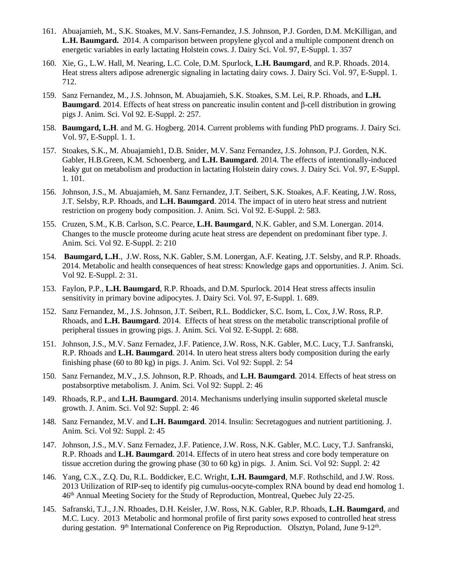- 161. Abuajamieh, M., S.K. Stoakes, M.V. Sans-Fernandez, J.S. Johnson, P.J. Gorden, D.M. McKilligan, and **L.H. Baumgard.** 2014. A comparison between propylene glycol and a multiple component drench on energetic variables in early lactating Holstein cows. J. Dairy Sci. Vol. 97, E-Suppl. 1. 357
- 160. Xie, G., L.W. Hall, M. Nearing, L.C. Cole, D.M. Spurlock, **L.H. Baumgard**, and R.P. Rhoads. 2014. Heat stress alters adipose adrenergic signaling in lactating dairy cows. J. Dairy Sci. Vol. 97, E-Suppl. 1. 712.
- 159. Sanz Fernandez, M., J.S. Johnson, M. Abuajamieh, S.K. Stoakes, S.M. Lei, R.P. Rhoads, and **L.H. Baumgard**. 2014. Effects of heat stress on pancreatic insulin content and β-cell distribution in growing pigs J. Anim. Sci. Vol 92. E-Suppl. 2: 257.
- 158. **Baumgard, L.H**. and M. G. Hogberg. 2014. Current problems with funding PhD programs. J. Dairy Sci. Vol. 97, E-Suppl. 1. 1.
- 157. Stoakes, S.K., M. Abuajamieh1, D.B. Snider, M.V. Sanz Fernandez, J.S. Johnson, P.J. Gorden, N.K. Gabler, H.B.Green, K.M. Schoenberg, and **L.H. Baumgard**. 2014. The effects of intentionally-induced leaky gut on metabolism and production in lactating Holstein dairy cows. J. Dairy Sci. Vol. 97, E-Suppl. 1. 101.
- 156. Johnson, J.S., M. Abuajamieh, M. Sanz Fernandez, J.T. Seibert, S.K. Stoakes, A.F. Keating, J.W. Ross, J.T. Selsby, R.P. Rhoads, and **L.H. Baumgard**. 2014. The impact of in utero heat stress and nutrient restriction on progeny body composition. J. Anim. Sci. Vol 92. E-Suppl. 2: 583.
- 155. Cruzen, S.M., K.B. Carlson, S.C. Pearce, **L.H. Baumgard**, N.K. Gabler, and S.M. Lonergan. 2014. Changes to the muscle proteome during acute heat stress are dependent on predominant fiber type. J. Anim. Sci. Vol 92. E-Suppl. 2: 210
- 154. **Baumgard, L.H**., J.W. Ross, N.K. Gabler, S.M. Lonergan, A.F. Keating, J.T. Selsby, and R.P. Rhoads. 2014. Metabolic and health consequences of heat stress: Knowledge gaps and opportunities. J. Anim. Sci. Vol 92. E-Suppl. 2: 31.
- 153. Faylon, P.P., **L.H. Baumgard**, R.P. Rhoads, and D.M. Spurlock. 2014 Heat stress affects insulin sensitivity in primary bovine adipocytes. J. Dairy Sci. Vol. 97, E-Suppl. 1. 689.
- 152. Sanz Fernandez, M., J.S. Johnson, J.T. Seibert, R.L. Boddicker, S.C. Isom, L. Cox, J.W. Ross, R.P. Rhoads, and **L.H. Baumgard**. 2014. Effects of heat stress on the metabolic transcriptional profile of peripheral tissues in growing pigs. J. Anim. Sci. Vol 92. E-Suppl. 2: 688.
- 151. Johnson, J.S., M.V. Sanz Fernadez, J.F. Patience, J.W. Ross, N.K. Gabler, M.C. Lucy, T.J. Sanfranski, R.P. Rhoads and **L.H. Baumgard**. 2014. In utero heat stress alters body composition during the early finishing phase (60 to 80 kg) in pigs. J. Anim. Sci. Vol 92: Suppl. 2: 54
- 150. Sanz Fernandez, M.V., J.S. Johnson, R.P. Rhoads, and **L.H. Baumgard**. 2014. Effects of heat stress on postabsorptive metabolism. J. Anim. Sci. Vol 92: Suppl. 2: 46
- 149. Rhoads, R.P., and **L.H. Baumgard**. 2014. Mechanisms underlying insulin supported skeletal muscle growth. J. Anim. Sci. Vol 92: Suppl. 2: 46
- 148. Sanz Fernandez, M.V. and **L.H. Baumgard**. 2014. Insulin: Secretagogues and nutrient partitioning. J. Anim. Sci. Vol 92: Suppl. 2: 45
- 147. Johnson, J.S., M.V. Sanz Fernadez, J.F. Patience, J.W. Ross, N.K. Gabler, M.C. Lucy, T.J. Sanfranski, R.P. Rhoads and **L.H. Baumgard**. 2014. Effects of in utero heat stress and core body temperature on tissue accretion during the growing phase (30 to 60 kg) in pigs. J. Anim. Sci. Vol 92: Suppl. 2: 42
- 146. Yang, C.X., Z.Q. Du, R.L. Boddicker, E.C. Wright, **L.H. Baumgard**, M.F. Rothschild, and J.W. Ross. 2013 Utilization of RIP-seq to identify pig cumulus-oocyte-complex RNA bound by dead end homolog 1. 46th Annual Meeting Society for the Study of Reproduction, Montreal, Quebec July 22-25.
- 145. Safranski, T.J., J.N. Rhoades, D.H. Keisler, J.W. Ross, N.K. Gabler, R.P. Rhoads, **L.H. Baumgard**, and M.C. Lucy. 2013 Metabolic and hormonal profile of first parity sows exposed to controlled heat stress during gestation. 9<sup>th</sup> International Conference on Pig Reproduction. Olsztyn, Poland, June 9-12<sup>th</sup>.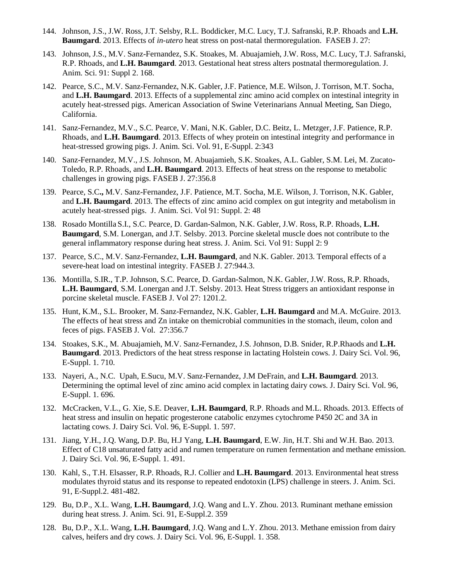- 144. Johnson, J.S., J.W. Ross, J.T. Selsby, R.L. Boddicker, M.C. Lucy, T.J. Safranski, R.P. Rhoads and **L.H. Baumgard**. 2013. Effects of *in-utero* heat stress on post-natal thermoregulation. FASEB J. 27:
- 143. Johnson, J.S., M.V. Sanz-Fernandez, S.K. Stoakes, M. Abuajamieh, J.W. Ross, M.C. Lucy, T.J. Safranski, R.P. Rhoads, and **L.H. Baumgard**. 2013. Gestational heat stress alters postnatal thermoregulation. J. Anim. Sci. 91: Suppl 2. 168.
- 142. Pearce, S.C., M.V. Sanz-Fernandez, N.K. Gabler, J.F. Patience, M.E. Wilson, J. Torrison, M.T. Socha, and **L.H. Baumgard**. 2013. Effects of a supplemental zinc amino acid complex on intestinal integrity in acutely heat-stressed pigs. American Association of Swine Veterinarians Annual Meeting, San Diego, California.
- 141. Sanz-Fernandez, M.V., S.C. Pearce, V. Mani, N.K. Gabler, D.C. Beitz, L. Metzger, J.F. Patience, R.P. Rhoads, and **L.H. Baumgard**. 2013. Effects of whey protein on intestinal integrity and performance in heat-stressed growing pigs. J. Anim. Sci. Vol. 91, E-Suppl. 2:343
- 140. Sanz-Fernandez, M.V., J.S. Johnson, M. Abuajamieh, S.K. Stoakes, A.L. Gabler, S.M. Lei, M. Zucato-Toledo, R.P. Rhoads, and **L.H. Baumgard**. 2013. Effects of heat stress on the response to metabolic challenges in growing pigs. FASEB J. 27:356.8
- 139. Pearce, S.C**.,** M.V. Sanz-Fernandez, J.F. Patience, M.T. Socha, M.E. Wilson, J. Torrison, N.K. Gabler, and **L.H. Baumgard**. 2013. The effects of zinc amino acid complex on gut integrity and metabolism in acutely heat-stressed pigs. J. Anim. Sci. Vol 91: Suppl. 2: 48
- 138. Rosado Montilla S.I., S.C. Pearce, D. Gardan-Salmon, N.K. Gabler, J.W. Ross, R.P. Rhoads, **L.H. Baumgard**, S.M. Lonergan, and J.T. Selsby. 2013. Porcine skeletal muscle does not contribute to the general inflammatory response during heat stress. J. Anim. Sci. Vol 91: Suppl 2: 9
- 137. Pearce, S.C., M.V. Sanz-Fernandez, **L.H. Baumgard**, and N.K. Gabler. 2013. Temporal effects of a severe-heat load on intestinal integrity. FASEB J. 27:944.3.
- 136. Montilla, S.IR., T.P. Johnson, S.C. Pearce, D. Gardan-Salmon, N.K. Gabler, J.W. Ross, R.P. Rhoads, **L.H. Baumgard**, S.M. Lonergan and J.T. Selsby. 2013. Heat Stress triggers an antioxidant response in porcine skeletal muscle. FASEB J. Vol 27: 1201.2.
- 135. Hunt, K.M., S.L. Brooker, M. Sanz-Fernandez, N.K. Gabler, **L.H. Baumgard** and M.A. McGuire. 2013. The effects of heat stress and Zn intake on themicrobial communities in the stomach, ileum, colon and feces of pigs. FASEB J. Vol. 27:356.7
- 134. Stoakes, S.K., M. Abuajamieh, M.V. Sanz-Fernandez, J.S. Johnson, D.B. Snider, R.P.Rhaods and **L.H. Baumgard**. 2013. Predictors of the heat stress response in lactating Holstein cows. J. Dairy Sci. Vol. 96, E-Suppl. 1. 710.
- 133. Nayeri, A., N.C. Upah, E.Sucu, M.V. Sanz-Fernandez, J.M DeFrain, and **L.H. Baumgard**. 2013. Determining the optimal level of zinc amino acid complex in lactating dairy cows. J. Dairy Sci. Vol. 96, E-Suppl. 1. 696.
- 132. McCracken, V.L., G. Xie, S.E. Deaver, **L.H. Baumgard**, R.P. Rhoads and M.L. Rhoads. 2013. Effects of heat stress and insulin on hepatic progesterone catabolic enzymes cytochrome P450 2C and 3A in lactating cows. J. Dairy Sci. Vol. 96, E-Suppl. 1. 597.
- 131. Jiang, Y.H., J.Q. Wang, D.P. Bu, H.J Yang, **L.H. Baumgard**, E.W. Jin, H.T. Shi and W.H. Bao. 2013. Effect of C18 unsaturated fatty acid and rumen temperature on rumen fermentation and methane emission. J. Dairy Sci. Vol. 96, E-Suppl. 1. 491.
- 130. Kahl, S., T.H. Elsasser, R.P. Rhoads, R.J. Collier and **L.H. Baumgard**. 2013. Environmental heat stress modulates thyroid status and its response to repeated endotoxin (LPS) challenge in steers. J. Anim. Sci. 91, E-Suppl.2. 481-482.
- 129. Bu, D.P., X.L. Wang, **L.H. Baumgard**, J.Q. Wang and L.Y. Zhou. 2013. Ruminant methane emission during heat stress. J. Anim. Sci. 91, E-Suppl.2. 359
- 128. Bu, D.P., X.L. Wang, **L.H. Baumgard**, J.Q. Wang and L.Y. Zhou. 2013. Methane emission from dairy calves, heifers and dry cows. J. Dairy Sci. Vol. 96, E-Suppl. 1. 358.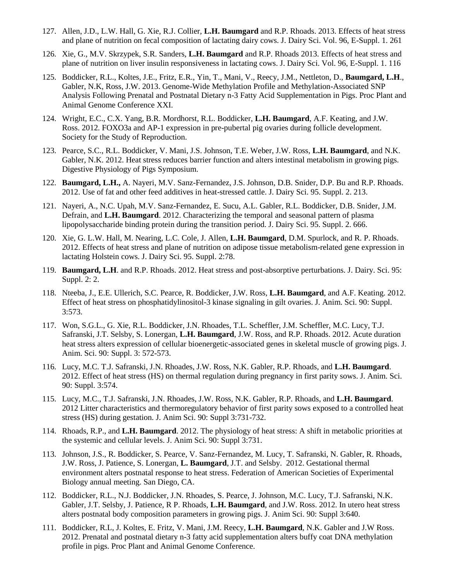- 127. Allen, J.D., L.W. Hall, G. Xie, R.J. Collier, **L.H. Baumgard** and R.P. Rhoads. 2013. Effects of heat stress and plane of nutrition on fecal composition of lactating dairy cows. J. Dairy Sci. Vol. 96, E-Suppl. 1. 261
- 126. Xie, G., M.V. Skrzypek, S.R. Sanders, **L.H. Baumgard** and R.P. Rhoads 2013. Effects of heat stress and plane of nutrition on liver insulin responsiveness in lactating cows. J. Dairy Sci. Vol. 96, E-Suppl. 1. 116
- 125. Boddicker, R.L., Koltes, J.E., Fritz, E.R., Yin, T., Mani, V., Reecy, J.M., Nettleton, D., **Baumgard, L.H**., Gabler, N.K, Ross, J.W. 2013. Genome-Wide Methylation Profile and Methylation-Associated SNP Analysis Following Prenatal and Postnatal Dietary n-3 Fatty Acid Supplementation in Pigs. Proc Plant and Animal Genome Conference XXI.
- 124. Wright, E.C., C.X. Yang, B.R. Mordhorst, R.L. Boddicker, **L.H. Baumgard**, A.F. Keating, and J.W. Ross. 2012. FOXO3a and AP-1 expression in pre-pubertal pig ovaries during follicle development. Society for the Study of Reproduction.
- 123. Pearce, S.C., R.L. Boddicker, V. Mani, J.S. Johnson, T.E. Weber, J.W. Ross, **L.H. Baumgard**, and N.K. Gabler, N.K. 2012. Heat stress reduces barrier function and alters intestinal metabolism in growing pigs. Digestive Physiology of Pigs Symposium.
- 122. **Baumgard, L.H.,** A. Nayeri, M.V. Sanz-Fernandez, J.S. Johnson, D.B. Snider, D.P. Bu and R.P. Rhoads. 2012. Use of fat and other feed additives in heat-stressed cattle. J. Dairy Sci. 95. Suppl. 2. 213.
- 121. Nayeri, A., N.C. Upah, M.V. Sanz-Fernandez, E. Sucu, A.L. Gabler, R.L. Boddicker, D.B. Snider, J.M. Defrain, and **L.H. Baumgard**. 2012. Characterizing the temporal and seasonal pattern of plasma lipopolysaccharide binding protein during the transition period. J. Dairy Sci. 95. Suppl. 2. 666.
- 120. Xie, G. L.W. Hall, M. Nearing, L.C. Cole, J. Allen, **L.H. Baumgard**, D.M. Spurlock, and R. P. Rhoads. 2012. Effects of heat stress and plane of nutrition on adipose tissue metabolism-related gene expression in lactating Holstein cows. J. Dairy Sci. 95. Suppl. 2:78.
- 119. **Baumgard, L.H**. and R.P. Rhoads. 2012. Heat stress and post-absorptive perturbations. J. Dairy. Sci. 95: Suppl. 2: 2.
- 118. Nteeba, J., E.E. Ullerich, S.C. Pearce, R. Boddicker, J.W. Ross, **L.H. Baumgard**, and A.F. Keating. 2012. Effect of heat stress on phosphatidylinositol-3 kinase signaling in gilt ovaries. J. Anim. Sci. 90: Suppl. 3:573.
- 117. Won, S.G.L., G. Xie, R.L. Boddicker, J.N. Rhoades, T.L. Scheffler, J.M. Scheffler, M.C. Lucy, T.J. Safranski, J.T. Selsby, S. Lonergan, **L.H. Baumgard**, J.W. Ross, and R.P. Rhoads. 2012. Acute duration heat stress alters expression of cellular bioenergetic-associated genes in skeletal muscle of growing pigs. J. Anim. Sci. 90: Suppl. 3: 572-573.
- 116. Lucy, M.C. T.J. Safranski, J.N. Rhoades, J.W. Ross, N.K. Gabler, R.P. Rhoads, and **L.H. Baumgard**. 2012. Effect of heat stress (HS) on thermal regulation during pregnancy in first parity sows. J. Anim. Sci. 90: Suppl. 3:574.
- 115. Lucy, M.C., T.J. Safranski, J.N. Rhoades, J.W. Ross, N.K. Gabler, R.P. Rhoads, and **L.H. Baumgard**. 2012 Litter characteristics and thermoregulatory behavior of first parity sows exposed to a controlled heat stress (HS) during gestation. J. Anim Sci. 90: Suppl 3:731-732.
- 114. Rhoads, R.P., and **L.H. Baumgard**. 2012. The physiology of heat stress: A shift in metabolic priorities at the systemic and cellular levels. J. Anim Sci. 90: Suppl 3:731.
- 113. Johnson, J.S., R. Boddicker, S. Pearce, V. Sanz-Fernandez, M. Lucy, T. Safranski, N. Gabler, R. Rhoads, J.W. Ross, J. Patience, S. Lonergan, **L. Baumgard**, J.T. and Selsby. 2012. Gestational thermal environment alters postnatal response to heat stress. Federation of American Societies of Experimental Biology annual meeting. San Diego, CA.
- 112. Boddicker, R.L., N.J. Boddicker, J.N. Rhoades, S. Pearce, J. Johnson, M.C. Lucy, T.J. Safranski, N.K. Gabler, J.T. Selsby, J. Patience, R P. Rhoads, **L.H. Baumgard**, and J.W. Ross. 2012. In utero heat stress alters postnatal body composition parameters in growing pigs. J. Anim Sci. 90: Suppl 3:640.
- 111. Boddicker, R.L, J. Koltes, E. Fritz, V. Mani, J.M. Reecy, **L.H. Baumgard**, N.K. Gabler and J.W Ross. 2012. Prenatal and postnatal dietary n-3 fatty acid supplementation alters buffy coat DNA methylation profile in pigs. Proc Plant and Animal Genome Conference.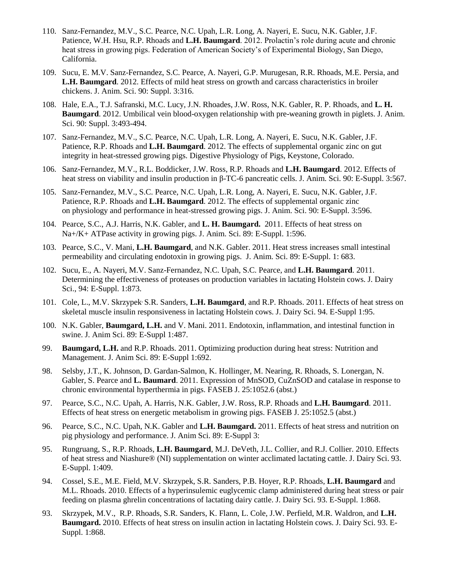- 110. Sanz-Fernandez, M.V., S.C. Pearce, N.C. Upah, L.R. Long, A. Nayeri, E. Sucu, N.K. Gabler, J.F. Patience, W.H. Hsu, R.P. Rhoads and **L.H. Baumgard**. 2012. Prolactin's role during acute and chronic heat stress in growing pigs. Federation of American Society's of Experimental Biology, San Diego, California.
- 109. Sucu, E. M.V. Sanz-Fernandez, S.C. Pearce, A. Nayeri, G.P. Murugesan, R.R. Rhoads, M.E. Persia, and **L.H. Baumgard**. 2012. Effects of mild heat stress on growth and carcass characteristics in broiler chickens. J. Anim. Sci. 90: Suppl. 3:316.
- 108. Hale, E.A., T.J. Safranski, M.C. Lucy, J.N. Rhoades, J.W. Ross, N.K. Gabler, R. P. Rhoads, and **L. H. Baumgard**. 2012. Umbilical vein blood-oxygen relationship with pre-weaning growth in piglets. J. Anim. Sci. 90: Suppl. 3:493-494.
- 107. Sanz-Fernandez, M.V., S.C. Pearce, N.C. Upah, L.R. Long, A. Nayeri, E. Sucu, N.K. Gabler, J.F. Patience, R.P. Rhoads and **L.H. Baumgard**. 2012. The effects of supplemental organic zinc on gut integrity in heat-stressed growing pigs. Digestive Physiology of Pigs, Keystone, Colorado.
- 106. Sanz-Fernandez, M.V., R.L. Boddicker, J.W. Ross, R.P. Rhoads and **L.H. Baumgard**. 2012. Effects of heat stress on viability and insulin production in β-TC-6 pancreatic cells. J. Anim. Sci. 90: E-Suppl. 3:567.
- 105. Sanz-Fernandez, M.V., S.C. Pearce, N.C. Upah, L.R. Long, A. Nayeri, E. Sucu, N.K. Gabler, J.F. Patience, R.P. Rhoads and **L.H. Baumgard**. 2012. The effects of supplemental organic zinc on physiology and performance in heat-stressed growing pigs. J. Anim. Sci. 90: E-Suppl. 3:596.
- 104. Pearce, S.C., A.J. Harris, N.K. Gabler, and **L. H. Baumgard.** 2011. Effects of heat stress on Na+/K+ ATPase activity in growing pigs. J. Anim. Sci. 89: E-Suppl. 1:596.
- 103. Pearce, S.C., V. Mani, **L.H. Baumgard**, and N.K. Gabler. 2011. Heat stress increases small intestinal permeability and circulating endotoxin in growing pigs. J. Anim. Sci. 89: E-Suppl. 1: 683.
- 102. Sucu, E., A. Nayeri, M.V. Sanz-Fernandez, N.C. Upah, S.C. Pearce, and **L.H. Baumgard**. 2011. Determining the effectiveness of proteases on production variables in lactating Holstein cows. J. Dairy Sci., 94: E-Suppl. 1:873.
- 101. Cole, L., M.V. Skrzypek, S.R. Sanders, **L.H. Baumgard**, and R.P. Rhoads. 2011. Effects of heat stress on skeletal muscle insulin responsiveness in lactating Holstein cows. J. Dairy Sci. 94. E-Suppl 1:95.
- 100. N.K. Gabler, **Baumgard, L.H.** and V. Mani. 2011. Endotoxin, inflammation, and intestinal function in swine. J. Anim Sci. 89: E-Suppl 1:487.
- 99. **Baumgard, L.H.** and R.P. Rhoads. 2011. Optimizing production during heat stress: Nutrition and Management. J. Anim Sci. 89: E-Suppl 1:692.
- 98. Selsby, J.T., K. Johnson, D. Gardan-Salmon, K. Hollinger, M. Nearing, R. Rhoads, S. Lonergan, N. Gabler, S. Pearce and **L. Baumard**. 2011. Expression of MnSOD, CuZnSOD and catalase in response to chronic environmental hyperthermia in pigs. FASEB J. 25:1052.6 (abst.)
- 97. Pearce, S.C., N.C. Upah, A. Harris, N.K. Gabler, J.W. Ross, R.P. Rhoads and **L.H. Baumgard**. 2011. Effects of heat stress on energetic metabolism in growing pigs. FASEB J. 25:1052.5 (abst.)
- 96. Pearce, S.C., N.C. Upah, N.K. Gabler and **L.H. Baumgard.** 2011. Effects of heat stress and nutrition on pig physiology and performance. J. Anim Sci. 89: E-Suppl 3:
- 95. Rungruang, S., R.P. Rhoads, **L.H. Baumgard**, M.J. DeVeth, J.L. Collier, and R.J. Collier. 2010. Effects of heat stress and Niashure® (NI) supplementation on winter acclimated lactating cattle. J. Dairy Sci. 93. E-Suppl. 1:409.
- 94. Cossel, S.E., M.E. Field, M.V. Skrzypek, S.R. Sanders, P.B. Hoyer, R.P. Rhoads, **L.H. Baumgard** and M.L. Rhoads. 2010. Effects of a hyperinsulemic euglycemic clamp administered during heat stress or pair feeding on plasma ghrelin concentrations of lactating dairy cattle. J. Dairy Sci. 93. E-Suppl. 1:868.
- 93. Skrzypek, M.V., R.P. Rhoads, S.R. Sanders, K. Flann, L. Cole, J.W. Perfield, M.R. Waldron, and **L.H. Baumgard.** 2010. Effects of heat stress on insulin action in lactating Holstein cows. J. Dairy Sci. 93. E-Suppl. 1:868.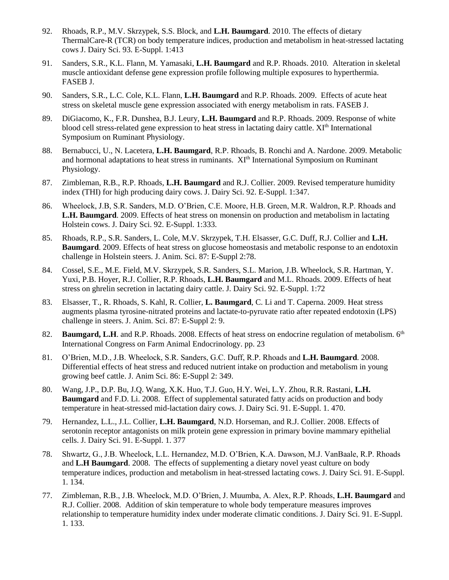- 92. Rhoads, R.P., M.V. Skrzypek, S.S. Block, and **L.H. Baumgard**. 2010. The effects of dietary ThermalCare-R (TCR) on body temperature indices, production and metabolism in heat-stressed lactating cows J. Dairy Sci. 93. E-Suppl. 1:413
- 91. Sanders, S.R., K.L. Flann, M. Yamasaki, **L.H. Baumgard** and R.P. Rhoads. 2010. Alteration in skeletal muscle antioxidant defense gene expression profile following multiple exposures to hyperthermia. FASEB J.
- 90. Sanders, S.R., L.C. Cole, K.L. Flann, **L.H. Baumgard** and R.P. Rhoads. 2009. Effects of acute heat stress on skeletal muscle gene expression associated with energy metabolism in rats. FASEB J.
- 89. DiGiacomo, K., F.R. Dunshea, B.J. Leury, **L.H. Baumgard** and R.P. Rhoads. 2009. Response of white blood cell stress-related gene expression to heat stress in lactating dairy cattle. XI<sup>th</sup> International Symposium on Ruminant Physiology.
- 88. Bernabucci, U., N. Lacetera, **L.H. Baumgard**, R.P. Rhoads, B. Ronchi and A. Nardone. 2009. Metabolic and hormonal adaptations to heat stress in ruminants. XIth International Symposium on Ruminant Physiology.
- 87. Zimbleman, R.B., R.P. Rhoads, **L.H. Baumgard** and R.J. Collier. 2009. Revised temperature humidity index (THI) for high producing dairy cows. J. Dairy Sci. 92. E-Suppl. 1:347.
- 86. Wheelock, J.B, S.R. Sanders, M.D. O'Brien, C.E. Moore, H.B. Green, M.R. Waldron, R.P. Rhoads and **L.H. Baumgard**. 2009. Effects of heat stress on monensin on production and metabolism in lactating Holstein cows. J. Dairy Sci. 92. E-Suppl. 1:333.
- 85. Rhoads, R.P., S.R. Sanders, L. Cole, M.V. Skrzypek, T.H. Elsasser, G.C. Duff, R.J. Collier and **L.H. Baumgard**. 2009. Effects of heat stress on glucose homeostasis and metabolic response to an endotoxin challenge in Holstein steers. J. Anim. Sci. 87: E-Suppl 2:78.
- 84. Cossel, S.E., M.E. Field, M.V. Skrzypek, S.R. Sanders, S.L. Marion, J.B. Wheelock, S.R. Hartman, Y. Yuxi, P.B. Hoyer, R.J. Collier, R.P. Rhoads, **L.H. Baumgard** and M.L. Rhoads. 2009. Effects of heat stress on ghrelin secretion in lactating dairy cattle. J. Dairy Sci. 92. E-Suppl. 1:72
- 83. Elsasser, T., R. Rhoads, S. Kahl, R. Collier, **L. Baumgard**, C. Li and T. Caperna. 2009. Heat stress augments plasma tyrosine-nitrated proteins and lactate-to-pyruvate ratio after repeated endotoxin (LPS) challenge in steers. J. Anim. Sci. 87: E-Suppl 2: 9.
- 82. **Baumgard, L.H**. and R.P. Rhoads. 2008. Effects of heat stress on endocrine regulation of metabolism. 6<sup>th</sup> International Congress on Farm Animal Endocrinology. pp. 23
- 81. O'Brien, M.D., J.B. Wheelock, S.R. Sanders, G.C. Duff, R.P. Rhoads and **L.H. Baumgard**. 2008. Differential effects of heat stress and reduced nutrient intake on production and metabolism in young growing beef cattle. J. Anim Sci. 86: E-Suppl 2: 349.
- 80. Wang, J.P., D.P. Bu, J.Q. Wang, X.K. Huo, T.J. Guo, H.Y. Wei, L.Y. Zhou, R.R. Rastani, **L.H. Baumgard** and F.D. Li. 2008. Effect of supplemental saturated fatty acids on production and body temperature in heat-stressed mid-lactation dairy cows. J. Dairy Sci. 91. E-Suppl. 1. 470.
- 79. Hernandez, L.L., J.L. Collier, **L.H. Baumgard**, N.D. Horseman, and R.J. Collier. 2008. Effects of serotonin receptor antagonists on milk protein gene expression in primary bovine mammary epithelial cells. J. Dairy Sci. 91. E-Suppl. 1. 377
- 78. Shwartz, G., J.B. Wheelock, L.L. Hernandez, M.D. O'Brien, K.A. Dawson, M.J. VanBaale, R.P. Rhoads and **L.H Baumgard**. 2008. The effects of supplementing a dietary novel yeast culture on body temperature indices, production and metabolism in heat-stressed lactating cows. J. Dairy Sci. 91. E-Suppl. 1. 134.
- 77. Zimbleman, R.B., J.B. Wheelock, M.D. O'Brien, J. Muumba, A. Alex, R.P. Rhoads, **L.H. Baumgard** and R.J. Collier. 2008. Addition of skin temperature to whole body temperature measures improves relationship to temperature humidity index under moderate climatic conditions. J. Dairy Sci. 91. E-Suppl. 1. 133.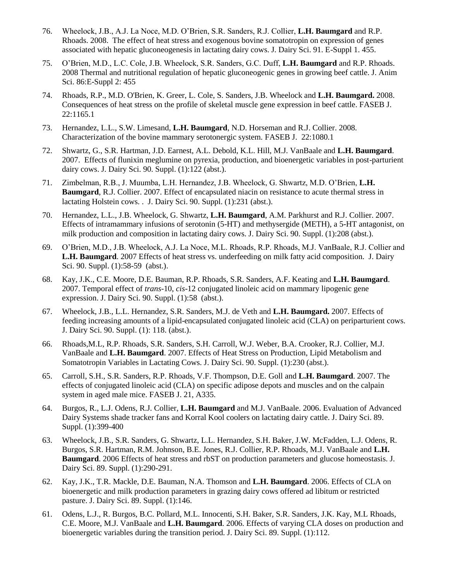- 76. Wheelock, J.B., A.J. La Noce, M.D. O'Brien, S.R. Sanders, R.J. Collier, **L.H. Baumgard** and R.P. Rhoads. 2008. The effect of heat stress and exogenous bovine somatotropin on expression of genes associated with hepatic gluconeogenesis in lactating dairy cows. J. Dairy Sci. 91. E-Suppl 1. 455.
- 75. O'Brien, M.D., L.C. Cole, J.B. Wheelock, S.R. Sanders, G.C. Duff, **L.H. Baumgard** and R.P. Rhoads. 2008 Thermal and nutritional regulation of hepatic gluconeogenic genes in growing beef cattle. J. Anim Sci. 86:E-Suppl 2: 455
- 74. Rhoads, R.P., M.D. O'Brien, K. Greer, L. Cole, S. Sanders, J.B. Wheelock and **L.H. Baumgard.** 2008. Consequences of heat stress on the profile of skeletal muscle gene expression in beef cattle. FASEB J. 22:1165.1
- 73. Hernandez, L.L., S.W. Limesand, **L.H. Baumgard**, N.D. Horseman and R.J. Collier. 2008. Characterization of the bovine mammary serotonergic system. FASEB J. 22:1080.1
- 72. Shwartz, G., S.R. Hartman, J.D. Earnest, A.L. Debold, K.L. Hill, M.J. VanBaale and **L.H. Baumgard**. 2007. Effects of flunixin meglumine on pyrexia, production, and bioenergetic variables in post-parturient dairy cows. J. Dairy Sci. 90. Suppl. (1):122 (abst.).
- 71. Zimbelman, R.B., J. Muumba, L.H. Hernandez, J.B. Wheelock, G. Shwartz, M.D. O'Brien, **L.H. Baumgard**, R.J. Collier. 2007. Effect of encapsulated niacin on resistance to acute thermal stress in lactating Holstein cows. . J. Dairy Sci. 90. Suppl. (1):231 (abst.).
- 70. Hernandez, L.L., J.B. Wheelock, G. Shwartz, **L.H. Baumgard**, A.M. Parkhurst and R.J. Collier. 2007. Effects of intramammary infusions of serotonin (5-HT) and methysergide (METH), a 5-HT antagonist, on milk production and composition in lactating dairy cows. J. Dairy Sci. 90. Suppl. (1):208 (abst.).
- 69. O'Brien, M.D., J.B. Wheelock, A.J. La Noce, M.L. Rhoads, R.P. Rhoads, M.J. VanBaale, R.J. Collier and **L.H. Baumgard**. 2007 Effects of heat stress vs. underfeeding on milk fatty acid composition. J. Dairy Sci. 90. Suppl. (1):58-59 (abst.).
- 68. Kay, J.K., C.E. Moore, D.E. Bauman, R.P. Rhoads, S.R. Sanders, A.F. Keating and **L.H. Baumgard**. 2007. Temporal effect of *trans*-10, *cis*-12 conjugated linoleic acid on mammary lipogenic gene expression. J. Dairy Sci. 90. Suppl. (1):58 (abst.).
- 67. Wheelock, J.B., L.L. Hernandez, S.R. Sanders, M.J. de Veth and **L.H. Baumgard.** 2007. Effects of feeding increasing amounts of a lipid-encapsulated conjugated linoleic acid (CLA) on periparturient cows. J. Dairy Sci. 90. Suppl. (1): 118. (abst.).
- 66. Rhoads,M.L, R.P. Rhoads, S.R. Sanders, S.H. Carroll, W.J. Weber, B.A. Crooker, R.J. Collier, M.J. VanBaale and **L.H. Baumgard**. 2007. Effects of Heat Stress on Production, Lipid Metabolism and Somatotropin Variables in Lactating Cows. J. Dairy Sci. 90. Suppl. (1):230 (abst.).
- 65. Carroll, S.H., S.R. Sanders, R.P. Rhoads, V.F. Thompson, D.E. Goll and **L.H. Baumgard**. 2007. The effects of conjugated linoleic acid (CLA) on specific adipose depots and muscles and on the calpain system in aged male mice. FASEB J. 21, A335.
- 64. Burgos, R., L.J. Odens, R.J. Collier, **L.H. Baumgard** and M.J. VanBaale. 2006. Evaluation of Advanced Dairy Systems shade tracker fans and Korral Kool coolers on lactating dairy cattle. J. Dairy Sci. 89. Suppl. (1):399-400
- 63. Wheelock, J.B., S.R. Sanders, G. Shwartz, L.L. Hernandez, S.H. Baker, J.W. McFadden, L.J. Odens, R. Burgos, S.R. Hartman, R.M. Johnson, B.E. Jones, R.J. Collier, R.P. Rhoads, M.J. VanBaale and **L.H. Baumgard**. 2006 Effects of heat stress and rbST on production parameters and glucose homeostasis. J. Dairy Sci. 89. Suppl. (1):290-291.
- 62. Kay, J.K., T.R. Mackle, D.E. Bauman, N.A. Thomson and **L.H. Baumgard**. 2006. Effects of CLA on bioenergetic and milk production parameters in grazing dairy cows offered ad libitum or restricted pasture. J. Dairy Sci. 89. Suppl. (1):146.
- 61. Odens, L.J., R. Burgos, B.C. Pollard, M.L. Innocenti, S.H. Baker, S.R. Sanders, J.K. Kay, M.L Rhoads, C.E. Moore, M.J. VanBaale and **L.H. Baumgard**. 2006. Effects of varying CLA doses on production and bioenergetic variables during the transition period. J. Dairy Sci. 89. Suppl. (1):112.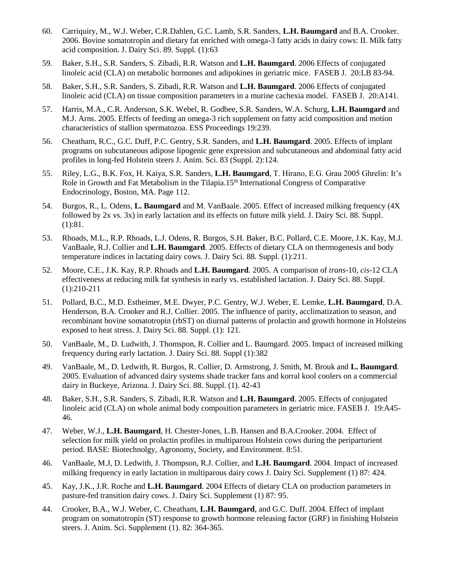- 60. Carriquiry, M., W.J. Weber, C.R.Dahlen, G.C. Lamb, S.R. Sanders, **L.H. Baumgard** and B.A. Crooker. 2006. Bovine somatotropin and dietary fat enriched with omega-3 fatty acids in dairy cows: II. Milk fatty acid composition. J. Dairy Sci. 89. Suppl. (1):63
- 59. Baker, S.H., S.R. Sanders, S. Zibadi, R.R. Watson and **L.H. Baumgard**. 2006 Effects of conjugated linoleic acid (CLA) on metabolic hormones and adipokines in geriatric mice. FASEB J. 20:LB 83-94.
- 58. Baker, S.H., S.R. Sanders, S. Zibadi, R.R. Watson and **L.H. Baumgard**. 2006 Effects of conjugated linoleic acid (CLA) on tissue composition parameters in a murine cachexia model. FASEB J. 20:A141.
- 57. Harris, M.A., C.R. Anderson, S.K. Webel, R. Godbee, S.R. Sanders, W.A. Schurg, **L.H. Baumgard** and M.J. Arns. 2005. Effects of feeding an omega-3 rich supplement on fatty acid composition and motion characteristics of stallion spermatozoa. ESS Proceedings 19:239.
- 56. Cheatham, R.C., G.C. Duff, P.C. Gentry, S.R. Sanders, and **L.H. Baumgard**. 2005. Effects of implant programs on subcutaneous adipose lipogenic gene expression and subcutaneous and abdominal fatty acid profiles in long-fed Holstein steers J. Anim. Sci. 83 (Suppl. 2):124.
- 55. Riley, L.G., B.K. Fox, H. Kaiya, S.R. Sanders, **L.H. Baumgard**, T. Hirano, E.G. Grau 2005 Ghrelin: It's Role in Growth and Fat Metabolism in the Tilapia.15<sup>th</sup> International Congress of Comparative Endocrinology, Boston, MA. Page 112.
- 54. Burgos, R., L. Odens, **L. Baumgard** and M. VanBaale. 2005. Effect of increased milking frequency (4X followed by 2x vs. 3x) in early lactation and its effects on future milk yield. J. Dairy Sci. 88. Suppl. (1):81.
- 53. Rhoads, M.L., R.P. Rhoads, L.J. Odens, R. Burgos, S.H. Baker, B.C. Pollard, C.E. Moore, J.K. Kay, M.J. VanBaale, R.J. Collier and **L.H. Baumgard**. 2005. Effects of dietary CLA on thermogenesis and body temperature indices in lactating dairy cows. J. Dairy Sci. 88. Suppl. (1):211.
- 52. Moore, C.E., J.K. Kay, R.P. Rhoads and **L.H. Baumgard**. 2005. A comparison of *trans*-10, *cis*-12 CLA effectiveness at reducing milk fat synthesis in early vs. established lactation. J. Dairy Sci. 88. Suppl. (1):210-211
- 51. Pollard, B.C., M.D. Estheimer, M.E. Dwyer, P.C. Gentry, W.J. Weber, E. Lemke, **L.H. Baumgard**, D.A. Henderson, B.A. Crooker and R.J. Collier. 2005. The influence of parity, acclimatization to season, and recombinant bovine somatotropin (rbST) on diurnal patterns of prolactin and growth hormone in Holsteins exposed to heat stress. J. Dairy Sci. 88. Suppl. (1): 121.
- 50. VanBaale, M., D. Ludwith, J. Thomspon, R. Collier and L. Baumgard. 2005. Impact of increased milking frequency during early lactation. J. Dairy Sci. 88. Suppl (1):382
- 49. VanBaale, M., D. Ledwith, R. Burgos, R. Collier, D. Armstrong, J. Smith, M. Brouk and **L. Baumgard**. 2005. Evaluation of advanced dairy systems shade tracker fans and korral kool coolers on a commercial dairy in Buckeye, Arizona. J. Dairy Sci. 88. Suppl. (1). 42-43
- 48. Baker, S.H., S.R. Sanders, S. Zibadi, R.R. Watson and **L.H. Baumgard**. 2005. Effects of conjugated linoleic acid (CLA) on whole animal body composition parameters in geriatric mice. FASEB J. 19:A45- 46.
- 47. Weber, W.J., **L.H. Baumgard**, H. Chester-Jones, L.B. Hansen and B.A.Crooker. 2004. Effect of selection for milk yield on prolactin profiles in multiparous Holstein cows during the periparturient period. BASE: Biotechnolgy, Agronomy, Society, and Environment. 8:51.
- 46. VanBaale, M.J, D. Ledwith, J. Thompson, R.J. Collier, and **L.H. Baumgard**. 2004. Impact of increased milking frequency in early lactation in multiparous dairy cows J. Dairy Sci. Supplement (1) 87: 424.
- 45. Kay, J.K., J.R. Roche and **L.H. Baumgard**. 2004 Effects of dietary CLA on production parameters in pasture-fed transition dairy cows. J. Dairy Sci. Supplement (1) 87: 95.
- 44. Crooker, B.A., W.J. Weber, C. Cheatham, **L.H. Baumgard**, and G.C. Duff. 2004. Effect of implant program on somatotropin (ST) response to growth hormone releasing factor (GRF) in finishing Holstein steers. J. Anim. Sci. Supplement (1). 82: 364-365.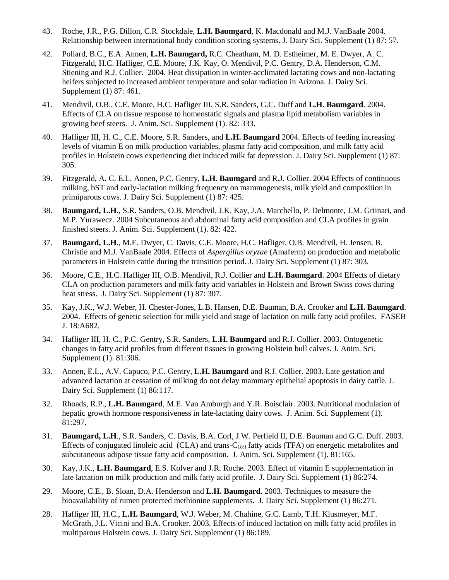- 43. Roche, J.R., P.G. Dillon, C.R. Stockdale, **L.H. Baumgard**, K. Macdonald and M.J. VanBaale 2004. Relationship between international body condition scoring systems. J. Dairy Sci. Supplement (1) 87: 57.
- 42. Pollard, B.C., E.A. Annen, **L.H. Baumgard,** R.C. Cheatham, M. D. Estheimer, M. E. Dwyer, A. C. Fitzgerald, H.C. Hafliger, C.E. Moore, J.K. Kay, O. Mendivil, P.C. Gentry, D.A. Henderson, C.M. Stiening and R.J. Collier. 2004. Heat dissipation in winter-acclimated lactating cows and non-lactating heifers subjected to increased ambient temperature and solar radiation in Arizona. J. Dairy Sci. Supplement (1) 87: 461.
- 41. Mendivil, O.B., C.E. Moore, H.C. Hafliger III, S.R. Sanders, G.C. Duff and **L.H. Baumgard**. 2004. Effects of CLA on tissue response to homeostatic signals and plasma lipid metabolism variables in growing beef steers. J. Anim. Sci. Supplement (1). 82: 333.
- 40. Hafliger III, H. C., C.E. Moore, S.R. Sanders, and **L.H. Baumgard** 2004. Effects of feeding increasing levels of vitamin E on milk production variables, plasma fatty acid composition, and milk fatty acid profiles in Holstein cows experiencing diet induced milk fat depression. J. Dairy Sci. Supplement (1) 87: 305.
- 39. Fitzgerald, A. C. E.L. Annen, P.C. Gentry, **L.H. Baumgard** and R.J. Collier. 2004 Effects of continuous milking, bST and early-lactation milking frequency on mammogenesis, milk yield and composition in primiparous cows. J. Dairy Sci. Supplement (1) 87: 425.
- 38. **Baumgard, L.H**., S.R. Sanders, O.B. Mendivil, J.K. Kay, J.A. Marchello, P. Delmonte, J.M. Griinari, and M.P. Yurawecz. 2004 Subcutaneous and abdominal fatty acid composition and CLA profiles in grain finished steers. J. Anim. Sci. Supplement (1). 82: 422.
- 37. **Baumgard, L.H**., M.E. Dwyer, C. Davis, C.E. Moore, H.C. Hafliger, O.B. Mendivil, H. Jensen, B. Christie and M.J. VanBaale 2004. Effects of *Aspergillus oryzae* (Amaferm) on production and metabolic parameters in Holstein cattle during the transition period. J. Dairy Sci. Supplement (1) 87: 303.
- 36. Moore, C.E., H.C. Hafliger III, O.B. Mendivil, R.J. Collier and **L.H. Baumgard**. 2004 Effects of dietary CLA on production parameters and milk fatty acid variables in Holstein and Brown Swiss cows during heat stress. J. Dairy Sci. Supplement (1) 87: 307.
- 35. Kay, J.K., W.J. Weber, H. Chester-Jones, L.B. Hansen, D.E. Bauman, B.A. Crooker and **L.H. Baumgard**. 2004. Effects of genetic selection for milk yield and stage of lactation on milk fatty acid profiles. FASEB J. 18:A682.
- 34. Hafliger III, H. C., P.C. Gentry, S.R. Sanders, **L.H. Baumgard** and R.J. Collier. 2003. Ontogenetic changes in fatty acid profiles from different tissues in growing Holstein bull calves. J. Anim. Sci. Supplement (1). 81:306.
- 33. Annen, E.L., A.V. Capuco, P.C. Gentry, **L.H. Baumgard** and R.J. Collier. 2003. Late gestation and advanced lactation at cessation of milking do not delay mammary epithelial apoptosis in dairy cattle. J. Dairy Sci. Supplement (1) 86:117.
- 32. Rhoads, R.P., **L.H. Baumgard**, M.E. Van Amburgh and Y.R. Boisclair. 2003. Nutritional modulation of hepatic growth hormone responsiveness in late-lactating dairy cows. J. Anim. Sci. Supplement (1). 81:297.
- 31. **Baumgard, L.H**., S.R. Sanders, C. Davis, B.A. Corl, J.W. Perfield II, D.E. Bauman and G.C. Duff. 2003. Effects of conjugated linoleic acid (CLA) and trans- $C_{18:1}$  fatty acids (TFA) on energetic metabolites and subcutaneous adipose tissue fatty acid composition. J. Anim. Sci. Supplement (1). 81:165.
- 30. Kay, J.K., **L.H. Baumgard**, E.S. Kolver and J.R. Roche. 2003. Effect of vitamin E supplementation in late lactation on milk production and milk fatty acid profile. J. Dairy Sci. Supplement (1) 86:274.
- 29. Moore, C.E., B. Sloan, D.A. Henderson and **L.H. Baumgard**. 2003. Techniques to measure the bioavailability of rumen protected methionine supplements. J. Dairy Sci. Supplement (1) 86:271.
- 28. Hafliger III, H.C., **L.H. Baumgard**, W.J. Weber, M. Chahine, G.C. Lamb, T.H. Klusmeyer, M.F. McGrath, J.L. Vicini and B.A. Crooker. 2003. Effects of induced lactation on milk fatty acid profiles in multiparous Holstein cows. J. Dairy Sci. Supplement (1) 86:189.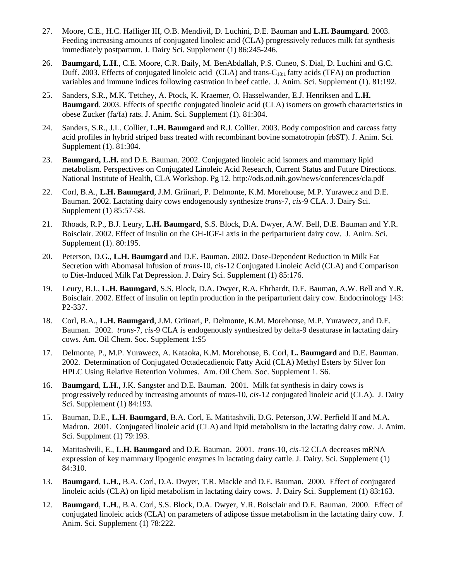- 27. Moore, C.E., H.C. Hafliger III, O.B. Mendivil, D. Luchini, D.E. Bauman and **L.H. Baumgard**. 2003. Feeding increasing amounts of conjugated linoleic acid (CLA) progressively reduces milk fat synthesis immediately postpartum. J. Dairy Sci. Supplement (1) 86:245-246.
- 26. **Baumgard, L.H**., C.E. Moore, C.R. Baily, M. BenAbdallah, P.S. Cuneo, S. Dial, D. Luchini and G.C. Duff. 2003. Effects of conjugated linoleic acid (CLA) and trans-C<sub>18:1</sub> fatty acids (TFA) on production variables and immune indices following castration in beef cattle. J. Anim. Sci. Supplement (1). 81:192.
- 25. Sanders, S.R., M.K. Tetchey, A. Ptock, K. Kraemer, O. Hasselwander, E.J. Henriksen and **L.H. Baumgard**. 2003. Effects of specific conjugated linoleic acid (CLA) isomers on growth characteristics in obese Zucker (fa/fa) rats. J. Anim. Sci. Supplement (1). 81:304.
- 24. Sanders, S.R., J.L. Collier, **L.H. Baumgard** and R.J. Collier. 2003. Body composition and carcass fatty acid profiles in hybrid striped bass treated with recombinant bovine somatotropin (rbST). J. Anim. Sci. Supplement (1). 81:304.
- 23. **Baumgard, L.H.** and D.E. Bauman. 2002. Conjugated linoleic acid isomers and mammary lipid metabolism. Perspectives on Conjugated Linoleic Acid Research, Current Status and Future Directions. National Institute of Health, CLA Workshop. Pg 12. http://ods.od.nih.gov/news/conferences/cla.pdf
- 22. Corl, B.A., **L.H. Baumgard**, J.M. Griinari, P. Delmonte, K.M. Morehouse, M.P. Yurawecz and D.E. Bauman. 2002. Lactating dairy cows endogenously synthesize *trans*-7, *cis*-9 CLA. J. Dairy Sci. Supplement (1) 85:57-58.
- 21. Rhoads, R.P., B.J. Leury, **L.H. Baumgard**, S.S. Block, D.A. Dwyer, A.W. Bell, D.E. Bauman and Y.R. Boisclair. 2002. Effect of insulin on the GH-IGF-I axis in the periparturient dairy cow. J. Anim. Sci. Supplement (1). 80:195.
- 20. Peterson, D.G., **L.H. Baumgard** and D.E. Bauman. 2002. Dose-Dependent Reduction in Milk Fat Secretion with Abomasal Infusion of *trans-*10, *cis-*12 Conjugated Linoleic Acid (CLA) and Comparison to Diet-Induced Milk Fat Depression. J. Dairy Sci. Supplement (1) 85:176.
- 19. Leury, B.J., **L.H. Baumgard**, S.S. Block, D.A. Dwyer, R.A. Ehrhardt, D.E. Bauman, A.W. Bell and Y.R. Boisclair. 2002. Effect of insulin on leptin production in the periparturient dairy cow. Endocrinology 143: P2-337.
- 18. Corl, B.A., **L.H. Baumgard**, J.M. Griinari, P. Delmonte, K.M. Morehouse, M.P. Yurawecz, and D.E. Bauman. 2002. *trans*-7, *cis*-9 CLA is endogenously synthesized by delta-9 desaturase in lactating dairy cows. Am. Oil Chem. Soc. Supplement 1:S5
- 17. Delmonte, P., M.P. Yurawecz, A. Kataoka, K.M. Morehouse, B. Corl, **L. Baumgard** and D.E. Bauman. 2002. Determination of Conjugated Octadecadienoic Fatty Acid (CLA) Methyl Esters by Silver Ion HPLC Using Relative Retention Volumes. Am. Oil Chem. Soc. Supplement 1. S6.
- 16. **Baumgard**, **L.H.,** J.K. Sangster and D.E. Bauman. 2001. Milk fat synthesis in dairy cows is progressively reduced by increasing amounts of *trans*-10, *cis*-12 conjugated linoleic acid (CLA). J. Dairy Sci. Supplement (1) 84:193.
- 15. Bauman, D.E., **L.H. Baumgard**, B.A. Corl, E. Matitashvili, D.G. Peterson, J.W. Perfield II and M.A. Madron. 2001. Conjugated linoleic acid (CLA) and lipid metabolism in the lactating dairy cow. J. Anim. Sci. Supplment (1) 79:193.
- 14. Matitashvili, E., **L.H. Baumgard** and D.E. Bauman. 2001. *trans*-10, *cis*-12 CLA decreases mRNA expression of key mammary lipogenic enzymes in lactating dairy cattle. J. Dairy. Sci. Supplement (1) 84:310.
- 13. **Baumgard**, **L.H.,** B.A. Corl, D.A. Dwyer, T.R. Mackle and D.E. Bauman. 2000. Effect of conjugated linoleic acids (CLA) on lipid metabolism in lactating dairy cows. J. Dairy Sci. Supplement (1) 83:163.
- 12. **Baumgard**, **L.H**., B.A. Corl, S.S. Block, D.A. Dwyer, Y.R. Boisclair and D.E. Bauman. 2000. Effect of conjugated linoleic acids (CLA) on parameters of adipose tissue metabolism in the lactating dairy cow. J. Anim. Sci. Supplement (1) 78:222.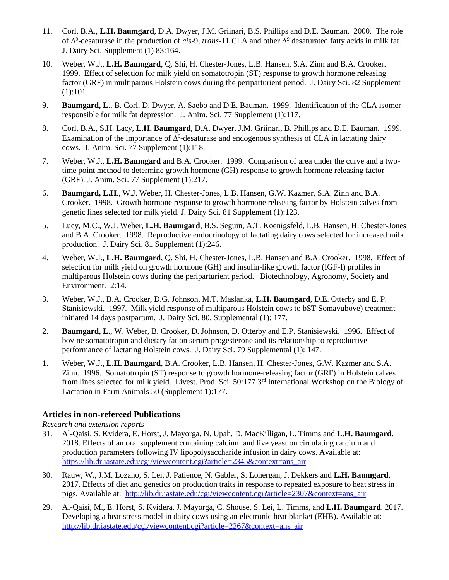- 11. Corl, B.A., **L.H. Baumgard**, D.A. Dwyer, J.M. Griinari, B.S. Phillips and D.E. Bauman. 2000. The role of  $\Delta^9$ -desaturase in the production of *cis*-9, *trans*-11 CLA and other  $\Delta^9$  desaturated fatty acids in milk fat. J. Dairy Sci. Supplement (1) 83:164.
- 10. Weber, W.J., **L.H. Baumgard**, Q. Shi, H. Chester-Jones, L.B. Hansen, S.A. Zinn and B.A. Crooker. 1999. Effect of selection for milk yield on somatotropin (ST) response to growth hormone releasing factor (GRF) in multiparous Holstein cows during the periparturient period. J. Dairy Sci. 82 Supplement (1):101.
- 9. **Baumgard, L**., B. Corl, D. Dwyer, A. Saebo and D.E. Bauman. 1999. Identification of the CLA isomer responsible for milk fat depression. J. Anim. Sci. 77 Supplement (1):117.
- 8. Corl, B.A., S.H. Lacy, **L.H. Baumgard**, D.A. Dwyer, J.M. Griinari, B. Phillips and D.E. Bauman. 1999. Examination of the importance of  $\Delta^9$ -desaturase and endogenous synthesis of CLA in lactating dairy cows. J. Anim. Sci. 77 Supplement (1):118.
- 7. Weber, W.J., **L.H. Baumgard** and B.A. Crooker. 1999. Comparison of area under the curve and a twotime point method to determine growth hormone (GH) response to growth hormone releasing factor (GRF). J. Anim. Sci. 77 Supplement (1):217.
- 6. **Baumgard, L.H**., W.J. Weber, H. Chester-Jones, L.B. Hansen, G.W. Kazmer, S.A. Zinn and B.A. Crooker. 1998. Growth hormone response to growth hormone releasing factor by Holstein calves from genetic lines selected for milk yield. J. Dairy Sci. 81 Supplement (1):123.
- 5. Lucy, M.C., W.J. Weber, **L.H. Baumgard**, B.S. Seguin, A.T. Koenigsfeld, L.B. Hansen, H. Chester-Jones and B.A. Crooker. 1998. Reproductive endocrinology of lactating dairy cows selected for increased milk production. J. Dairy Sci. 81 Supplement (1):246.
- 4. Weber, W.J., **L.H. Baumgard**, Q. Shi, H. Chester-Jones, L.B. Hansen and B.A. Crooker. 1998. Effect of selection for milk yield on growth hormone (GH) and insulin-like growth factor (IGF-I) profiles in multiparous Holstein cows during the periparturient period. Biotechnology, Agronomy, Society and Environment. 2:14.
- 3. Weber, W.J., B.A. Crooker, D.G. Johnson, M.T. Maslanka, **L.H. Baumgard**, D.E. Otterby and E. P. Stanisiewski. 1997. Milk yield response of multiparous Holstein cows to bST Somavubove) treatment initiated 14 days postpartum. J. Dairy Sci. 80. Supplemental (1): 177.
- 2. **Baumgard, L.**, W. Weber, B. Crooker, D. Johnson, D. Otterby and E.P. Stanisiewski. 1996. Effect of bovine somatotropin and dietary fat on serum progesterone and its relationship to reproductive performance of lactating Holstein cows. J. Dairy Sci. 79 Supplemental (1): 147.
- 1. Weber, W.J., **L.H. Baumgard**, B.A. Crooker, L.B. Hansen, H. Chester-Jones, G.W. Kazmer and S.A. Zinn. 1996. Somatotropin (ST) response to growth hormone-releasing factor (GRF) in Holstein calves from lines selected for milk yield. Livest. Prod. Sci. 50:177 3rd International Workshop on the Biology of Lactation in Farm Animals 50 (Supplement 1):177.

### **Articles in non-refereed Publications**

*Research and extension reports*

- 31. Al-Qaisi, S. Kvidera, E. Horst, J. Mayorga, N. Upah, D. MacKilligan, L. Timms and **L.H. Baumgard**. 2018. Effects of an oral supplement containing calcium and live yeast on circulating calcium and production parameters following IV lipopolysaccharide infusion in dairy cows. Available at: [https://lib.dr.iastate.edu/cgi/viewcontent.cgi?article=2345&context=ans\\_air](https://lib.dr.iastate.edu/cgi/viewcontent.cgi?article=2345&context=ans_air)
- 30. Rauw, W., J.M. Lozano, S. Lei, J. Patience, N. Gabler, S. Lonergan, J. Dekkers and **L.H. Baumgard**. 2017. Effects of diet and genetics on production traits in response to repeated exposure to heat stress in pigs. Available at: [http://lib.dr.iastate.edu/cgi/viewcontent.cgi?article=2307&context=ans\\_air](http://lib.dr.iastate.edu/cgi/viewcontent.cgi?article=2307&context=ans_air)
- 29. Al-Qaisi, M., E. Horst, S. Kvidera, J. Mayorga, C. Shouse, S. Lei, L. Timms, and **L.H. Baumgard**. 2017. Developing a heat stress model in dairy cows using an electronic heat blanket (EHB). Available at: [http://lib.dr.iastate.edu/cgi/viewcontent.cgi?article=2267&context=ans\\_air](http://lib.dr.iastate.edu/cgi/viewcontent.cgi?article=2267&context=ans_air)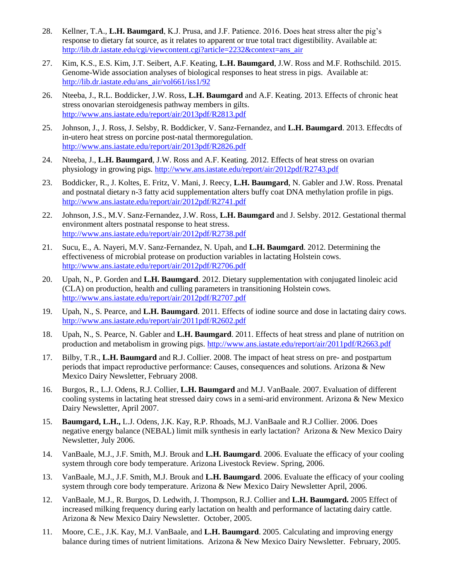- 28. Kellner, T.A., **L.H. Baumgard**, K.J. Prusa, and J.F. Patience. 2016. Does heat stress alter the pig's response to dietary fat source, as it relates to apparent or true total tract digestibility. Available at: [http://lib.dr.iastate.edu/cgi/viewcontent.cgi?article=2232&context=ans\\_air](http://lib.dr.iastate.edu/cgi/viewcontent.cgi?article=2232&context=ans_air)
- 27. Kim, K.S., E.S. Kim, J.T. Seibert, A.F. Keating, **L.H. Baumgard**, J.W. Ross and M.F. Rothschild. 2015. Genome-Wide association analyses of biological responses to heat stress in pigs. Available at: [http://lib.dr.iastate.edu/ans\\_air/vol661/iss1/92](http://lib.dr.iastate.edu/ans_air/vol661/iss1/92)
- 26. Nteeba, J., R.L. Boddicker, J.W. Ross, **L.H. Baumgard** and A.F. Keating. 2013. Effects of chronic heat stress onovarian steroidgenesis pathway members in gilts. <http://www.ans.iastate.edu/report/air/2013pdf/R2813.pdf>
- 25. Johnson, J., J. Ross, J. Selsby, R. Boddicker, V. Sanz-Fernandez, and **L.H. Baumgard**. 2013. Effecdts of in-utero heat stress on porcine post-natal thermoregulation. <http://www.ans.iastate.edu/report/air/2013pdf/R2826.pdf>
- 24. Nteeba, J., **L.H. Baumgard**, J.W. Ross and A.F. Keating. 2012. Effects of heat stress on ovarian physiology in growing pigs.<http://www.ans.iastate.edu/report/air/2012pdf/R2743.pdf>
- 23. Boddicker, R., J. Koltes, E. Fritz, V. Mani, J. Reecy, **L.H. Baumgard**, N. Gabler and J.W. Ross. Prenatal and postnatal dietary n-3 fatty acid supplementation alters buffy coat DNA methylation profile in pigs. <http://www.ans.iastate.edu/report/air/2012pdf/R2741.pdf>
- 22. Johnson, J.S., M.V. Sanz-Fernandez, J.W. Ross, **L.H. Baumgard** and J. Selsby. 2012. Gestational thermal environment alters postnatal response to heat stress. <http://www.ans.iastate.edu/report/air/2012pdf/R2738.pdf>
- 21. Sucu, E., A. Nayeri, M.V. Sanz-Fernandez, N. Upah, and **L.H. Baumgard**. 2012. Determining the effectiveness of microbial protease on production variables in lactating Holstein cows. <http://www.ans.iastate.edu/report/air/2012pdf/R2706.pdf>
- 20. Upah, N., P. Gorden and **L.H. Baumgard**. 2012. Dietary supplementation with conjugated linoleic acid (CLA) on production, health and culling parameters in transitioning Holstein cows. <http://www.ans.iastate.edu/report/air/2012pdf/R2707.pdf>
- 19. Upah, N., S. Pearce, and **L.H. Baumgard**. 2011. Effects of iodine source and dose in lactating dairy cows. <http://www.ans.iastate.edu/report/air/2011pdf/R2602.pdf>
- 18. Upah, N., S. Pearce, N. Gabler and **L.H. Baumgard**. 2011. Effects of heat stress and plane of nutrition on production and metabolism in growing pigs.<http://www.ans.iastate.edu/report/air/2011pdf/R2663.pdf>
- 17. Bilby, T.R., **L.H. Baumgard** and R.J. Collier. 2008. The impact of heat stress on pre- and postpartum periods that impact reproductive performance: Causes, consequences and solutions. Arizona & New Mexico Dairy Newsletter, February 2008.
- 16. Burgos, R., L.J. Odens, R.J. Collier, **L.H. Baumgard** and M.J. VanBaale. 2007. Evaluation of different cooling systems in lactating heat stressed dairy cows in a semi-arid environment. Arizona & New Mexico Dairy Newsletter, April 2007.
- 15. **Baumgard, L.H.,** L.J. Odens, J.K. Kay, R.P. Rhoads, M.J. VanBaale and R.J Collier. 2006. Does negative energy balance (NEBAL) limit milk synthesis in early lactation? Arizona & New Mexico Dairy Newsletter, July 2006.
- 14. VanBaale, M.J., J.F. Smith, M.J. Brouk and **L.H. Baumgard**. 2006. Evaluate the efficacy of your cooling system through core body temperature. Arizona Livestock Review. Spring, 2006.
- 13. VanBaale, M.J., J.F. Smith, M.J. Brouk and **L.H. Baumgard**. 2006. Evaluate the efficacy of your cooling system through core body temperature. Arizona & New Mexico Dairy Newsletter April, 2006.
- 12. VanBaale, M.J., R. Burgos, D. Ledwith, J. Thompson, R.J. Collier and **L.H. Baumgard.** 2005 Effect of increased milking frequency during early lactation on health and performance of lactating dairy cattle. Arizona & New Mexico Dairy Newsletter. October, 2005.
- 11. Moore, C.E., J.K. Kay, M.J. VanBaale, and **L.H. Baumgard**. 2005. Calculating and improving energy balance during times of nutrient limitations. Arizona & New Mexico Dairy Newsletter. February, 2005.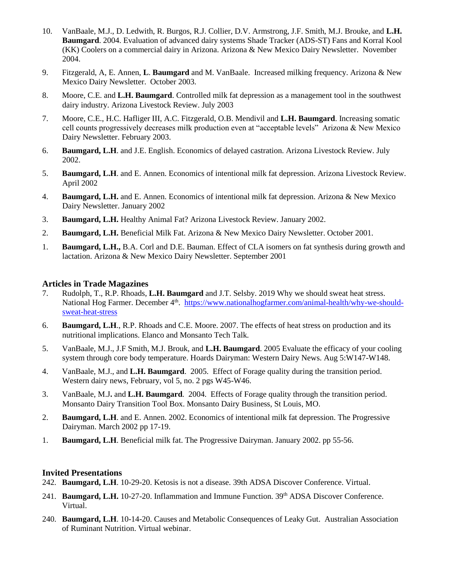- 10. VanBaale, M.J., D. Ledwith, R. Burgos, R.J. Collier, D.V. Armstrong, J.F. Smith, M.J. Brouke, and **L.H. Baumgard**. 2004. Evaluation of advanced dairy systems Shade Tracker (ADS-ST) Fans and Korral Kool (KK) Coolers on a commercial dairy in Arizona. Arizona & New Mexico Dairy Newsletter. November 2004.
- 9. Fitzgerald, A, E. Annen, **L**. **Baumgard** and M. VanBaale. Increased milking frequency. Arizona & New Mexico Dairy Newsletter. October 2003.
- 8. Moore, C.E. and **L.H. Baumgard**. Controlled milk fat depression as a management tool in the southwest dairy industry. Arizona Livestock Review. July 2003
- 7. Moore, C.E., H.C. Hafliger III, A.C. Fitzgerald, O.B. Mendivil and **L.H. Baumgard**. Increasing somatic cell counts progressively decreases milk production even at "acceptable levels" Arizona & New Mexico Dairy Newsletter. February 2003.
- 6. **Baumgard, L.H**. and J.E. English. Economics of delayed castration. Arizona Livestock Review. July 2002.
- 5. **Baumgard, L.H**. and E. Annen. Economics of intentional milk fat depression. Arizona Livestock Review. April 2002
- 4. **Baumgard, L.H.** and E. Annen. Economics of intentional milk fat depression. Arizona & New Mexico Dairy Newsletter. January 2002
- 3. **Baumgard, L.H.** Healthy Animal Fat? Arizona Livestock Review. January 2002.
- 2. **Baumgard, L.H.** Beneficial Milk Fat. Arizona & New Mexico Dairy Newsletter. October 2001.
- 1. **Baumgard, L.H.,** B.A. Corl and D.E. Bauman. Effect of CLA isomers on fat synthesis during growth and lactation. Arizona & New Mexico Dairy Newsletter. September 2001

#### **Articles in Trade Magazines**

- 7. Rudolph, T., R.P. Rhoads, **L.H. Baumgard** and J.T. Selsby. 2019 Why we should sweat heat stress. National Hog Farmer. December 4<sup>th</sup>. [https://www.nationalhogfarmer.com/animal-health/why-we-should](https://www.nationalhogfarmer.com/animal-health/why-we-should-sweat-heat-stress)[sweat-heat-stress](https://www.nationalhogfarmer.com/animal-health/why-we-should-sweat-heat-stress)
- 6. **Baumgard, L.H**., R.P. Rhoads and C.E. Moore. 2007. The effects of heat stress on production and its nutritional implications. Elanco and Monsanto Tech Talk.
- 5. VanBaale, M.J., J.F Smith, M.J. Brouk, and **L.H. Baumgard**. 2005 Evaluate the efficacy of your cooling system through core body temperature. Hoards Dairyman: Western Dairy News. Aug 5:W147-W148.
- 4. VanBaale, M.J., and **L.H. Baumgard**. 2005. Effect of Forage quality during the transition period. Western dairy news, February, vol 5, no. 2 pgs W45-W46.
- 3. VanBaale, M.J**.** and **L.H. Baumgard**. 2004. Effects of Forage quality through the transition period. Monsanto Dairy Transition Tool Box. Monsanto Dairy Business, St Louis, MO.
- 2. **Baumgard, L.H**. and E. Annen. 2002. Economics of intentional milk fat depression. The Progressive Dairyman. March 2002 pp 17-19.
- 1. **Baumgard, L.H**. Beneficial milk fat. The Progressive Dairyman. January 2002. pp 55-56.

#### **Invited Presentations**

- 242. **Baumgard, L.H**. 10-29-20. Ketosis is not a disease. 39th ADSA Discover Conference. Virtual.
- 241. **Baumgard, L.H.** 10-27-20. Inflammation and Immune Function. 39th ADSA Discover Conference. Virtual.
- 240. **Baumgard, L.H**. 10-14-20. Causes and Metabolic Consequences of Leaky Gut. Australian Association of Ruminant Nutrition. Virtual webinar.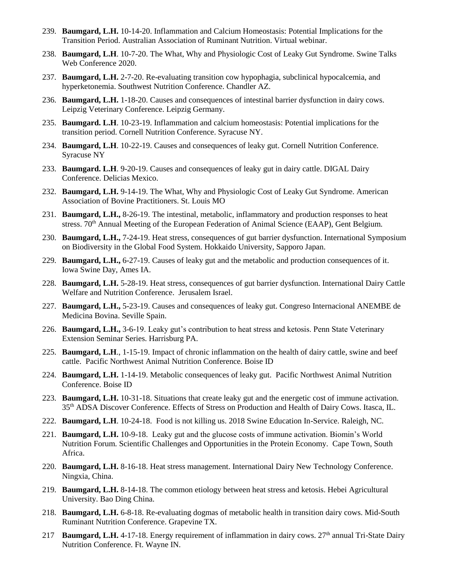- 239. **Baumgard, L.H.** 10-14-20. Inflammation and Calcium Homeostasis: Potential Implications for the Transition Period. Australian Association of Ruminant Nutrition. Virtual webinar.
- 238. **Baumgard, L.H**. 10-7-20. The What, Why and Physiologic Cost of Leaky Gut Syndrome. Swine Talks Web Conference 2020.
- 237. **Baumgard, L.H.** 2-7-20. Re-evaluating transition cow hypophagia, subclinical hypocalcemia, and hyperketonemia. Southwest Nutrition Conference. Chandler AZ.
- 236. **Baumgard, L.H.** 1-18-20. Causes and consequences of intestinal barrier dysfunction in dairy cows. Leipzig Veterinary Conference. Leipzig Germany.
- 235. **Baumgard. L.H**. 10-23-19. Inflammation and calcium homeostasis: Potential implications for the transition period. Cornell Nutrition Conference. Syracuse NY.
- 234. **Baumgard, L.H**. 10-22-19. Causes and consequences of leaky gut. Cornell Nutrition Conference. Syracuse NY
- 233. **Baumgard. L.H**. 9-20-19. Causes and consequences of leaky gut in dairy cattle. DIGAL Dairy Conference. Delicias Mexico.
- 232. **Baumgard, L.H.** 9-14-19. The What, Why and Physiologic Cost of Leaky Gut Syndrome. American Association of Bovine Practitioners. St. Louis MO
- 231. **Baumgard, L.H.,** 8-26-19. The intestinal, metabolic, inflammatory and production responses to heat stress. 70<sup>th</sup> Annual Meeting of the European Federation of Animal Science (EAAP), Gent Belgium.
- 230. **Baumgard, L.H.,** 7-24-19. Heat stress, consequences of gut barrier dysfunction. International Symposium on Biodiversity in the Global Food System. Hokkaido University, Sapporo Japan.
- 229. **Baumgard, L.H.,** 6-27-19. Causes of leaky gut and the metabolic and production consequences of it. Iowa Swine Day, Ames IA.
- 228. **Baumgard, L.H.** 5-28-19. Heat stress, consequences of gut barrier dysfunction. International Dairy Cattle Welfare and Nutrition Conference. Jerusalem Israel.
- 227. **Baumgard, L.H.,** 5-23-19. Causes and consequences of leaky gut. Congreso Internacional ANEMBE de Medicina Bovina. Seville Spain.
- 226. **Baumgard, L.H.,** 3-6-19. Leaky gut's contribution to heat stress and ketosis. Penn State Veterinary Extension Seminar Series. Harrisburg PA.
- 225. **Baumgard, L.H**., 1-15-19. Impact of chronic inflammation on the health of dairy cattle, swine and beef cattle. Pacific Northwest Animal Nutrition Conference. Boise ID
- 224. **Baumgard, L.H.** 1-14-19. Metabolic consequences of leaky gut. Pacific Northwest Animal Nutrition Conference. Boise ID
- 223. **Baumgard, L.H.** 10-31-18. Situations that create leaky gut and the energetic cost of immune activation. 35th ADSA Discover Conference. Effects of Stress on Production and Health of Dairy Cows. Itasca, IL.
- 222. **Baumgard, L.H**. 10-24-18. Food is not killing us. 2018 Swine Education In-Service. Raleigh, NC.
- 221. **Baumgard, L.H.** 10-9-18. Leaky gut and the glucose costs of immune activation. Biomin's World Nutrition Forum. Scientific Challenges and Opportunities in the Protein Economy. Cape Town, South Africa.
- 220. **Baumgard, L.H.** 8-16-18. Heat stress management. International Dairy New Technology Conference. Ningxia, China.
- 219. **Baumgard, L.H.** 8-14-18. The common etiology between heat stress and ketosis. Hebei Agricultural University. Bao Ding China.
- 218. **Baumgard, L.H.** 6-8-18. Re-evaluating dogmas of metabolic health in transition dairy cows. Mid-South Ruminant Nutrition Conference. Grapevine TX.
- 217 **Baumgard, L.H.** 4-17-18. Energy requirement of inflammation in dairy cows. 27<sup>th</sup> annual Tri-State Dairy Nutrition Conference. Ft. Wayne IN.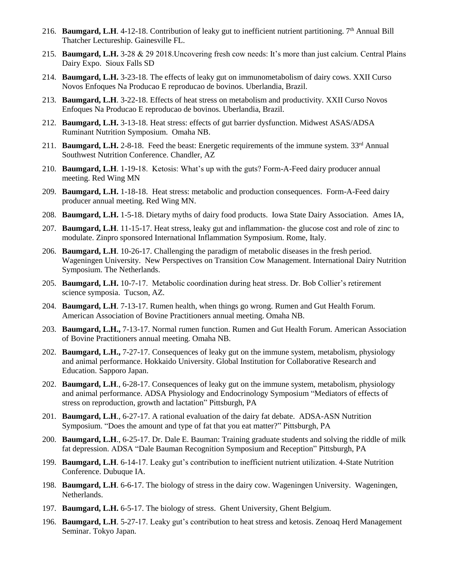- 216. **Baumgard, L.H.** 4-12-18. Contribution of leaky gut to inefficient nutrient partitioning. 7<sup>th</sup> Annual Bill Thatcher Lectureship. Gainesville FL.
- 215. **Baumgard, L.H.** 3-28 & 29 2018.Uncovering fresh cow needs: It's more than just calcium. Central Plains Dairy Expo. Sioux Falls SD
- 214. **Baumgard, L.H.** 3-23-18. The effects of leaky gut on immunometabolism of dairy cows. XXII Curso Novos Enfoques Na Producao E reproducao de bovinos. Uberlandia, Brazil.
- 213. **Baumgard, L.H**. 3-22-18. Effects of heat stress on metabolism and productivity. XXII Curso Novos Enfoques Na Producao E reproducao de bovinos. Uberlandia, Brazil.
- 212. **Baumgard, L.H.** 3-13-18. Heat stress: effects of gut barrier dysfunction. Midwest ASAS/ADSA Ruminant Nutrition Symposium. Omaha NB.
- 211. **Baumgard, L.H.** 2-8-18. Feed the beast: Energetic requirements of the immune system. 33<sup>rd</sup> Annual Southwest Nutrition Conference. Chandler, AZ
- 210. **Baumgard, L.H**. 1-19-18. Ketosis: What's up with the guts? Form-A-Feed dairy producer annual meeting. Red Wing MN
- 209. **Baumgard, L.H.** 1-18-18. Heat stress: metabolic and production consequences. Form-A-Feed dairy producer annual meeting. Red Wing MN.
- 208. **Baumgard, L.H.** 1-5-18. Dietary myths of dairy food products. Iowa State Dairy Association. Ames IA,
- 207. **Baumgard, L.H**. 11-15-17. Heat stress, leaky gut and inflammation- the glucose cost and role of zinc to modulate. Zinpro sponsored International Inflammation Symposium. Rome, Italy.
- 206. **Baumgard, L.H**. 10-26-17. Challenging the paradigm of metabolic diseases in the fresh period. Wageningen University. New Perspectives on Transition Cow Management. International Dairy Nutrition Symposium. The Netherlands.
- 205. **Baumgard, L.H.** 10-7-17. Metabolic coordination during heat stress. Dr. Bob Collier's retirement science symposia. Tucson, AZ.
- 204. **Baumgard, L.H**. 7-13-17. Rumen health, when things go wrong. Rumen and Gut Health Forum. American Association of Bovine Practitioners annual meeting. Omaha NB.
- 203. **Baumgard, L.H.,** 7-13-17. Normal rumen function. Rumen and Gut Health Forum. American Association of Bovine Practitioners annual meeting. Omaha NB.
- 202. **Baumgard, L.H.,** 7-27-17. Consequences of leaky gut on the immune system, metabolism, physiology and animal performance. Hokkaido University. Global Institution for Collaborative Research and Education. Sapporo Japan.
- 202. **Baumgard, L.H**., 6-28-17. Consequences of leaky gut on the immune system, metabolism, physiology and animal performance. ADSA Physiology and Endocrinology Symposium "Mediators of effects of stress on reproduction, growth and lactation" Pittsburgh, PA
- 201. **Baumgard, L.H**., 6-27-17. A rational evaluation of the dairy fat debate. ADSA-ASN Nutrition Symposium. "Does the amount and type of fat that you eat matter?" Pittsburgh, PA
- 200. **Baumgard, L.H**., 6-25-17. Dr. Dale E. Bauman: Training graduate students and solving the riddle of milk fat depression. ADSA "Dale Bauman Recognition Symposium and Reception" Pittsburgh, PA
- 199. **Baumgard, L.H**. 6-14-17. Leaky gut's contribution to inefficient nutrient utilization. 4-State Nutrition Conference. Dubuque IA.
- 198. **Baumgard, L.H**. 6-6-17. The biology of stress in the dairy cow. Wageningen University. Wageningen, Netherlands.
- 197. **Baumgard, L.H.** 6-5-17. The biology of stress. Ghent University, Ghent Belgium.
- 196. **Baumgard, L.H**. 5-27-17. Leaky gut's contribution to heat stress and ketosis. Zenoaq Herd Management Seminar. Tokyo Japan.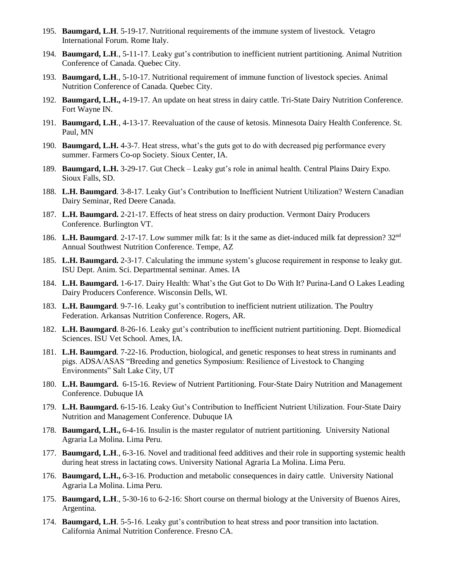- 195. **Baumgard, L.H**. 5-19-17. Nutritional requirements of the immune system of livestock. Vetagro International Forum. Rome Italy.
- 194. **Baumgard, L.H**., 5-11-17. Leaky gut's contribution to inefficient nutrient partitioning. Animal Nutrition Conference of Canada. Quebec City.
- 193. **Baumgard, L.H**., 5-10-17. Nutritional requirement of immune function of livestock species. Animal Nutrition Conference of Canada. Quebec City.
- 192. **Baumgard, L.H.,** 4-19-17. An update on heat stress in dairy cattle. Tri-State Dairy Nutrition Conference. Fort Wayne IN.
- 191. **Baumgard, L.H**., 4-13-17. Reevaluation of the cause of ketosis. Minnesota Dairy Health Conference. St. Paul, MN
- 190. **Baumgard, L.H.** 4-3-7. Heat stress, what's the guts got to do with decreased pig performance every summer. Farmers Co-op Society. Sioux Center, IA.
- 189. **Baumgard, L.H.** 3-29-17. Gut Check Leaky gut's role in animal health. Central Plains Dairy Expo. Sioux Falls, SD.
- 188. **L.H. Baumgard**. 3-8-17. Leaky Gut's Contribution to Inefficient Nutrient Utilization? Western Canadian Dairy Seminar, Red Deere Canada.
- 187. **L.H. Baumgard.** 2-21-17. Effects of heat stress on dairy production. Vermont Dairy Producers Conference. Burlington VT.
- 186. L.H. Baumgard. 2-17-17. Low summer milk fat: Is it the same as diet-induced milk fat depression? 32<sup>nd</sup> Annual Southwest Nutrition Conference. Tempe, AZ
- 185. **L.H. Baumgard.** 2-3-17. Calculating the immune system's glucose requirement in response to leaky gut. ISU Dept. Anim. Sci. Departmental seminar. Ames. IA
- 184. **L.H. Baumgard.** 1-6-17. Dairy Health: What's the Gut Got to Do With It? Purina-Land O Lakes Leading Dairy Producers Conference. Wisconsin Dells, WI.
- 183. **L.H. Baumgard**. 9-7-16. Leaky gut's contribution to inefficient nutrient utilization. The Poultry Federation. Arkansas Nutrition Conference. Rogers, AR.
- 182. **L.H. Baumgard**. 8-26-16. Leaky gut's contribution to inefficient nutrient partitioning. Dept. Biomedical Sciences. ISU Vet School. Ames, IA.
- 181. **L.H. Baumgard**. 7-22-16. Production, biological, and genetic responses to heat stress in ruminants and pigs. ADSA/ASAS "Breeding and genetics Symposium: Resilience of Livestock to Changing Environments" Salt Lake City, UT
- 180. **L.H. Baumgard.** 6-15-16. Review of Nutrient Partitioning. Four-State Dairy Nutrition and Management Conference. Dubuque IA
- 179. **L.H. Baumgard.** 6-15-16. Leaky Gut's Contribution to Inefficient Nutrient Utilization. Four-State Dairy Nutrition and Management Conference. Dubuque IA
- 178. **Baumgard, L.H.,** 6-4-16. Insulin is the master regulator of nutrient partitioning. University National Agraria La Molina. Lima Peru.
- 177. **Baumgard, L.H**., 6-3-16. Novel and traditional feed additives and their role in supporting systemic health during heat stress in lactating cows. University National Agraria La Molina. Lima Peru.
- 176. **Baumgard, L.H.,** 6-3-16. Production and metabolic consequences in dairy cattle. University National Agraria La Molina. Lima Peru.
- 175. **Baumgard, L.H**., 5-30-16 to 6-2-16: Short course on thermal biology at the University of Buenos Aires, Argentina.
- 174. **Baumgard, L.H**. 5-5-16. Leaky gut's contribution to heat stress and poor transition into lactation. California Animal Nutrition Conference. Fresno CA.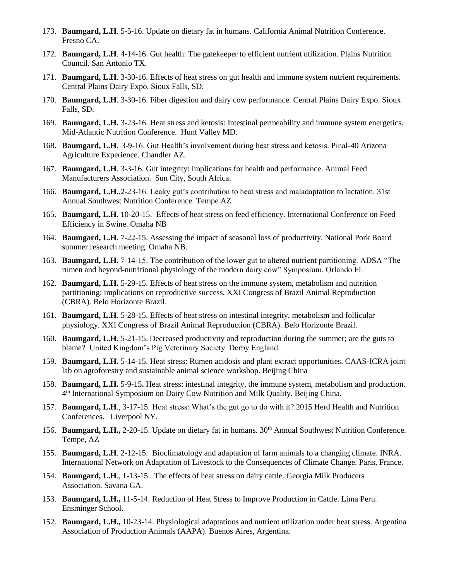- 173. **Baumgard, L.H**. 5-5-16. Update on dietary fat in humans. California Animal Nutrition Conference. Fresno CA.
- 172. **Baumgard, L.H**. 4-14-16. Gut health: The gatekeeper to efficient nutrient utilization. Plains Nutrition Council. San Antonio TX.
- 171. **Baumgard, L.H**. 3-30-16. Effects of heat stress on gut health and immune system nutrient requirements. Central Plains Dairy Expo. Sioux Falls, SD.
- 170. **Baumgard, L.H**. 3-30-16. Fiber digestion and dairy cow performance. Central Plains Dairy Expo. Sioux Falls, SD.
- 169. **Baumgard, L.H.** 3-23-16. Heat stress and ketosis: Intestinal permeability and immune system energetics. Mid-Atlantic Nutrition Conference. Hunt Valley MD.
- 168. **Baumgard, L.H.** 3-9-16. Gut Health's involvement during heat stress and ketosis. Pinal-40 Arizona Agriculture Experience. Chandler AZ.
- 167. **Baumgard, L.H**. 3-3-16. Gut integrity: implications for health and performance. Animal Feed Manufacturers Association. Sun City, South Africa.
- 166. **Baumgard, L.H.**.2-23-16. Leaky gut's contribution to heat stress and maladaptation to lactation. 31st Annual Southwest Nutrition Conference. Tempe AZ
- 165. **Baumgard, L.H**. 10-20-15. Effects of heat stress on feed efficiency. International Conference on Feed Efficiency in Swine. Omaha NB
- 164. **Baumgard, L.H**. 7-22-15. Assessing the impact of seasonal loss of productivity. National Pork Board summer research meeting. Omaha NB.
- 163. **Baumgard, L.H.** 7-14-15. The contribution of the lower gut to altered nutrient partitioning. ADSA "The rumen and beyond-nutritional physiology of the modern dairy cow" Symposium. Orlando FL
- 162. **Baumgard, L.H.** 5-29-15. Effects of heat stress on the immune system, metabolism and nutrition partitioning: implications on reproductive success. XXI Congress of Brazil Animal Reproduction (CBRA). Belo Horizonte Brazil.
- 161. **Baumgard, L.H.** 5-28-15. Effects of heat stress on intestinal integrity, metabolism and follicular physiology. XXI Congress of Brazil Animal Reproduction (CBRA). Belo Horizonte Brazil.
- 160. **Baumgard, L.H.** 5-21-15. Decreased productivity and reproduction during the summer; are the guts to blame? United Kingdom's Pig Veterinary Society. Derby England.
- 159. **Baumgard, L.H.** 5-14-15. Heat stress: Rumen acidosis and plant extract opportunities. CAAS-ICRA joint lab on agroforestry and sustainable animal science workshop. Beijing China
- 158. **Baumgard, L.H.** 5-9-15**.** Heat stress: intestinal integrity, the immune system, metabolism and production. 4 th International Symposium on Dairy Cow Nutrition and Milk Quality. Beijing China.
- 157. **Baumgard, L.H**., 3-17-15. Heat stress: What's the gut go to do with it? 2015 Herd Health and Nutrition Conferences. Liverpool NY.
- 156. **Baumgard, L.H.,** 2-20-15. Update on dietary fat in humans. 30<sup>th</sup> Annual Southwest Nutrition Conference. Tempe, AZ
- 155. **Baumgard, L.H**. 2-12-15. Bioclimatology and adaptation of farm animals to a changing climate. INRA. International Network on Adaptation of Livestock to the Consequences of Climate Change. Paris, France.
- 154. **Baumgard, L.H**., 1-13-15. The effects of heat stress on dairy cattle. Georgia Milk Producers Association. Savana GA.
- 153. **Baumgard, L.H.,** 11-5-14. Reduction of Heat Stress to Improve Production in Cattle. Lima Peru. Ensminger School.
- 152. **Baumgard, L.H.,** 10-23-14. Physiological adaptations and nutrient utilization under heat stress. Argentina Association of Production Animals (AAPA). Buenos Aires, Argentina.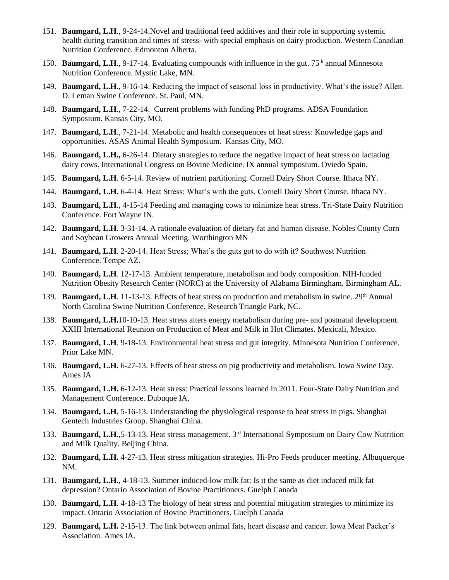- 151. **Baumgard, L.H**., 9-24-14.Novel and traditional feed additives and their role in supporting systemic health during transition and times of stress- with special emphasis on dairy production. Western Canadian Nutrition Conference. Edmonton Alberta.
- 150. **Baumgard, L.H.**, 9-17-14. Evaluating compounds with influence in the gut. 75<sup>th</sup> annual Minnesota Nutrition Conference. Mystic Lake, MN.
- 149. **Baumgard, L.H**., 9-16-14. Reducing the impact of seasonal loss in productivity. What's the issue? Allen. D. Leman Swine Conference. St. Paul, MN.
- 148. **Baumgard, L.H**., 7-22-14. Current problems with funding PhD programs. ADSA Foundation Symposium. Kansas City, MO.
- 147. **Baumgard, L.H**., 7-21-14. Metabolic and health consequences of heat stress: Knowledge gaps and opportunities. ASAS Animal Health Symposium. Kansas City, MO.
- 146. **Baumgard, L.H.,** 6-26-14. Dietary strategies to reduce the negative impact of heat stress on lactating dairy cows. International Congress on Bovine Medicine. IX annual symposium. Oviedo Spain.
- 145. **Baumgard, L.H**. 6-5-14. Review of nutrient partitioning. Cornell Dairy Short Course. Ithaca NY.
- 144. **Baumgard, L.H.** 6-4-14. Heat Stress: What's with the guts. Cornell Dairy Short Course. Ithaca NY.
- 143. **Baumgard, L.H**., 4-15-14 Feeding and managing cows to minimize heat stress. Tri-State Dairy Nutrition Conference. Fort Wayne IN.
- 142. **Baumgard, L.H.** 3-31-14. A rationale evaluation of dietary fat and human disease. Nobles County Corn and Soybean Growers Annual Meeting. Worthington MN
- 141. **Baumgard, L.H**. 2-20-14. Heat Stress; What's the guts got to do with it? Southwest Nutrition Conference. Tempe AZ.
- 140. **Baumgard, L.H**. 12-17-13. Ambient temperature, metabolism and body composition. NIH-funded Nutrition Obesity Research Center (NORC) at the University of Alabama Birmingham. Birmingham AL.
- 139. **Baumgard, L.H**. 11-13-13. Effects of heat stress on production and metabolism in swine. 29<sup>th</sup> Annual North Carolina Swine Nutrition Conference. Research Triangle Park, NC.
- 138. **Baumgard, L.H.**10-10-13. Heat stress alters energy metabolism during pre- and postnatal development. XXIII International Reunion on Production of Meat and Milk in Hot Climates. Mexicali, Mexico.
- 137. **Baumgard, L.H**. 9-18-13. Environmental heat stress and gut integrity. Minnesota Nutrition Conference. Prior Lake MN.
- 136. **Baumgard, L.H.** 6-27-13. Effects of heat stress on pig productivity and metabolism. Iowa Swine Day. Ames IA
- 135. **Baumgard, L.H.** 6-12-13. Heat stress: Practical lessons learned in 2011. Four-State Dairy Nutrition and Management Conference. Dubuque IA,
- 134. **Baumgard, L.H.** 5-16-13. Understanding the physiological response to heat stress in pigs. Shanghai Gentech Industries Group. Shanghai China.
- 133. **Baumgard, L.H.**,5-13-13. Heat stress management. 3rd International Symposium on Dairy Cow Nutrition and Milk Quality. Beijing China.
- 132. **Baumgard, L.H.** 4-27-13. Heat stress mitigation strategies. Hi-Pro Feeds producer meeting. Albuquerque NM.
- 131. **Baumgard, L.H.**, 4-18-13. Summer induced-low milk fat: Is it the same as diet induced milk fat depression? Ontario Association of Bovine Practitioners. Guelph Canada
- 130. **Baumgard, L.H**. 4-18-13 The biology of heat stress and potential mitigation strategies to minimize its impact. Ontario Association of Bovine Practitioners. Guelph Canada
- 129. **Baumgard, L.H.** 2-15-13. The link between animal fats, heart disease and cancer. Iowa Meat Packer's Association. Ames IA.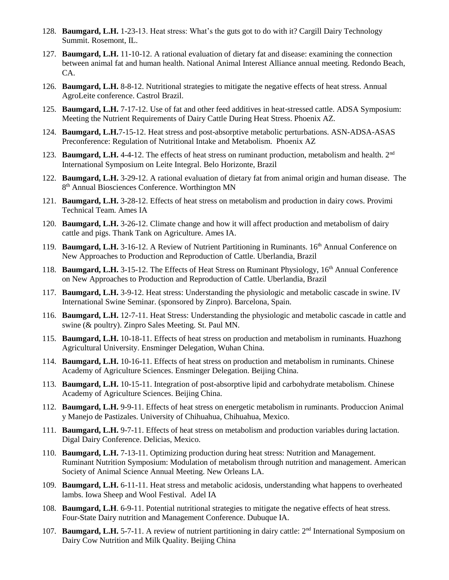- 128. **Baumgard, L.H.** 1-23-13. Heat stress: What's the guts got to do with it? Cargill Dairy Technology Summit. Rosemont, IL.
- 127. **Baumgard, L.H.** 11-10-12. A rational evaluation of dietary fat and disease: examining the connection between animal fat and human health. National Animal Interest Alliance annual meeting. Redondo Beach, CA.
- 126. **Baumgard, L.H.** 8-8-12. Nutritional strategies to mitigate the negative effects of heat stress. Annual AgroLeite conference. Castrol Brazil.
- 125. **Baumgard, L.H.** 7-17-12. Use of fat and other feed additives in heat-stressed cattle. ADSA Symposium: Meeting the Nutrient Requirements of Dairy Cattle During Heat Stress. Phoenix AZ.
- 124. **Baumgard, L.H.**7-15-12. Heat stress and post-absorptive metabolic perturbations. ASN-ADSA-ASAS Preconference: Regulation of Nutritional Intake and Metabolism. Phoenix AZ
- 123. **Baumgard, L.H.** 4-4-12. The effects of heat stress on ruminant production, metabolism and health. 2nd International Symposium on Leite Integral. Belo Horizonte, Brazil
- 122. **Baumgard, L.H.** 3-29-12. A rational evaluation of dietary fat from animal origin and human disease. The 8<sup>th</sup> Annual Biosciences Conference. Worthington MN
- 121. **Baumgard, L.H.** 3-28-12. Effects of heat stress on metabolism and production in dairy cows. Provimi Technical Team. Ames IA
- 120. **Baumgard, L.H.** 3-26-12. Climate change and how it will affect production and metabolism of dairy cattle and pigs. Thank Tank on Agriculture. Ames IA.
- 119. **Baumgard, L.H.** 3-16-12. A Review of Nutrient Partitioning in Ruminants. 16th Annual Conference on New Approaches to Production and Reproduction of Cattle. Uberlandia, Brazil
- 118. **Baumgard, L.H.** 3-15-12. The Effects of Heat Stress on Ruminant Physiology, 16<sup>th</sup> Annual Conference on New Approaches to Production and Reproduction of Cattle. Uberlandia, Brazil
- 117. **Baumgard, L.H.** 3-9-12. Heat stress: Understanding the physiologic and metabolic cascade in swine. IV International Swine Seminar. (sponsored by Zinpro). Barcelona, Spain.
- 116. **Baumgard, L.H.** 12-7-11. Heat Stress: Understanding the physiologic and metabolic cascade in cattle and swine (& poultry). Zinpro Sales Meeting. St. Paul MN.
- 115. **Baumgard, L.H.** 10-18-11. Effects of heat stress on production and metabolism in ruminants. Huazhong Agricultural University. Ensminger Delegation, Wuhan China.
- 114. **Baumgard, L.H.** 10-16-11. Effects of heat stress on production and metabolism in ruminants. Chinese Academy of Agriculture Sciences. Ensminger Delegation. Beijing China.
- 113. **Baumgard, L.H.** 10-15-11. Integration of post-absorptive lipid and carbohydrate metabolism. Chinese Academy of Agriculture Sciences. Beijing China.
- 112. **Baumgard, L.H.** 9-9-11. Effects of heat stress on energetic metabolism in ruminants. Produccion Animal y Manejo de Pastizales. University of Chihuahua, Chihuahua, Mexico.
- 111. **Baumgard, L.H.** 9-7-11. Effects of heat stress on metabolism and production variables during lactation. Digal Dairy Conference. Delicias, Mexico.
- 110. **Baumgard, L.H.** 7-13-11. Optimizing production during heat stress: Nutrition and Management. Ruminant Nutrition Symposium: Modulation of metabolism through nutrition and management. American Society of Animal Science Annual Meeting. New Orleans LA.
- 109. **Baumgard, L.H.** 6-11-11. Heat stress and metabolic acidosis, understanding what happens to overheated lambs. Iowa Sheep and Wool Festival. Adel IA
- 108. **Baumgard, L.H**. 6-9-11. Potential nutritional strategies to mitigate the negative effects of heat stress. Four-State Dairy nutrition and Management Conference. Dubuque IA.
- 107. **Baumgard, L.H.** 5-7-11. A review of nutrient partitioning in dairy cattle: 2<sup>nd</sup> International Symposium on Dairy Cow Nutrition and Milk Quality. Beijing China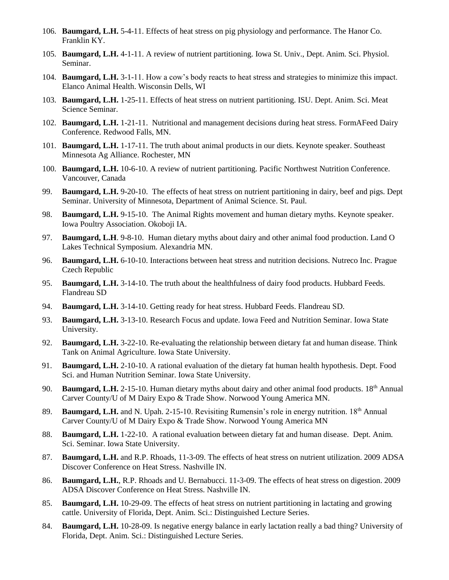- 106. **Baumgard, L.H.** 5-4-11. Effects of heat stress on pig physiology and performance. The Hanor Co. Franklin KY.
- 105. **Baumgard, L.H.** 4-1-11. A review of nutrient partitioning. Iowa St. Univ., Dept. Anim. Sci. Physiol. Seminar.
- 104. **Baumgard, L.H.** 3-1-11. How a cow's body reacts to heat stress and strategies to minimize this impact. Elanco Animal Health. Wisconsin Dells, WI
- 103. **Baumgard, L.H.** 1-25-11. Effects of heat stress on nutrient partitioning. ISU. Dept. Anim. Sci. Meat Science Seminar.
- 102. **Baumgard, L.H.** 1-21-11. Nutritional and management decisions during heat stress. FormAFeed Dairy Conference. Redwood Falls, MN.
- 101. **Baumgard, L.H.** 1-17-11. The truth about animal products in our diets. Keynote speaker. Southeast Minnesota Ag Alliance. Rochester, MN
- 100. **Baumgard, L.H.** 10-6-10. A review of nutrient partitioning. Pacific Northwest Nutrition Conference. Vancouver, Canada
- 99. **Baumgard, L.H.** 9-20-10. The effects of heat stress on nutrient partitioning in dairy, beef and pigs. Dept Seminar. University of Minnesota, Department of Animal Science. St. Paul.
- 98. **Baumgard, L.H.** 9-15-10. The Animal Rights movement and human dietary myths. Keynote speaker. Iowa Poultry Association. Okoboji IA.
- 97. **Baumgard, L.H**. 9-8-10. Human dietary myths about dairy and other animal food production. Land O Lakes Technical Symposium. Alexandria MN.
- 96. **Baumgard, L.H.** 6-10-10. Interactions between heat stress and nutrition decisions. Nutreco Inc. Prague Czech Republic
- 95. **Baumgard, L.H.** 3-14-10. The truth about the healthfulness of dairy food products. Hubbard Feeds. Flandreau SD
- 94. **Baumgard, L.H.** 3-14-10. Getting ready for heat stress. Hubbard Feeds. Flandreau SD.
- 93. **Baumgard, L.H.** 3-13-10. Research Focus and update. Iowa Feed and Nutrition Seminar. Iowa State University.
- 92. **Baumgard, L.H.** 3-22-10. Re-evaluating the relationship between dietary fat and human disease. Think Tank on Animal Agriculture. Iowa State University.
- 91. **Baumgard, L.H.** 2-10-10. A rational evaluation of the dietary fat human health hypothesis. Dept. Food Sci. and Human Nutrition Seminar. Iowa State University.
- 90. **Baumgard, L.H.** 2-15-10. Human dietary myths about dairy and other animal food products. 18<sup>th</sup> Annual Carver County/U of M Dairy Expo & Trade Show. Norwood Young America MN.
- 89. **Baumgard, L.H.** and N. Upah. 2-15-10. Revisiting Rumensin's role in energy nutrition. 18<sup>th</sup> Annual Carver County/U of M Dairy Expo & Trade Show. Norwood Young America MN
- 88. **Baumgard, L.H.** 1-22-10. A rational evaluation between dietary fat and human disease. Dept. Anim. Sci. Seminar. Iowa State University.
- 87. **Baumgard, L.H.** and R.P. Rhoads, 11-3-09. The effects of heat stress on nutrient utilization. 2009 ADSA Discover Conference on Heat Stress. Nashville IN.
- 86. **Baumgard, L.H.**, R.P. Rhoads and U. Bernabucci. 11-3-09. The effects of heat stress on digestion. 2009 ADSA Discover Conference on Heat Stress. Nashville IN.
- 85. **Baumgard, L.H.** 10-29-09. The effects of heat stress on nutrient partitioning in lactating and growing cattle. University of Florida, Dept. Anim. Sci.: Distinguished Lecture Series.
- 84. **Baumgard, L.H.** 10-28-09. Is negative energy balance in early lactation really a bad thing? University of Florida, Dept. Anim. Sci.: Distinguished Lecture Series.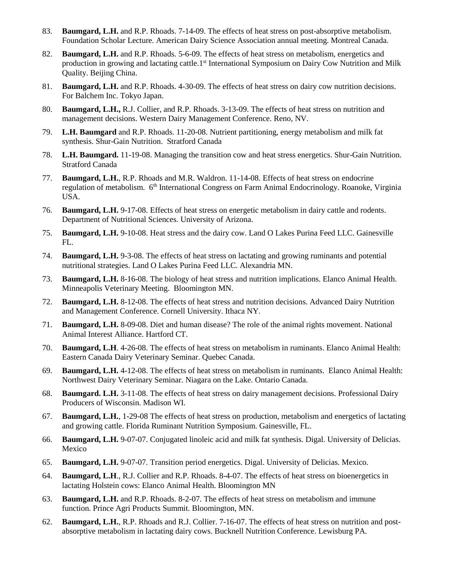- 83. **Baumgard, L.H.** and R.P. Rhoads. 7-14-09. The effects of heat stress on post-absorptive metabolism. Foundation Scholar Lecture. American Dairy Science Association annual meeting. Montreal Canada.
- 82. **Baumgard, L.H.** and R.P. Rhoads. 5-6-09. The effects of heat stress on metabolism, energetics and production in growing and lactating cattle.1st International Symposium on Dairy Cow Nutrition and Milk Quality. Beijing China.
- 81. **Baumgard, L.H.** and R.P. Rhoads. 4-30-09. The effects of heat stress on dairy cow nutrition decisions. For Balchem Inc. Tokyo Japan.
- 80. **Baumgard, L.H.,** R.J. Collier, and R.P. Rhoads. 3-13-09. The effects of heat stress on nutrition and management decisions. Western Dairy Management Conference. Reno, NV.
- 79. **L.H. Baumgard** and R.P. Rhoads. 11-20-08. Nutrient partitioning, energy metabolism and milk fat synthesis. Shur-Gain Nutrition. Stratford Canada
- 78. **L.H. Baumgard.** 11-19-08. Managing the transition cow and heat stress energetics. Shur-Gain Nutrition. Stratford Canada
- 77. **Baumgard, L.H.**, R.P. Rhoads and M.R. Waldron. 11-14-08. Effects of heat stress on endocrine regulation of metabolism. 6<sup>th</sup> International Congress on Farm Animal Endocrinology. Roanoke, Virginia USA.
- 76. **Baumgard, L.H.** 9-17-08. Effects of heat stress on energetic metabolism in dairy cattle and rodents. Department of Nutritional Sciences. University of Arizona.
- 75. **Baumgard, L.H.** 9-10-08. Heat stress and the dairy cow. Land O Lakes Purina Feed LLC. Gainesville FL.
- 74. **Baumgard, L.H.** 9-3-08. The effects of heat stress on lactating and growing ruminants and potential nutritional strategies. Land O Lakes Purina Feed LLC. Alexandria MN.
- 73. **Baumgard, L.H.** 8-16-08. The biology of heat stress and nutrition implications. Elanco Animal Health. Minneapolis Veterinary Meeting. Bloomington MN.
- 72. **Baumgard, L.H.** 8-12-08. The effects of heat stress and nutrition decisions. Advanced Dairy Nutrition and Management Conference. Cornell University. Ithaca NY.
- 71. **Baumgard, L.H.** 8-09-08. Diet and human disease? The role of the animal rights movement. National Animal Interest Alliance. Hartford CT.
- 70. **Baumgard, L.H**. 4-26-08. The effects of heat stress on metabolism in ruminants. Elanco Animal Health: Eastern Canada Dairy Veterinary Seminar. Quebec Canada.
- 69. **Baumgard, L.H.** 4-12-08. The effects of heat stress on metabolism in ruminants. Elanco Animal Health: Northwest Dairy Veterinary Seminar. Niagara on the Lake. Ontario Canada.
- 68. **Baumgard. L.H.** 3-11-08. The effects of heat stress on dairy management decisions. Professional Dairy Producers of Wisconsin. Madison WI.
- 67. **Baumgard, L.H.**, 1-29-08 The effects of heat stress on production, metabolism and energetics of lactating and growing cattle. Florida Ruminant Nutrition Symposium. Gainesville, FL.
- 66. **Baumgard, L.H.** 9-07-07. Conjugated linoleic acid and milk fat synthesis. Digal. University of Delicias. Mexico
- 65. **Baumgard, L.H.** 9-07-07. Transition period energetics. Digal. University of Delicias. Mexico.
- 64. **Baumgard, L.H**., R.J. Collier and R.P. Rhoads. 8-4-07. The effects of heat stress on bioenergetics in lactating Holstein cows: Elanco Animal Health. Bloomington MN
- 63. **Baumgard, L.H.** and R.P. Rhoads. 8-2-07. The effects of heat stress on metabolism and immune function. Prince Agri Products Summit. Bloomington, MN.
- 62. **Baumgard, L.H.**, R.P. Rhoads and R.J. Collier. 7-16-07. The effects of heat stress on nutrition and postabsorptive metabolism in lactating dairy cows. Bucknell Nutrition Conference. Lewisburg PA.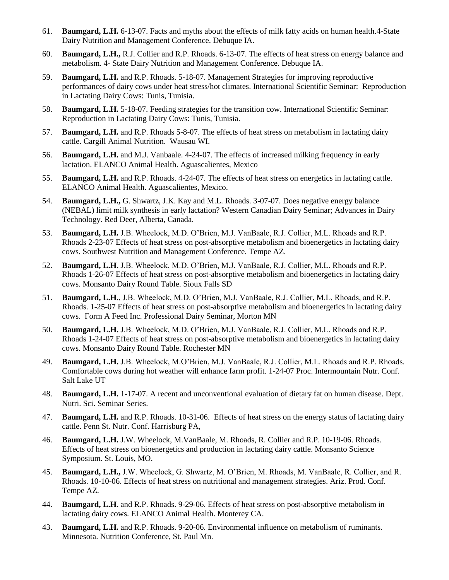- 61. **Baumgard, L.H.** 6-13-07. Facts and myths about the effects of milk fatty acids on human health.4-State Dairy Nutrition and Management Conference. Debuque IA.
- 60. **Baumgard, L.H.,** R.J. Collier and R.P. Rhoads. 6-13-07. The effects of heat stress on energy balance and metabolism. 4- State Dairy Nutrition and Management Conference. Debuque IA.
- 59. **Baumgard, L.H.** and R.P. Rhoads. 5-18-07. Management Strategies for improving reproductive performances of dairy cows under heat stress/hot climates. International Scientific Seminar: Reproduction in Lactating Dairy Cows: Tunis, Tunisia.
- 58. **Baumgard, L.H.** 5-18-07. Feeding strategies for the transition cow. International Scientific Seminar: Reproduction in Lactating Dairy Cows: Tunis, Tunisia.
- 57. **Baumgard, L.H.** and R.P. Rhoads 5-8-07. The effects of heat stress on metabolism in lactating dairy cattle. Cargill Animal Nutrition. Wausau WI.
- 56. **Baumgard, L.H.** and M.J. Vanbaale. 4-24-07. The effects of increased milking frequency in early lactation. ELANCO Animal Health. Aguascalientes, Mexico
- 55. **Baumgard, L.H.** and R.P. Rhoads. 4-24-07. The effects of heat stress on energetics in lactating cattle. ELANCO Animal Health. Aguascalientes, Mexico.
- 54. **Baumgard, L.H.,** G. Shwartz, J.K. Kay and M.L. Rhoads. 3-07-07. Does negative energy balance (NEBAL) limit milk synthesis in early lactation? Western Canadian Dairy Seminar; Advances in Dairy Technology. Red Deer, Alberta, Canada.
- 53. **Baumgard, L.H.** J.B. Wheelock, M.D. O'Brien, M.J. VanBaale, R.J. Collier, M.L. Rhoads and R.P. Rhoads 2-23-07 Effects of heat stress on post-absorptive metabolism and bioenergetics in lactating dairy cows. Southwest Nutrition and Management Conference. Tempe AZ.
- 52. **Baumgard, L.H.** J.B. Wheelock, M.D. O'Brien, M.J. VanBaale, R.J. Collier, M.L. Rhoads and R.P. Rhoads 1-26-07 Effects of heat stress on post-absorptive metabolism and bioenergetics in lactating dairy cows. Monsanto Dairy Round Table. Sioux Falls SD
- 51. **Baumgard, L.H.**, J.B. Wheelock, M.D. O'Brien, M.J. VanBaale, R.J. Collier, M.L. Rhoads, and R.P. Rhoads. 1-25-07 Effects of heat stress on post-absorptive metabolism and bioenergetics in lactating dairy cows. Form A Feed Inc. Professional Dairy Seminar, Morton MN
- 50. **Baumgard, L.H.** J.B. Wheelock, M.D. O'Brien, M.J. VanBaale, R.J. Collier, M.L. Rhoads and R.P. Rhoads 1-24-07 Effects of heat stress on post-absorptive metabolism and bioenergetics in lactating dairy cows. Monsanto Dairy Round Table. Rochester MN
- 49. **Baumgard, L.H.** J.B. Wheelock, M.O'Brien, M.J. VanBaale, R.J. Collier, M.L. Rhoads and R.P. Rhoads. Comfortable cows during hot weather will enhance farm profit. 1-24-07 Proc. Intermountain Nutr. Conf. Salt Lake UT
- 48. **Baumgard, L.H.** 1-17-07. A recent and unconventional evaluation of dietary fat on human disease. Dept. Nutri. Sci. Seminar Series.
- 47. **Baumgard, L.H.** and R.P. Rhoads. 10-31-06. Effects of heat stress on the energy status of lactating dairy cattle. Penn St. Nutr. Conf. Harrisburg PA,
- 46. **Baumgard, L.H.** J.W. Wheelock, M.VanBaale, M. Rhoads, R. Collier and R.P. 10-19-06. Rhoads. Effects of heat stress on bioenergetics and production in lactating dairy cattle. Monsanto Science Symposium. St. Louis, MO.
- 45. **Baumgard, L.H.,** J.W. Wheelock, G. Shwartz, M. O'Brien, M. Rhoads, M. VanBaale, R. Collier, and R. Rhoads. 10-10-06. Effects of heat stress on nutritional and management strategies. Ariz. Prod. Conf. Tempe AZ.
- 44. **Baumgard, L.H.** and R.P. Rhoads. 9-29-06. Effects of heat stress on post-absorptive metabolism in lactating dairy cows. ELANCO Animal Health. Monterey CA.
- 43. **Baumgard, L.H.** and R.P. Rhoads. 9-20-06. Environmental influence on metabolism of ruminants. Minnesota. Nutrition Conference, St. Paul Mn.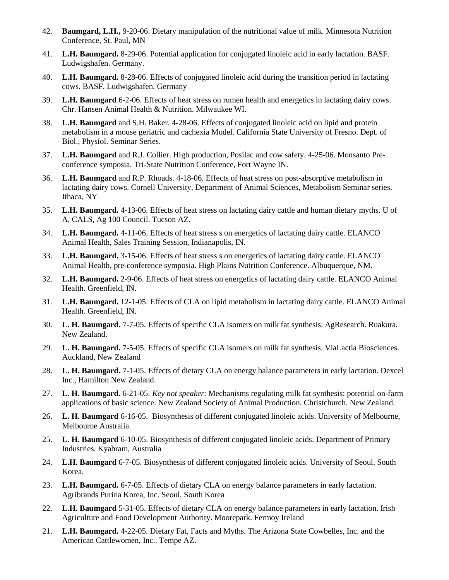- 42. **Baumgard, L.H.,** 9-20-06. Dietary manipulation of the nutritional value of milk. Minnesota Nutrition Conference, St. Paul, MN
- 41. **L.H. Baumgard.** 8-29-06. Potential application for conjugated linoleic acid in early lactation. BASF. Ludwigshafen. Germany.
- 40. **L.H. Baumgard.** 8-28-06. Effects of conjugated linoleic acid during the transition period in lactating cows. BASF. Ludwigshafen. Germany
- 39. **L.H. Baumgard** 6-2-06. Effects of heat stress on rumen health and energetics in lactating dairy cows. Chr. Hansen Animal Health & Nutrition. Milwaukee WI.
- 38. **L.H. Baumgard** and S.H. Baker. 4-28-06. Effects of conjugated linoleic acid on lipid and protein metabolism in a mouse geriatric and cachexia Model. California State University of Fresno. Dept. of Biol., Physiol. Seminar Series.
- 37. **L.H. Baumgard** and R.J. Collier. High production, Posilac and cow safety. 4-25-06. Monsanto Preconference symposia. Tri-State Nutrition Conference, Fort Wayne IN.
- 36. **L.H. Baumgard** and R.P. Rhoads. 4-18-06. Effects of heat stress on post-absorptive metabolism in lactating dairy cows. Cornell University, Department of Animal Sciences, Metabolism Seminar series. Ithaca, NY
- 35. **L.H. Baumgard.** 4-13-06. Effects of heat stress on lactating dairy cattle and human dietary myths. U of A, CALS, Ag 100 Council. Tucson AZ.
- 34. **L.H. Baumgard.** 4-11-06. Effects of heat stress s on energetics of lactating dairy cattle. ELANCO Animal Health, Sales Training Session, Indianapolis, IN.
- 33. **L.H. Baumgard.** 3-15-06. Effects of heat stress s on energetics of lactating dairy cattle. ELANCO Animal Health, pre-conference symposia. High Plains Nutrition Conference. Albuquerque, NM.
- 32. **L.H. Baumgard.** 2-9-06. Effects of heat stress on energetics of lactating dairy cattle. ELANCO Animal Health. Greenfield, IN.
- 31. **L.H. Baumgard.** 12-1-05. Effects of CLA on lipid metabolism in lactating dairy cattle. ELANCO Animal Health. Greenfield, IN.
- 30. **L. H. Baumgard.** 7-7-05. Effects of specific CLA isomers on milk fat synthesis. AgResearch. Ruakura. New Zealand.
- 29. **L. H. Baumgard.** 7-5-05. Effects of specific CLA isomers on milk fat synthesis. ViaLactia Biosciences. Auckland, New Zealand
- 28. **L. H. Baumgard.** 7-1-05. Effects of dietary CLA on energy balance parameters in early lactation. Dexcel Inc., Hamilton New Zealand.
- 27. **L. H. Baumgard.** 6-21-05. *Key not speaker*: Mechanisms regulating milk fat synthesis: potential on-farm applications of basic science. New Zealand Society of Animal Production. Christchurch. New Zealand.
- 26. **L. H. Baumgard** 6-16-05. Biosynthesis of different conjugated linoleic acids. University of Melbourne, Melbourne Australia.
- 25. **L. H. Baumgard** 6-10-05. Biosynthesis of different conjugated linoleic acids. Department of Primary Industries. Kyabram, Australia
- 24. **L.H. Baumgard** 6-7-05. Biosynthesis of different conjugated linoleic acids. University of Seoul. South Korea.
- 23. **L.H. Baumgard.** 6-7-05. Effects of dietary CLA on energy balance parameters in early lactation. Agribrands Purina Korea, Inc. Seoul, South Korea
- 22. **L.H. Baumgard** 5-31-05. Effects of dietary CLA on energy balance parameters in early lactation. Irish Agriculture and Food Development Authority. Moorepark. Fermoy Ireland
- 21. **L.H. Baumgard.** 4-22-05. Dietary Fat, Facts and Myths. The Arizona State Cowbelles, Inc. and the American Cattlewomen, Inc.. Tempe AZ.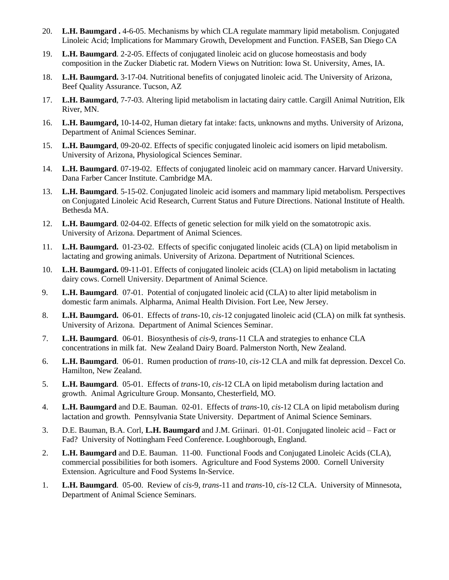- 20. **L.H. Baumgard .** 4-6-05. Mechanisms by which CLA regulate mammary lipid metabolism. Conjugated Linoleic Acid; Implications for Mammary Growth, Development and Function. FASEB, San Diego CA
- 19. **L.H. Baumgard**. 2-2-05. Effects of conjugated linoleic acid on glucose homeostasis and body composition in the Zucker Diabetic rat. Modern Views on Nutrition: Iowa St. University, Ames, IA.
- 18. **L.H. Baumgard.** 3-17-04. Nutritional benefits of conjugated linoleic acid. The University of Arizona, Beef Quality Assurance. Tucson, AZ
- 17. **L.H. Baumgard**, 7-7-03. Altering lipid metabolism in lactating dairy cattle. Cargill Animal Nutrition, Elk River, MN.
- 16. **L.H. Baumgard,** 10-14-02, Human dietary fat intake: facts, unknowns and myths. University of Arizona, Department of Animal Sciences Seminar.
- 15. **L.H. Baumgard**, 09-20-02. Effects of specific conjugated linoleic acid isomers on lipid metabolism. University of Arizona, Physiological Sciences Seminar.
- 14. **L.H. Baumgard**. 07-19-02. Effects of conjugated linoleic acid on mammary cancer. Harvard University. Dana Farber Cancer Institute. Cambridge MA.
- 13. **L.H. Baumgard**. 5-15-02. Conjugated linoleic acid isomers and mammary lipid metabolism. Perspectives on Conjugated Linoleic Acid Research, Current Status and Future Directions. National Institute of Health. Bethesda MA.
- 12. **L.H. Baumgard**. 02-04-02. Effects of genetic selection for milk yield on the somatotropic axis. University of Arizona. Department of Animal Sciences.
- 11. **L.H. Baumgard.** 01-23-02. Effects of specific conjugated linoleic acids (CLA) on lipid metabolism in lactating and growing animals. University of Arizona. Department of Nutritional Sciences.
- 10. **L.H. Baumgard.** 09-11-01. Effects of conjugated linoleic acids (CLA) on lipid metabolism in lactating dairy cows. Cornell University. Department of Animal Science.
- 9. **L.H. Baumgard**. 07-01. Potential of conjugated linoleic acid (CLA) to alter lipid metabolism in domestic farm animals. Alpharma, Animal Health Division. Fort Lee, New Jersey.
- 8. **L.H. Baumgard.** 06-01. Effects of *trans-*10, *cis-*12 conjugated linoleic acid (CLA) on milk fat synthesis. University of Arizona. Department of Animal Sciences Seminar.
- 7. **L.H. Baumgard**. 06-01. Biosynthesis of *cis-*9, *trans-*11 CLA and strategies to enhance CLA concentrations in milk fat. New Zealand Dairy Board. Palmerston North, New Zealand.
- 6. **L.H. Baumgard**. 06-01. Rumen production of *trans*-10, *cis*-12 CLA and milk fat depression. Dexcel Co. Hamilton, New Zealand.
- 5. **L.H. Baumgard**. 05-01. Effects of *trans*-10, *cis*-12 CLA on lipid metabolism during lactation and growth. Animal Agriculture Group. Monsanto, Chesterfield, MO.
- 4. **L.H. Baumgard** and D.E. Bauman. 02-01. Effects of *trans*-10, *cis*-12 CLA on lipid metabolism during lactation and growth. Pennsylvania State University. Department of Animal Science Seminars.
- 3. D.E. Bauman, B.A. Corl, **L.H. Baumgard** and J.M. Griinari. 01-01. Conjugated linoleic acid Fact or Fad? University of Nottingham Feed Conference. Loughborough, England.
- 2. **L.H. Baumgard** and D.E. Bauman. 11-00. Functional Foods and Conjugated Linoleic Acids (CLA), commercial possibilities for both isomers. Agriculture and Food Systems 2000. Cornell University Extension. Agriculture and Food Systems In-Service.
- 1. **L.H. Baumgard**. 05-00. Review of *cis*-9, *trans*-11 and *trans*-10, *cis*-12 CLA. University of Minnesota, Department of Animal Science Seminars.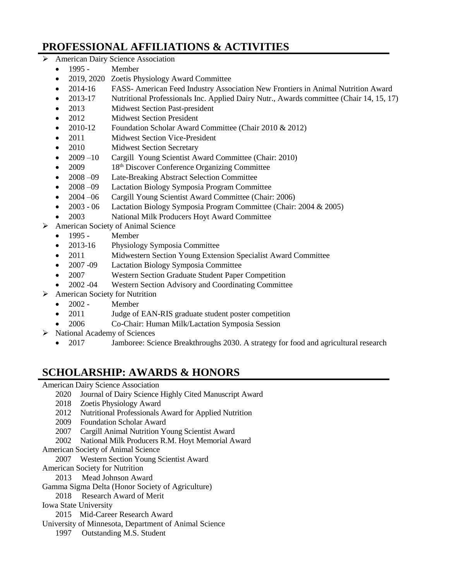# **PROFESSIONAL AFFILIATIONS & ACTIVITIES**

- ➢ American Dairy Science Association
	- $\bullet$  1995 Member
	- 2019, 2020 Zoetis Physiology Award Committee
	- 2014-16 FASS- American Feed Industry Association New Frontiers in Animal Nutrition Award
	- 2013-17 Nutritional Professionals Inc. Applied Dairy Nutr., Awards committee (Chair 14, 15, 17)
	- 2013 Midwest Section Past-president
	- 2012 Midwest Section President
	- 2010-12 Foundation Scholar Award Committee (Chair 2010 & 2012)
	- 2011 Midwest Section Vice-President
	- 2010 Midwest Section Secretary
	- 2009 –10 Cargill Young Scientist Award Committee (Chair: 2010)
	- 2009 18<sup>th</sup> Discover Conference Organizing Committee
	- 2008 –09 Late-Breaking Abstract Selection Committee
	- 2008–09 Lactation Biology Symposia Program Committee
	- 2004 –06 Cargill Young Scientist Award Committee (Chair: 2006)
	- 2003 06 Lactation Biology Symposia Program Committee (Chair: 2004 & 2005)
	- 2003 National Milk Producers Hoyt Award Committee
- ➢ American Society of Animal Science
	- $\bullet$  1995 Member
	- 2013-16 Physiology Symposia Committee
	- 2011 Midwestern Section Young Extension Specialist Award Committee
	- 2007 -09 Lactation Biology Symposia Committee
	- 2007 Western Section Graduate Student Paper Competition
	- 2002 -04 Western Section Advisory and Coordinating Committee
- ➢ American Society for Nutrition
	- $\bullet$  2002 Member
	- 2011 Judge of EAN-RIS graduate student poster competition
	- 2006 Co-Chair: Human Milk/Lactation Symposia Session
- ➢ National Academy of Sciences
	- 2017 Jamboree: Science Breakthroughs 2030. A strategy for food and agricultural research

# **SCHOLARSHIP: AWARDS & HONORS**

American Dairy Science Association

- 2020 Journal of Dairy Science Highly Cited Manuscript Award
- 2018 Zoetis Physiology Award
- 2012 Nutritional Professionals Award for Applied Nutrition
- 2009 Foundation Scholar Award
- 2007 Cargill Animal Nutrition Young Scientist Award
- 2002 National Milk Producers R.M. Hoyt Memorial Award
- American Society of Animal Science
	- 2007 Western Section Young Scientist Award
- American Society for Nutrition
	- 2013 Mead Johnson Award
- Gamma Sigma Delta (Honor Society of Agriculture)
- 2018 Research Award of Merit
- Iowa State University
	- 2015 Mid-Career Research Award
- University of Minnesota, Department of Animal Science
	- 1997 Outstanding M.S. Student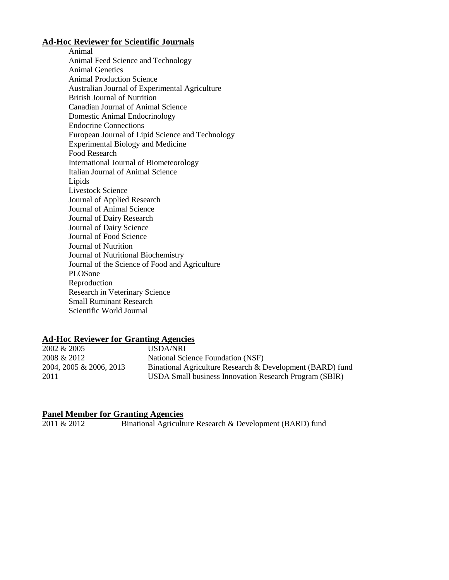### **Ad-Hoc Reviewer for Scientific Journals**

Animal Animal Feed Science and Technology Animal Genetics Animal Production Science Australian Journal of Experimental Agriculture British Journal of Nutrition Canadian Journal of Animal Science Domestic Animal Endocrinology Endocrine Connections European Journal of Lipid Science and Technology Experimental Biology and Medicine Food Research International Journal of Biometeorology Italian Journal of Animal Science Lipids Livestock Science Journal of Applied Research Journal of Animal Science Journal of Dairy Research Journal of Dairy Science Journal of Food Science Journal of Nutrition Journal of Nutritional Biochemistry Journal of the Science of Food and Agriculture PLOSone Reproduction Research in Veterinary Science Small Ruminant Research Scientific World Journal

### **Ad-Hoc Reviewer for Granting Agencies**

2002 & 2005 USDA/NRI 2008 & 2012 National Science Foundation (NSF) 2004, 2005 & 2006, 2013 Binational Agriculture Research & Development (BARD) fund 2011 USDA Small business Innovation Research Program (SBIR)

#### **Panel Member for Granting Agencies**

2011 & 2012 Binational Agriculture Research & Development (BARD) fund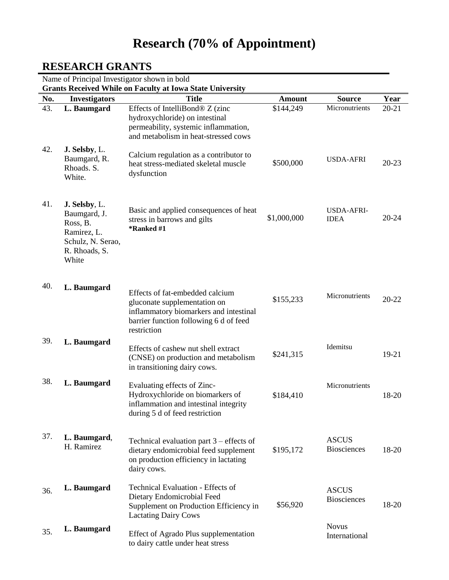# **Research (70% of Appointment)**

|     | Name of Principal Investigator shown in bold<br><b>Grants Received While on Faculty at Iowa State University</b> |                                                                                                                                                                    |               |                                    |           |
|-----|------------------------------------------------------------------------------------------------------------------|--------------------------------------------------------------------------------------------------------------------------------------------------------------------|---------------|------------------------------------|-----------|
| No. | <b>Investigators</b>                                                                                             | <b>Title</b>                                                                                                                                                       | <b>Amount</b> | <b>Source</b>                      | Year      |
| 43. | L. Baumgard                                                                                                      | Effects of IntelliBond® Z (zinc<br>hydroxychloride) on intestinal<br>permeability, systemic inflammation,<br>and metabolism in heat-stressed cows                  | \$144,249     | Micronutrients                     | $20 - 21$ |
| 42. | J. Selsby, L.<br>Baumgard, R.<br>Rhoads. S.<br>White.                                                            | Calcium regulation as a contributor to<br>heat stress-mediated skeletal muscle<br>dysfunction                                                                      | \$500,000     | <b>USDA-AFRI</b>                   | $20 - 23$ |
| 41. | <b>J. Selsby, L.</b><br>Baumgard, J.<br>Ross, B.<br>Ramirez, L.<br>Schulz, N. Serao,<br>R. Rhoads, S.<br>White   | Basic and applied consequences of heat<br>stress in barrows and gilts<br>*Ranked #1                                                                                | \$1,000,000   | <b>USDA-AFRI-</b><br><b>IDEA</b>   | 20-24     |
| 40. | L. Baumgard                                                                                                      | Effects of fat-embedded calcium<br>gluconate supplementation on<br>inflammatory biomarkers and intestinal<br>barrier function following 6 d of feed<br>restriction | \$155,233     | Micronutrients                     | $20 - 22$ |
| 39. | L. Baumgard                                                                                                      | Effects of cashew nut shell extract<br>(CNSE) on production and metabolism<br>in transitioning dairy cows.                                                         | \$241,315     | Idemitsu                           | 19-21     |
| 38. | L. Baumgard                                                                                                      | Evaluating effects of Zinc-<br>Hydroxychloride on biomarkers of<br>inflammation and intestinal integrity<br>during 5 d of feed restriction                         | \$184,410     | Micronutrients                     | 18-20     |
| 37. | L. Baumgard,<br>H. Ramirez                                                                                       | Technical evaluation part $3$ – effects of<br>dietary endomicrobial feed supplement<br>on production efficiency in lactating<br>dairy cows.                        | \$195,172     | <b>ASCUS</b><br><b>Biosciences</b> | 18-20     |
| 36. | L. Baumgard                                                                                                      | Technical Evaluation - Effects of<br>Dietary Endomicrobial Feed<br>Supplement on Production Efficiency in<br><b>Lactating Dairy Cows</b>                           | \$56,920      | <b>ASCUS</b><br><b>Biosciences</b> | 18-20     |
| 35. | L. Baumgard                                                                                                      | Effect of Agrado Plus supplementation<br>to dairy cattle under heat stress                                                                                         |               | <b>Novus</b><br>International      |           |

# **RESEARCH GRANTS**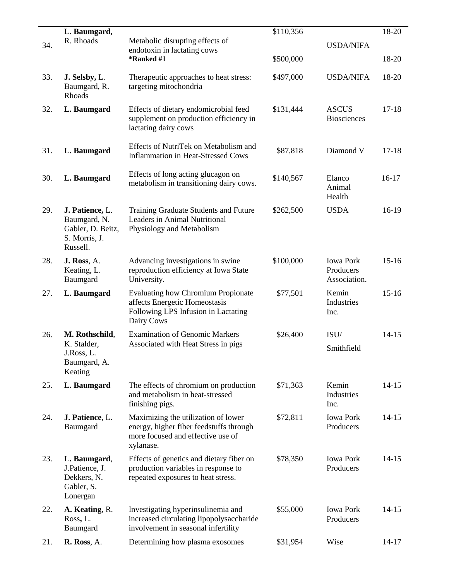|     | L. Baumgard,                                                                      |                                                                                                                                  | \$110,356 |                                               | 18-20     |
|-----|-----------------------------------------------------------------------------------|----------------------------------------------------------------------------------------------------------------------------------|-----------|-----------------------------------------------|-----------|
| 34. | R. Rhoads                                                                         | Metabolic disrupting effects of<br>endotoxin in lactating cows<br>*Ranked #1                                                     | \$500,000 | <b>USDA/NIFA</b>                              | 18-20     |
| 33. | J. Selsby, L.<br>Baumgard, R.<br>Rhoads                                           | Therapeutic approaches to heat stress:<br>targeting mitochondria                                                                 | \$497,000 | <b>USDA/NIFA</b>                              | 18-20     |
| 32. | L. Baumgard                                                                       | Effects of dietary endomicrobial feed<br>supplement on production efficiency in<br>lactating dairy cows                          | \$131,444 | <b>ASCUS</b><br><b>Biosciences</b>            | $17-18$   |
| 31. | L. Baumgard                                                                       | Effects of NutriTek on Metabolism and<br><b>Inflammation in Heat-Stressed Cows</b>                                               | \$87,818  | Diamond V                                     | $17-18$   |
| 30. | L. Baumgard                                                                       | Effects of long acting glucagon on<br>metabolism in transitioning dairy cows.                                                    | \$140,567 | Elanco<br>Animal<br>Health                    | $16-17$   |
| 29. | J. Patience, L.<br>Baumgard, N.<br>Gabler, D. Beitz,<br>S. Morris, J.<br>Russell. | Training Graduate Students and Future<br>Leaders in Animal Nutritional<br>Physiology and Metabolism                              | \$262,500 | <b>USDA</b>                                   | 16-19     |
| 28. | J. Ross, A.<br>Keating, L.<br>Baumgard                                            | Advancing investigations in swine<br>reproduction efficiency at Iowa State<br>University.                                        | \$100,000 | <b>Iowa Pork</b><br>Producers<br>Association. | $15-16$   |
| 27. | L. Baumgard                                                                       | <b>Evaluating how Chromium Propionate</b><br>affects Energetic Homeostasis<br>Following LPS Infusion in Lactating<br>Dairy Cows  | \$77,501  | Kemin<br>Industries<br>Inc.                   | $15-16$   |
| 26. | M. Rothschild,<br>K. Stalder,<br>J.Ross, L.<br>Baumgard, A.<br>Keating            | <b>Examination of Genomic Markers</b><br>Associated with Heat Stress in pigs                                                     | \$26,400  | ISU/<br>Smithfield                            | $14 - 15$ |
| 25. | L. Baumgard                                                                       | The effects of chromium on production<br>and metabolism in heat-stressed<br>finishing pigs.                                      | \$71,363  | Kemin<br><b>Industries</b><br>Inc.            | $14-15$   |
| 24. | J. Patience, L.<br>Baumgard                                                       | Maximizing the utilization of lower<br>energy, higher fiber feedstuffs through<br>more focused and effective use of<br>xylanase. | \$72,811  | <b>Iowa Pork</b><br>Producers                 | $14-15$   |
| 23. | L. Baumgard,<br>J.Patience, J.<br>Dekkers, N.<br>Gabler, S.<br>Lonergan           | Effects of genetics and dietary fiber on<br>production variables in response to<br>repeated exposures to heat stress.            | \$78,350  | <b>Iowa Pork</b><br>Producers                 | $14-15$   |
| 22. | A. Keating, R.<br>Ross, L.<br>Baumgard                                            | Investigating hyperinsulinemia and<br>increased circulating lipopolysaccharide<br>involvement in seasonal infertility            | \$55,000  | <b>Iowa Pork</b><br>Producers                 | $14-15$   |
| 21. | R. Ross, A.                                                                       | Determining how plasma exosomes                                                                                                  | \$31,954  | Wise                                          | $14-17$   |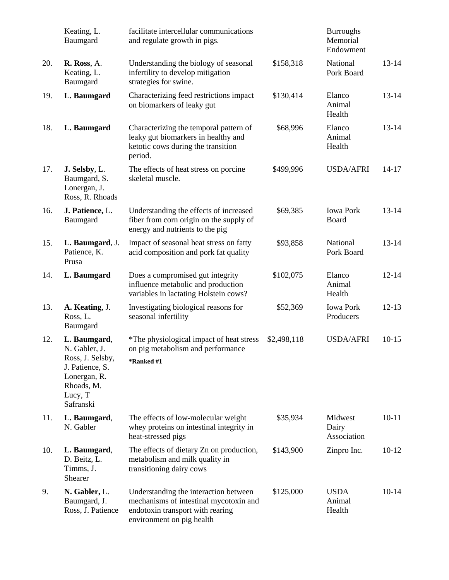|     | Keating, L.<br>Baumgard                                                                                                    | facilitate intercellular communications<br>and regulate growth in pigs.                                                                          |             | <b>Burroughs</b><br>Memorial<br>Endowment |           |
|-----|----------------------------------------------------------------------------------------------------------------------------|--------------------------------------------------------------------------------------------------------------------------------------------------|-------------|-------------------------------------------|-----------|
| 20. | R. Ross, A.<br>Keating, L.<br>Baumgard                                                                                     | Understanding the biology of seasonal<br>infertility to develop mitigation<br>strategies for swine.                                              | \$158,318   | National<br>Pork Board                    | $13 - 14$ |
| 19. | L. Baumgard                                                                                                                | Characterizing feed restrictions impact<br>on biomarkers of leaky gut                                                                            | \$130,414   | Elanco<br>Animal<br>Health                | $13 - 14$ |
| 18. | L. Baumgard                                                                                                                | Characterizing the temporal pattern of<br>leaky gut biomarkers in healthy and<br>ketotic cows during the transition<br>period.                   | \$68,996    | Elanco<br>Animal<br>Health                | $13 - 14$ |
| 17. | J. Selsby, L.<br>Baumgard, S.<br>Lonergan, J.<br>Ross, R. Rhoads                                                           | The effects of heat stress on porcine<br>skeletal muscle.                                                                                        | \$499,996   | <b>USDA/AFRI</b>                          | $14 - 17$ |
| 16. | J. Patience, L.<br>Baumgard                                                                                                | Understanding the effects of increased<br>fiber from corn origin on the supply of<br>energy and nutrients to the pig                             | \$69,385    | <b>Iowa Pork</b><br>Board                 | 13-14     |
| 15. | L. Baumgard, J.<br>Patience, K.<br>Prusa                                                                                   | Impact of seasonal heat stress on fatty<br>acid composition and pork fat quality                                                                 | \$93,858    | National<br>Pork Board                    | 13-14     |
| 14. | L. Baumgard                                                                                                                | Does a compromised gut integrity<br>influence metabolic and production<br>variables in lactating Holstein cows?                                  | \$102,075   | Elanco<br>Animal<br>Health                | $12 - 14$ |
| 13. | A. Keating, J.<br>Ross, L.<br>Baumgard                                                                                     | Investigating biological reasons for<br>seasonal infertility                                                                                     | \$52,369    | <b>Iowa Pork</b><br>Producers             | $12-13$   |
| 12. | L. Baumgard,<br>N. Gabler, J.<br>Ross, J. Selsby,<br>J. Patience, S.<br>Lonergan, R.<br>Rhoads, M.<br>Lucy, T<br>Safranski | *The physiological impact of heat stress<br>on pig metabolism and performance<br>*Ranked #1                                                      | \$2,498,118 | <b>USDA/AFRI</b>                          | $10-15$   |
| 11. | L. Baumgard,<br>N. Gabler                                                                                                  | The effects of low-molecular weight<br>whey proteins on intestinal integrity in<br>heat-stressed pigs                                            | \$35,934    | Midwest<br>Dairy<br>Association           | $10 - 11$ |
| 10. | L. Baumgard,<br>D. Beitz, L.<br>Timms, J.<br>Shearer                                                                       | The effects of dietary Zn on production,<br>metabolism and milk quality in<br>transitioning dairy cows                                           | \$143,900   | Zinpro Inc.                               | $10-12$   |
| 9.  | N. Gabler, L.<br>Baumgard, J.<br>Ross, J. Patience                                                                         | Understanding the interaction between<br>mechanisms of intestinal mycotoxin and<br>endotoxin transport with rearing<br>environment on pig health | \$125,000   | <b>USDA</b><br>Animal<br>Health           | $10-14$   |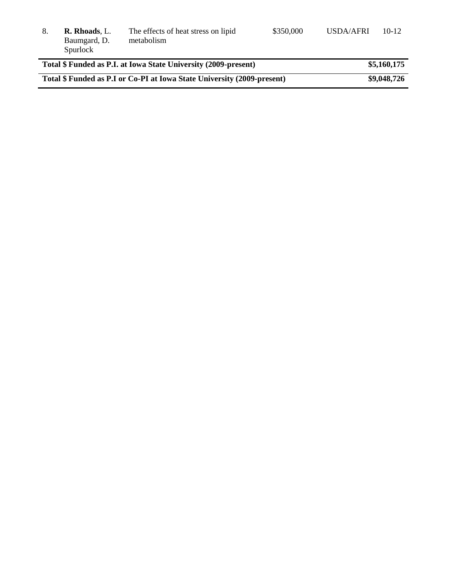| 8. | <b>R.</b> Rhoads, L. | The effects of heat stress on lipid |
|----|----------------------|-------------------------------------|
|    | Baumgard, D.         | metabolism                          |
|    | Spurlock             |                                     |

| Spurlock                                                                |             |
|-------------------------------------------------------------------------|-------------|
| Total \$ Funded as P.I. at Iowa State University (2009-present)         | \$5,160,175 |
| Total \$ Funded as P.I or Co-PI at Iowa State University (2009-present) | \$9,048,726 |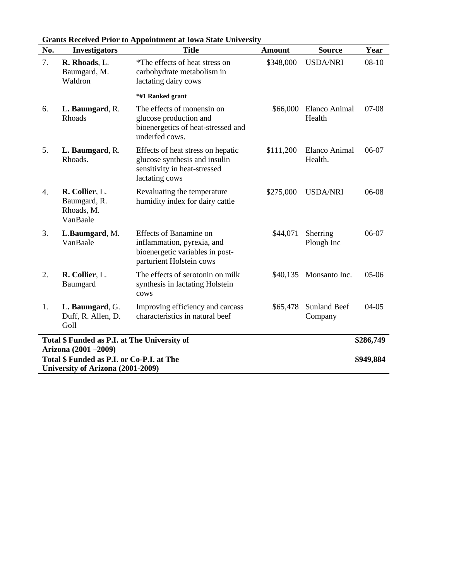| No.                                                                            | <b>Investigators</b>                                     | Oranis Keeliyed I Hor to Appointment at Iowa blate University<br><b>Title</b>                                              | <b>Amount</b> | <b>Source</b>                  | Year    |
|--------------------------------------------------------------------------------|----------------------------------------------------------|----------------------------------------------------------------------------------------------------------------------------|---------------|--------------------------------|---------|
| 7.                                                                             | R. Rhoads, L.<br>Baumgard, M.<br>Waldron                 | *The effects of heat stress on<br>carbohydrate metabolism in<br>lactating dairy cows                                       | \$348,000     | <b>USDA/NRI</b>                | 08-10   |
|                                                                                |                                                          | *#1 Ranked grant                                                                                                           |               |                                |         |
| 6.                                                                             | L. Baumgard, R.<br>Rhoads                                | The effects of monensin on<br>glucose production and<br>bioenergetics of heat-stressed and<br>underfed cows.               | \$66,000      | Elanco Animal<br>Health        | $07-08$ |
| 5.                                                                             | L. Baumgard, R.<br>Rhoads.                               | Effects of heat stress on hepatic<br>glucose synthesis and insulin<br>sensitivity in heat-stressed<br>lactating cows       | \$111,200     | Elanco Animal<br>Health.       | 06-07   |
| 4.                                                                             | R. Collier, L.<br>Baumgard, R.<br>Rhoads, M.<br>VanBaale | Revaluating the temperature<br>humidity index for dairy cattle                                                             | \$275,000     | <b>USDA/NRI</b>                | 06-08   |
| 3.                                                                             | L.Baumgard, M.<br>VanBaale                               | <b>Effects of Banamine on</b><br>inflammation, pyrexia, and<br>bioenergetic variables in post-<br>parturient Holstein cows | \$44,071      | Sherring<br>Plough Inc         | 06-07   |
| 2.                                                                             | R. Collier, L.<br>Baumgard                               | The effects of serotonin on milk<br>synthesis in lactating Holstein<br>cows                                                | \$40,135      | Monsanto Inc.                  | $05-06$ |
| 1.                                                                             | L. Baumgard, G.<br>Duff, R. Allen, D.<br>Goll            | Improving efficiency and carcass<br>characteristics in natural beef                                                        | \$65,478      | <b>Sunland Beef</b><br>Company | $04-05$ |
| Total \$ Funded as P.I. at The University of<br>Arizona (2001-2009)            |                                                          |                                                                                                                            |               | \$286,749                      |         |
| Total \$ Funded as P.I. or Co-P.I. at The<br>University of Arizona (2001-2009) |                                                          |                                                                                                                            |               | \$949,884                      |         |

**Grants Received Prior to Appointment at Iowa State University**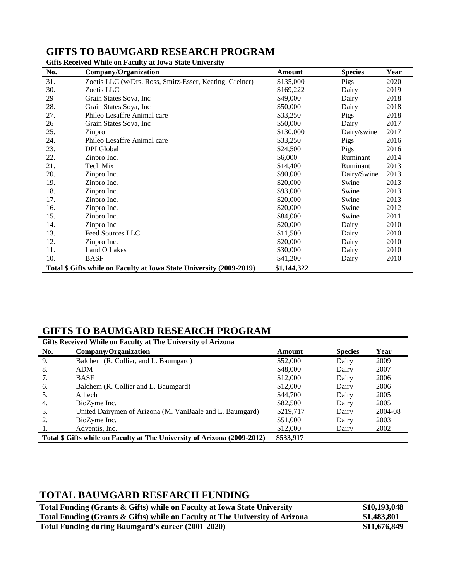|     | Gifts Received While on Faculty at Iowa State University             |             |                |      |
|-----|----------------------------------------------------------------------|-------------|----------------|------|
| No. | Company/Organization                                                 | Amount      | <b>Species</b> | Year |
| 31. | Zoetis LLC (w/Drs. Ross, Smitz-Esser, Keating, Greiner)              | \$135,000   | Pigs           | 2020 |
| 30. | Zoetis LLC                                                           | \$169,222   | Dairy          | 2019 |
| 29  | Grain States Soya, Inc.                                              | \$49,000    | Dairy          | 2018 |
| 28. | Grain States Soya, Inc                                               | \$50,000    | Dairy          | 2018 |
| 27. | Phileo Lesaffre Animal care                                          | \$33,250    | Pigs           | 2018 |
| 26  | Grain States Soya, Inc                                               | \$50,000    | Dairy          | 2017 |
| 25. | Zinpro                                                               | \$130,000   | Dairy/swine    | 2017 |
| 24. | Phileo Lesaffre Animal care                                          | \$33,250    | Pigs           | 2016 |
| 23. | <b>DPI</b> Global                                                    | \$24,500    | Pigs           | 2016 |
| 22. | Zinpro Inc.                                                          | \$6,000     | Ruminant       | 2014 |
| 21. | Tech Mix                                                             | \$14,400    | Ruminant       | 2013 |
| 20. | Zinpro Inc.                                                          | \$90,000    | Dairy/Swine    | 2013 |
| 19. | Zinpro Inc.                                                          | \$20,000    | Swine          | 2013 |
| 18. | Zinpro Inc.                                                          | \$93,000    | Swine          | 2013 |
| 17. | Zinpro Inc.                                                          | \$20,000    | Swine          | 2013 |
| 16. | Zinpro Inc.                                                          | \$20,000    | Swine          | 2012 |
| 15. | Zinpro Inc.                                                          | \$84,000    | Swine          | 2011 |
| 14. | Zinpro Inc                                                           | \$20,000    | Dairy          | 2010 |
| 13. | <b>Feed Sources LLC</b>                                              | \$11,500    | Dairy          | 2010 |
| 12. | Zinpro Inc.                                                          | \$20,000    | Dairy          | 2010 |
| 11. | Land O Lakes                                                         | \$30,000    | Dairy          | 2010 |
| 10. | <b>BASF</b>                                                          | \$41,200    | Dairy          | 2010 |
|     | Total \$ Gifts while on Faculty at Iowa State University (2009-2019) | \$1,144,322 |                |      |

## **GIFTS TO BAUMGARD RESEARCH PROGRAM**

**Gifts Received While on Faculty at Iowa State University**

## **GIFTS TO BAUMGARD RESEARCH PROGRAM**

|     | Gifts Received While on Faculty at The University of Arizona             |           |                |         |  |
|-----|--------------------------------------------------------------------------|-----------|----------------|---------|--|
| No. | Company/Organization                                                     | Amount    | <b>Species</b> | Year    |  |
| 9.  | Balchem (R. Collier, and L. Baumgard)                                    | \$52,000  | Dairy          | 2009    |  |
| 8.  | <b>ADM</b>                                                               | \$48,000  | Dairy          | 2007    |  |
|     | <b>BASF</b>                                                              | \$12,000  | Dairy          | 2006    |  |
| 6.  | Balchem (R. Collier and L. Baumgard)                                     | \$12,000  | Dairy          | 2006    |  |
| 5.  | Alltech                                                                  | \$44,700  | Dairy          | 2005    |  |
| 4.  | BioZyme Inc.                                                             | \$82,500  | Dairy          | 2005    |  |
| 3.  | United Dairymen of Arizona (M. VanBaale and L. Baumgard)                 | \$219,717 | Dairy          | 2004-08 |  |
| 2.  | BioZyme Inc.                                                             | \$51,000  | Dairy          | 2003    |  |
|     | Adventis, Inc.                                                           | \$12,000  | Dairy          | 2002    |  |
|     | Total \$ Gifts while on Faculty at The University of Arizona (2009-2012) |           |                |         |  |

# **TOTAL BAUMGARD RESEARCH FUNDING**

| Total Funding (Grants & Gifts) while on Faculty at Iowa State University     | \$10,193,048 |
|------------------------------------------------------------------------------|--------------|
| Total Funding (Grants & Gifts) while on Faculty at The University of Arizona | \$1,483,801  |
| <b>Total Funding during Baumgard's career (2001-2020)</b>                    | \$11,676,849 |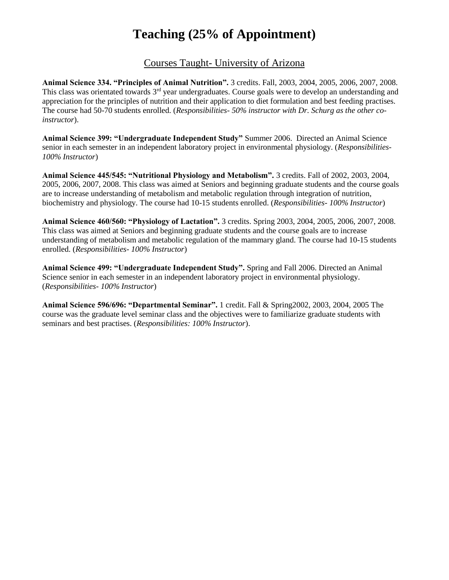# **Teaching (25% of Appointment)**

### Courses Taught- University of Arizona

**Animal Science 334. "Principles of Animal Nutrition".** 3 credits. Fall, 2003, 2004, 2005, 2006, 2007, 2008. This class was orientated towards 3<sup>rd</sup> year undergraduates. Course goals were to develop an understanding and appreciation for the principles of nutrition and their application to diet formulation and best feeding practises. The course had 50-70 students enrolled. (*Responsibilities- 50% instructor with Dr. Schurg as the other coinstructor*).

**Animal Science 399: "Undergraduate Independent Study"** Summer 2006. Directed an Animal Science senior in each semester in an independent laboratory project in environmental physiology. (*Responsibilities-100% Instructor*)

**Animal Science 445/545: "Nutritional Physiology and Metabolism".** 3 credits. Fall of 2002, 2003, 2004, 2005, 2006, 2007, 2008. This class was aimed at Seniors and beginning graduate students and the course goals are to increase understanding of metabolism and metabolic regulation through integration of nutrition, biochemistry and physiology. The course had 10-15 students enrolled. (*Responsibilities- 100% Instructor*)

**Animal Science 460/560: "Physiology of Lactation".** 3 credits. Spring 2003, 2004, 2005, 2006, 2007, 2008. This class was aimed at Seniors and beginning graduate students and the course goals are to increase understanding of metabolism and metabolic regulation of the mammary gland. The course had 10-15 students enrolled. (*Responsibilities- 100% Instructor*)

**Animal Science 499: "Undergraduate Independent Study".** Spring and Fall 2006. Directed an Animal Science senior in each semester in an independent laboratory project in environmental physiology. (*Responsibilities- 100% Instructor*)

**Animal Science 596/696: "Departmental Seminar".** 1 credit. Fall & Spring2002, 2003, 2004, 2005 The course was the graduate level seminar class and the objectives were to familiarize graduate students with seminars and best practises. (*Responsibilities: 100% Instructor*).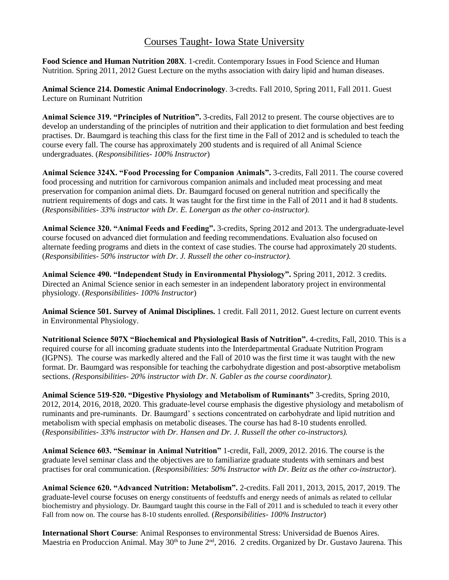## Courses Taught- Iowa State University

**Food Science and Human Nutrition 208X**. 1-credit. Contemporary Issues in Food Science and Human Nutrition. Spring 2011, 2012 Guest Lecture on the myths association with dairy lipid and human diseases.

**Animal Science 214. Domestic Animal Endocrinology**. 3-credts. Fall 2010, Spring 2011, Fall 2011. Guest Lecture on Ruminant Nutrition

**Animal Science 319. "Principles of Nutrition".** 3-credits, Fall 2012 to present. The course objectives are to develop an understanding of the principles of nutrition and their application to diet formulation and best feeding practises. Dr. Baumgard is teaching this class for the first time in the Fall of 2012 and is scheduled to teach the course every fall. The course has approximately 200 students and is required of all Animal Science undergraduates. (*Responsibilities- 100% Instructor*)

**Animal Science 324X. "Food Processing for Companion Animals".** 3-credits, Fall 2011. The course covered food processing and nutrition for carnivorous companion animals and included meat processing and meat preservation for companion animal diets. Dr. Baumgard focused on general nutrition and specifically the nutrient requirements of dogs and cats. It was taught for the first time in the Fall of 2011 and it had 8 students. (*Responsibilities- 33% instructor with Dr. E. Lonergan as the other co-instructor).*

**Animal Science 320. "Animal Feeds and Feeding".** 3-credits, Spring 2012 and 2013. The undergraduate-level course focused on advanced diet formulation and feeding recommendations. Evaluation also focused on alternate feeding programs and diets in the context of case studies. The course had approximately 20 students. (*Responsibilities- 50% instructor with Dr. J. Russell the other co-instructor).*

**Animal Science 490. "Independent Study in Environmental Physiology".** Spring 2011, 2012. 3 credits. Directed an Animal Science senior in each semester in an independent laboratory project in environmental physiology. (*Responsibilities- 100% Instructor*)

**Animal Science 501. Survey of Animal Disciplines.** 1 credit. Fall 2011, 2012. Guest lecture on current events in Environmental Physiology.

**Nutritional Science 507X "Biochemical and Physiological Basis of Nutrition".** 4-credits, Fall, 2010. This is a required course for all incoming graduate students into the Interdepartmental Graduate Nutrition Program (IGPNS). The course was markedly altered and the Fall of 2010 was the first time it was taught with the new format. Dr. Baumgard was responsible for teaching the carbohydrate digestion and post-absorptive metabolism sections. *(Responsibilities- 20% instructor with Dr. N. Gabler as the course coordinator).*

**Animal Science 519-520. "Digestive Physiology and Metabolism of Ruminants"** 3-credits, Spring 2010, 2012, 2014, 2016, 2018, 2020. This graduate-level course emphasis the digestive physiology and metabolism of ruminants and pre-ruminants. Dr. Baumgard' s sections concentrated on carbohydrate and lipid nutrition and metabolism with special emphasis on metabolic diseases. The course has had 8-10 students enrolled. (*Responsibilities- 33% instructor with Dr. Hansen and Dr. J. Russell the other co-instructors).*

**Animal Science 603. "Seminar in Animal Nutrition"** 1-credit, Fall, 2009, 2012. 2016. The course is the graduate level seminar class and the objectives are to familiarize graduate students with seminars and best practises for oral communication. (*Responsibilities: 50% Instructor with Dr. Beitz as the other co-instructor*).

**Animal Science 620. "Advanced Nutrition: Metabolism".** 2-credits. Fall 2011, 2013, 2015, 2017, 2019. The graduate-level course focuses on energy constituents of feedstuffs and energy needs of animals as related to cellular biochemistry and physiology. Dr. Baumgard taught this course in the Fall of 2011 and is scheduled to teach it every other Fall from now on. The course has 8-10 students enrolled. (*Responsibilities- 100% Instructor*)

**International Short Course**: Animal Responses to environmental Stress: Universidad de Buenos Aires. Maestria en Produccion Animal. May 30<sup>th</sup> to June 2<sup>nd</sup>, 2016. 2 credits. Organized by Dr. Gustavo Jaurena. This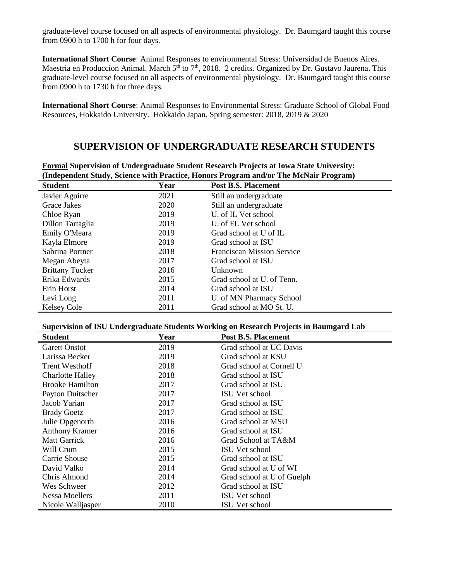graduate-level course focused on all aspects of environmental physiology. Dr. Baumgard taught this course from 0900 h to 1700 h for four days.

**International Short Course**: Animal Responses to environmental Stress: Universidad de Buenos Aires. Maestria en Produccion Animal. March 5<sup>th</sup> to 7<sup>th</sup>, 2018. 2 credits. Organized by Dr. Gustavo Jaurena. This graduate-level course focused on all aspects of environmental physiology. Dr. Baumgard taught this course from 0900 h to 1730 h for three days.

**International Short Course**: Animal Responses to Environmental Stress: Graduate School of Global Food Resources, Hokkaido University. Hokkaido Japan. Spring semester: 2018, 2019 & 2020

### **SUPERVISION OF UNDERGRADUATE RESEARCH STUDENTS**

|                        |      | (Independent Study, Science with Practice, Honors Program and/or The McNair Program) |  |
|------------------------|------|--------------------------------------------------------------------------------------|--|
| <b>Student</b>         | Year | <b>Post B.S. Placement</b>                                                           |  |
| Javier Aguirre         | 2021 | Still an undergraduate                                                               |  |
| Grace Jakes            | 2020 | Still an undergraduate                                                               |  |
| Chloe Ryan             | 2019 | U. of IL Vet school                                                                  |  |
| Dillon Tartaglia       | 2019 | U. of FL Vet school                                                                  |  |
| Emily O'Meara          | 2019 | Grad school at U of IL                                                               |  |
| Kayla Elmore           | 2019 | Grad school at ISU                                                                   |  |
| Sabrina Portner        | 2018 | <b>Franciscan Mission Service</b>                                                    |  |
| Megan Abeyta           | 2017 | Grad school at ISU                                                                   |  |
| <b>Brittany Tucker</b> | 2016 | Unknown                                                                              |  |
| Erika Edwards          | 2015 | Grad school at U. of Tenn.                                                           |  |
| Erin Horst             | 2014 | Grad school at ISU                                                                   |  |
| Levi Long              | 2011 | U. of MN Pharmacy School                                                             |  |
| <b>Kelsey Cole</b>     | 2011 | Grad school at MO St. U.                                                             |  |

### **Formal Supervision of Undergraduate Student Research Projects at Iowa State University: (Independent Study, Science with Practice, Honors Program and/or The McNair Program)**

#### **Supervision of ISU Undergraduate Students Working on Research Projects in Baumgard Lab**

| <b>Student</b>          | Year | <b>Post B.S. Placement</b> |
|-------------------------|------|----------------------------|
| <b>Garett Onstot</b>    | 2019 | Grad school at UC Davis    |
| Larissa Becker          | 2019 | Grad school at KSU         |
| <b>Trent Westhoff</b>   | 2018 | Grad school at Cornell U   |
| <b>Charlotte Halley</b> | 2018 | Grad school at ISU         |
| <b>Brooke Hamilton</b>  | 2017 | Grad school at ISU         |
| Payton Duitscher        | 2017 | <b>ISU</b> Vet school      |
| Jacob Yarian            | 2017 | Grad school at ISU         |
| <b>Brady Goetz</b>      | 2017 | Grad school at ISU         |
| Julie Opgenorth         | 2016 | Grad school at MSU         |
| <b>Anthony Kramer</b>   | 2016 | Grad school at ISU         |
| <b>Matt Garrick</b>     | 2016 | Grad School at TA&M        |
| Will Crum               | 2015 | ISU Vet school             |
| Carrie Shouse           | 2015 | Grad school at ISU         |
| David Valko             | 2014 | Grad school at U of WI     |
| Chris Almond            | 2014 | Grad school at U of Guelph |
| Wes Schweer             | 2012 | Grad school at ISU         |
| Nessa Moellers          | 2011 | <b>ISU</b> Vet school      |
| Nicole Walliasper       | 2010 | ISU Vet school             |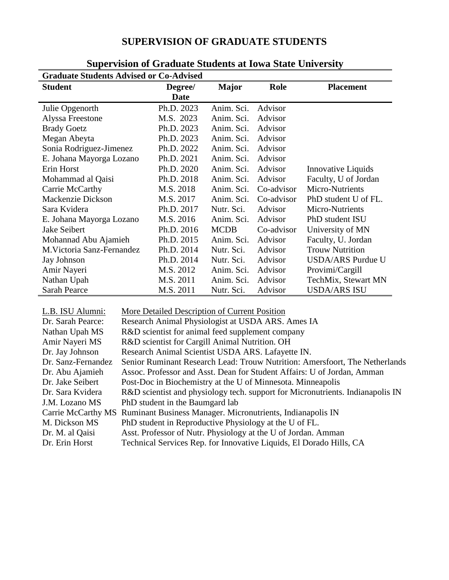# **SUPERVISION OF GRADUATE STUDENTS**

| <b>Graduate Students Advised or Co-Advised</b> |            |              |            |                           |
|------------------------------------------------|------------|--------------|------------|---------------------------|
| <b>Student</b>                                 | Degree/    | <b>Major</b> | Role       | <b>Placement</b>          |
|                                                | Date       |              |            |                           |
| Julie Opgenorth                                | Ph.D. 2023 | Anim. Sci.   | Advisor    |                           |
| Alyssa Freestone                               | M.S. 2023  | Anim. Sci.   | Advisor    |                           |
| <b>Brady Goetz</b>                             | Ph.D. 2023 | Anim. Sci.   | Advisor    |                           |
| Megan Abeyta                                   | Ph.D. 2023 | Anim. Sci.   | Advisor    |                           |
| Sonia Rodriguez-Jimenez                        | Ph.D. 2022 | Anim. Sci.   | Advisor    |                           |
| E. Johana Mayorga Lozano                       | Ph.D. 2021 | Anim. Sci.   | Advisor    |                           |
| Erin Horst                                     | Ph.D. 2020 | Anim. Sci.   | Advisor    | <b>Innovative Liquids</b> |
| Mohammad al Qaisi                              | Ph.D. 2018 | Anim. Sci.   | Advisor    | Faculty, U of Jordan      |
| Carrie McCarthy                                | M.S. 2018  | Anim. Sci.   | Co-advisor | Micro-Nutrients           |
| Mackenzie Dickson                              | M.S. 2017  | Anim. Sci.   | Co-advisor | PhD student U of FL.      |
| Sara Kvidera                                   | Ph.D. 2017 | Nutr. Sci.   | Advisor    | Micro-Nutrients           |
| E. Johana Mayorga Lozano                       | M.S. 2016  | Anim. Sci.   | Advisor    | PhD student ISU           |
| Jake Seibert                                   | Ph.D. 2016 | <b>MCDB</b>  | Co-advisor | University of MN          |
| Mohannad Abu Ajamieh                           | Ph.D. 2015 | Anim. Sci.   | Advisor    | Faculty, U. Jordan        |
| M. Victoria Sanz-Fernandez                     | Ph.D. 2014 | Nutr. Sci.   | Advisor    | <b>Trouw Nutrition</b>    |
| Jay Johnson                                    | Ph.D. 2014 | Nutr. Sci.   | Advisor    | <b>USDA/ARS Purdue U</b>  |
| Amir Nayeri                                    | M.S. 2012  | Anim. Sci.   | Advisor    | Provimi/Cargill           |
| Nathan Upah                                    | M.S. 2011  | Anim. Sci.   | Advisor    | TechMix, Stewart MN       |
| <b>Sarah Pearce</b>                            | M.S. 2011  | Nutr. Sci.   | Advisor    | <b>USDA/ARS ISU</b>       |

# **Supervision of Graduate Students at Iowa State University**

| L.B. ISU Alumni:   | <b>More Detailed Description of Current Position</b>                           |
|--------------------|--------------------------------------------------------------------------------|
| Dr. Sarah Pearce:  | Research Animal Physiologist at USDA ARS. Ames IA                              |
| Nathan Upah MS     | R&D scientist for animal feed supplement company                               |
| Amir Nayeri MS     | R&D scientist for Cargill Animal Nutrition. OH                                 |
| Dr. Jay Johnson    | Research Animal Scientist USDA ARS. Lafayette IN.                              |
| Dr. Sanz-Fernandez | Senior Ruminant Research Lead: Trouw Nutrition: Amersfoort, The Netherlands    |
| Dr. Abu Ajamieh    | Assoc. Professor and Asst. Dean for Student Affairs: U of Jordan, Amman        |
| Dr. Jake Seibert   | Post-Doc in Biochemistry at the U of Minnesota. Minneapolis                    |
| Dr. Sara Kvidera   | R&D scientist and physiology tech. support for Micronutrients. Indianapolis IN |
| J.M. Lozano MS     | PhD student in the Baumgard lab                                                |
|                    | Carrie McCarthy MS Ruminant Business Manager. Micronutrients, Indianapolis IN  |
| M. Dickson MS      | PhD student in Reproductive Physiology at the U of FL.                         |
| Dr. M. al Qaisi    | Asst. Professor of Nutr. Physiology at the U of Jordan. Amman                  |
| Dr. Erin Horst     | Technical Services Rep. for Innovative Liquids, El Dorado Hills, CA            |
|                    |                                                                                |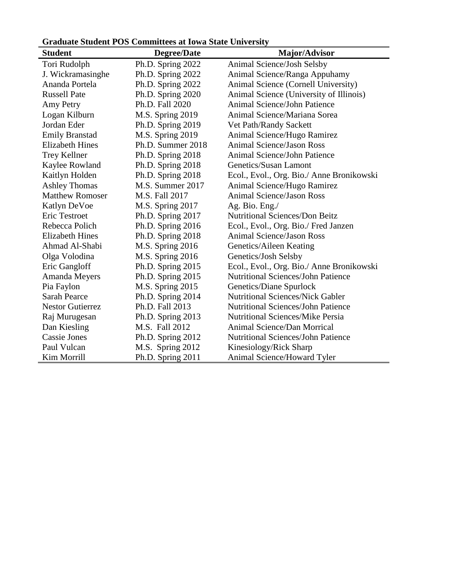| <b>Graduate Student POS Committees at Iowa State University</b> |  |
|-----------------------------------------------------------------|--|
|                                                                 |  |

| <b>Student</b>          | OTaguait Blugtht I OB Committees at Iowa Blait Omversity<br><b>Degree/Date</b> | <b>Major/Advisor</b>                      |
|-------------------------|--------------------------------------------------------------------------------|-------------------------------------------|
| Tori Rudolph            | Ph.D. Spring 2022                                                              | Animal Science/Josh Selsby                |
| J. Wickramasinghe       | Ph.D. Spring 2022                                                              | Animal Science/Ranga Appuhamy             |
| Ananda Portela          | Ph.D. Spring 2022                                                              | Animal Science (Cornell University)       |
| <b>Russell Pate</b>     | Ph.D. Spring 2020                                                              | Animal Science (University of Illinois)   |
| Amy Petry               | Ph.D. Fall 2020                                                                | <b>Animal Science/John Patience</b>       |
| Logan Kilburn           | <b>M.S. Spring 2019</b>                                                        | Animal Science/Mariana Sorea              |
| Jordan Eder             | Ph.D. Spring 2019                                                              | Vet Path/Randy Sackett                    |
| <b>Emily Branstad</b>   | M.S. Spring 2019                                                               | Animal Science/Hugo Ramirez               |
| <b>Elizabeth Hines</b>  | Ph.D. Summer 2018                                                              | <b>Animal Science/Jason Ross</b>          |
| <b>Trey Kellner</b>     | Ph.D. Spring 2018                                                              | Animal Science/John Patience              |
| Kaylee Rowland          | Ph.D. Spring 2018                                                              | Genetics/Susan Lamont                     |
| Kaitlyn Holden          | Ph.D. Spring 2018                                                              | Ecol., Evol., Org. Bio./ Anne Bronikowski |
| <b>Ashley Thomas</b>    | M.S. Summer 2017                                                               | Animal Science/Hugo Ramirez               |
| <b>Matthew Romoser</b>  | M.S. Fall 2017                                                                 | <b>Animal Science/Jason Ross</b>          |
| Katlyn DeVoe            | <b>M.S. Spring 2017</b>                                                        | Ag. Bio. Eng./                            |
| Eric Testroet           | Ph.D. Spring 2017                                                              | <b>Nutritional Sciences/Don Beitz</b>     |
| Rebecca Polich          | Ph.D. Spring 2016                                                              | Ecol., Evol., Org. Bio./ Fred Janzen      |
| <b>Elizabeth Hines</b>  | Ph.D. Spring 2018                                                              | <b>Animal Science/Jason Ross</b>          |
| Ahmad Al-Shabi          | M.S. Spring 2016                                                               | Genetics/Aileen Keating                   |
| Olga Volodina           | M.S. Spring 2016                                                               | Genetics/Josh Selsby                      |
| Eric Gangloff           | Ph.D. Spring 2015                                                              | Ecol., Evol., Org. Bio./ Anne Bronikowski |
| Amanda Meyers           | Ph.D. Spring 2015                                                              | <b>Nutritional Sciences/John Patience</b> |
| Pia Faylon              | M.S. Spring 2015                                                               | Genetics/Diane Spurlock                   |
| <b>Sarah Pearce</b>     | Ph.D. Spring 2014                                                              | <b>Nutritional Sciences/Nick Gabler</b>   |
| <b>Nestor Gutierrez</b> | Ph.D. Fall 2013                                                                | <b>Nutritional Sciences/John Patience</b> |
| Raj Murugesan           | Ph.D. Spring 2013                                                              | <b>Nutritional Sciences/Mike Persia</b>   |
| Dan Kiesling            | M.S. Fall 2012                                                                 | Animal Science/Dan Morrical               |
| <b>Cassie Jones</b>     | Ph.D. Spring 2012                                                              | <b>Nutritional Sciences/John Patience</b> |
| Paul Vulcan             | M.S. Spring 2012                                                               | Kinesiology/Rick Sharp                    |
| Kim Morrill             | Ph.D. Spring 2011                                                              | Animal Science/Howard Tyler               |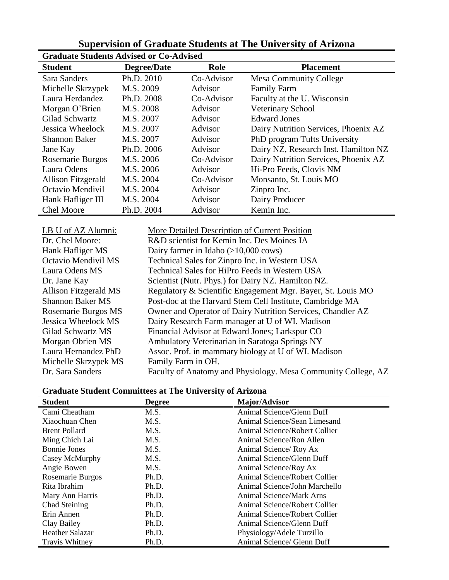| <b>Graduate Students Advised or Co-Advised</b> |                    |            |                                      |
|------------------------------------------------|--------------------|------------|--------------------------------------|
| <b>Student</b>                                 | <b>Degree/Date</b> | Role       | <b>Placement</b>                     |
| Sara Sanders                                   | Ph.D. 2010         | Co-Advisor | <b>Mesa Community College</b>        |
| Michelle Skrzypek                              | M.S. 2009          | Advisor    | <b>Family Farm</b>                   |
| Laura Herdandez                                | Ph.D. 2008         | Co-Advisor | Faculty at the U. Wisconsin          |
| Morgan O'Brien                                 | M.S. 2008          | Advisor    | Veterinary School                    |
| <b>Gilad Schwartz</b>                          | M.S. 2007          | Advisor    | <b>Edward Jones</b>                  |
| Jessica Wheelock                               | M.S. 2007          | Advisor    | Dairy Nutrition Services, Phoenix AZ |
| <b>Shannon Baker</b>                           | M.S. 2007          | Advisor    | PhD program Tufts University         |
| Jane Kay                                       | Ph.D. 2006         | Advisor    | Dairy NZ, Research Inst. Hamilton NZ |
| Rosemarie Burgos                               | M.S. 2006          | Co-Advisor | Dairy Nutrition Services, Phoenix AZ |
| Laura Odens                                    | M.S. 2006          | Advisor    | Hi-Pro Feeds, Clovis NM              |
| Allison Fitzgerald                             | M.S. 2004          | Co-Advisor | Monsanto, St. Louis MO               |
| Octavio Mendivil                               | M.S. 2004          | Advisor    | Zinpro Inc.                          |
| Hank Hafliger III                              | M.S. 2004          | Advisor    | Dairy Producer                       |
| <b>Chel Moore</b>                              | Ph.D. 2004         | Advisor    | Kemin Inc.                           |

**Supervision of Graduate Students at The University of Arizona**

| LB U of AZ Alumni:         | More Detailed Description of Current Position                 |
|----------------------------|---------------------------------------------------------------|
| Dr. Chel Moore:            | R&D scientist for Kemin Inc. Des Moines IA                    |
| Hank Hafliger MS           | Dairy farmer in Idaho $(>10,000 \text{ cows})$                |
| Octavio Mendivil MS        | Technical Sales for Zinpro Inc. in Western USA                |
| Laura Odens MS             | Technical Sales for HiPro Feeds in Western USA                |
| Dr. Jane Kay               | Scientist (Nutr. Phys.) for Dairy NZ. Hamilton NZ.            |
| Allison Fitzgerald MS      | Regulatory & Scientific Engagement Mgr. Bayer, St. Louis MO   |
| <b>Shannon Baker MS</b>    | Post-doc at the Harvard Stem Cell Institute, Cambridge MA     |
| Rosemarie Burgos MS        | Owner and Operator of Dairy Nutrition Services, Chandler AZ   |
| <b>Jessica Wheelock MS</b> | Dairy Research Farm manager at U of WI. Madison               |
| Gilad Schwartz MS          | Financial Advisor at Edward Jones; Larkspur CO                |
| Morgan Obrien MS           | Ambulatory Veterinarian in Saratoga Springs NY                |
| Laura Hernandez PhD        | Assoc. Prof. in mammary biology at U of WI. Madison           |
| Michelle Skrzypek MS       | Family Farm in OH.                                            |
| Dr. Sara Sanders           | Faculty of Anatomy and Physiology. Mesa Community College, AZ |
|                            |                                                               |

**Graduate Student Committees at The University of Arizona**

| <b>Student</b>         | <b>Degree</b> | Major/Advisor                        |
|------------------------|---------------|--------------------------------------|
| Cami Cheatham          | M.S.          | Animal Science/Glenn Duff            |
| Xiaochuan Chen         | M.S.          | Animal Science/Sean Limesand         |
| <b>Brent Pollard</b>   | M.S.          | <b>Animal Science/Robert Collier</b> |
| Ming Chich Lai         | M.S.          | Animal Science/Ron Allen             |
| <b>Bonnie Jones</b>    | M.S.          | Animal Science/ Roy Ax               |
| Casey McMurphy         | M.S.          | Animal Science/Glenn Duff            |
| Angie Bowen            | M.S.          | Animal Science/Roy Ax                |
| Rosemarie Burgos       | Ph.D.         | <b>Animal Science/Robert Collier</b> |
| Rita Ibrahim           | Ph.D.         | Animal Science/John Marchello        |
| Mary Ann Harris        | Ph.D.         | Animal Science/Mark Arns             |
| Chad Steining          | Ph.D.         | Animal Science/Robert Collier        |
| Erin Annen             | Ph.D.         | Animal Science/Robert Collier        |
| Clay Bailey            | Ph.D.         | Animal Science/Glenn Duff            |
| <b>Heather Salazar</b> | Ph.D.         | Physiology/Adele Turzillo            |
| <b>Travis Whitney</b>  | Ph.D.         | Animal Science/ Glenn Duff           |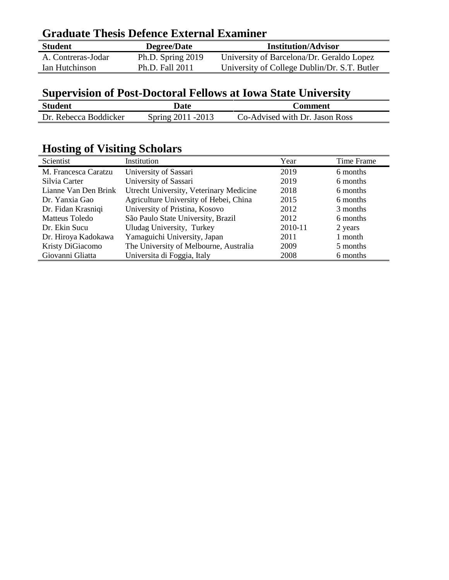# **Graduate Thesis Defence External Examiner**

| <b>Student</b>     | <b>Degree/Date</b> | <b>Institution/Advisor</b>                   |
|--------------------|--------------------|----------------------------------------------|
| A. Contreras-Jodar | Ph.D. Spring 2019  | University of Barcelona/Dr. Geraldo Lopez    |
| Ian Hutchinson     | Ph.D. Fall 2011    | University of College Dublin/Dr. S.T. Butler |

| <b>Student</b>        | Date               | Comment                        |
|-----------------------|--------------------|--------------------------------|
| Dr. Rebecca Boddicker | Spring 2011 - 2013 | Co-Advised with Dr. Jason Ross |

# **Hosting of Visiting Scholars**

| Scientist             | Institution                             | Year    | Time Frame |
|-----------------------|-----------------------------------------|---------|------------|
| M. Francesca Caratzu  | University of Sassari                   | 2019    | 6 months   |
| Silvia Carter         | University of Sassari                   | 2019    | 6 months   |
| Lianne Van Den Brink  | Utrecht University, Veterinary Medicine | 2018    | 6 months   |
| Dr. Yanxia Gao        | Agriculture University of Hebei, China  | 2015    | 6 months   |
| Dr. Fidan Krasniqi    | University of Pristina, Kosovo          | 2012    | 3 months   |
| <b>Matteus Toledo</b> | São Paulo State University, Brazil      | 2012    | 6 months   |
| Dr. Ekin Sucu         | Uludag University, Turkey               | 2010-11 | 2 years    |
| Dr. Hiroya Kadokawa   | Yamaguichi University, Japan            | 2011    | 1 month    |
| Kristy DiGiacomo      | The University of Melbourne, Australia  | 2009    | 5 months   |
| Giovanni Gliatta      | Universita di Foggia, Italy             | 2008    | 6 months   |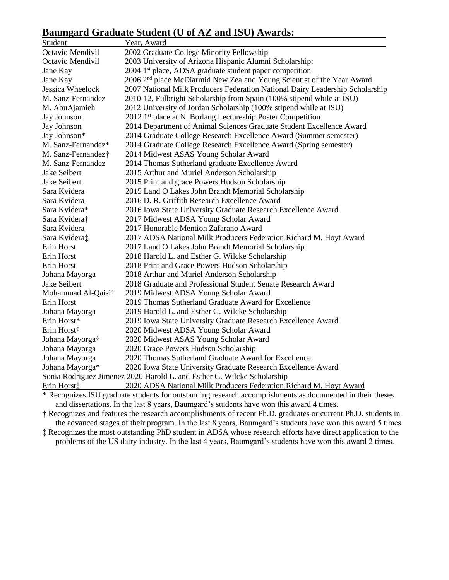## **Baumgard Graduate Student (U of AZ and ISU) Awards:**

| Student                                                                 | Year, Award                                                                        |  |
|-------------------------------------------------------------------------|------------------------------------------------------------------------------------|--|
| Octavio Mendivil                                                        | 2002 Graduate College Minority Fellowship                                          |  |
| Octavio Mendivil                                                        | 2003 University of Arizona Hispanic Alumni Scholarship:                            |  |
| Jane Kay                                                                | 2004 1 <sup>st</sup> place, ADSA graduate student paper competition                |  |
| Jane Kay                                                                | 2006 2 <sup>nd</sup> place McDiarmid New Zealand Young Scientist of the Year Award |  |
| Jessica Wheelock                                                        | 2007 National Milk Producers Federation National Dairy Leadership Scholarship      |  |
| M. Sanz-Fernandez                                                       | 2010-12, Fulbright Scholarship from Spain (100% stipend while at ISU)              |  |
| M. AbuAjamieh                                                           | 2012 University of Jordan Scholarship (100% stipend while at ISU)                  |  |
| Jay Johnson                                                             | 2012 1 <sup>st</sup> place at N. Borlaug Lectureship Poster Competition            |  |
| Jay Johnson                                                             | 2014 Department of Animal Sciences Graduate Student Excellence Award               |  |
| Jay Johnson*                                                            | 2014 Graduate College Research Excellence Award (Summer semester)                  |  |
| M. Sanz-Fernandez*                                                      | 2014 Graduate College Research Excellence Award (Spring semester)                  |  |
| M. Sanz-Fernandez†                                                      | 2014 Midwest ASAS Young Scholar Award                                              |  |
| M. Sanz-Fernandez                                                       | 2014 Thomas Sutherland graduate Excellence Award                                   |  |
| Jake Seibert                                                            | 2015 Arthur and Muriel Anderson Scholarship                                        |  |
| Jake Seibert                                                            | 2015 Print and grace Powers Hudson Scholarship                                     |  |
| Sara Kvidera                                                            | 2015 Land O Lakes John Brandt Memorial Scholarship                                 |  |
| Sara Kvidera                                                            | 2016 D. R. Griffith Research Excellence Award                                      |  |
| Sara Kvidera*                                                           | 2016 Iowa State University Graduate Research Excellence Award                      |  |
| Sara Kvidera†                                                           | 2017 Midwest ADSA Young Scholar Award                                              |  |
| Sara Kvidera                                                            | 2017 Honorable Mention Zafarano Award                                              |  |
| Sara Kvidera‡                                                           | 2017 ADSA National Milk Producers Federation Richard M. Hoyt Award                 |  |
| Erin Horst                                                              | 2017 Land O Lakes John Brandt Memorial Scholarship                                 |  |
| Erin Horst                                                              | 2018 Harold L. and Esther G. Wilcke Scholarship                                    |  |
| Erin Horst                                                              | 2018 Print and Grace Powers Hudson Scholarship                                     |  |
| Johana Mayorga                                                          | 2018 Arthur and Muriel Anderson Scholarship                                        |  |
| Jake Seibert                                                            | 2018 Graduate and Professional Student Senate Research Award                       |  |
| Mohammad Al-Qaisi†                                                      | 2019 Midwest ADSA Young Scholar Award                                              |  |
| Erin Horst                                                              | 2019 Thomas Sutherland Graduate Award for Excellence                               |  |
| Johana Mayorga                                                          | 2019 Harold L. and Esther G. Wilcke Scholarship                                    |  |
| Erin Horst*                                                             | 2019 Iowa State University Graduate Research Excellence Award                      |  |
| Erin Horst†                                                             | 2020 Midwest ADSA Young Scholar Award                                              |  |
| Johana Mayorga†                                                         | 2020 Midwest ASAS Young Scholar Award                                              |  |
| Johana Mayorga                                                          | 2020 Grace Powers Hudson Scholarship                                               |  |
| Johana Mayorga                                                          | 2020 Thomas Sutherland Graduate Award for Excellence                               |  |
| Johana Mayorga*                                                         | 2020 Iowa State University Graduate Research Excellence Award                      |  |
| Sonia Rodriguez Jimenez 2020 Harold L. and Esther G. Wilcke Scholarship |                                                                                    |  |
| Erin Horst‡                                                             | 2020 ADSA National Milk Producers Federation Richard M. Hoyt Award                 |  |

\* Recognizes ISU graduate students for outstanding research accomplishments as documented in their theses and dissertations. In the last 8 years, Baumgard's students have won this award 4 times.

† Recognizes and features the research accomplishments of recent Ph.D. graduates or current Ph.D. students in the advanced stages of their program. In the last 8 years, Baumgard's students have won this award 5 times

‡ Recognizes the most outstanding PhD student in ADSA whose research efforts have direct application to the problems of the US dairy industry. In the last 4 years, Baumgard's students have won this award 2 times.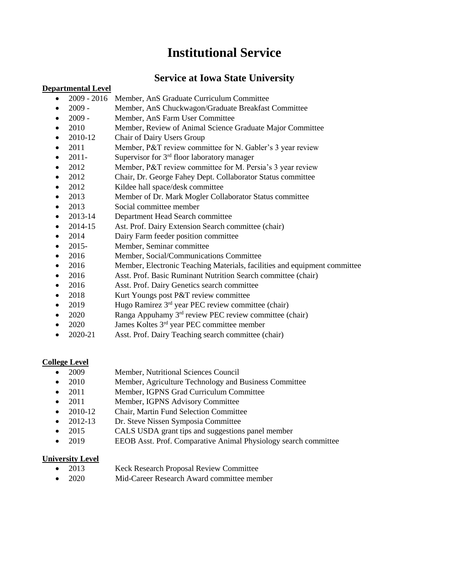# **Institutional Service**

## **Service at Iowa State University**

### **Departmental Level**

- 2009 2016 Member, AnS Graduate Curriculum Committee
- 2009 Member, AnS Chuckwagon/Graduate Breakfast Committee
- 2009 Member, AnS Farm User Committee
- 2010 Member, Review of Animal Science Graduate Major Committee
- 2010-12 Chair of Dairy Users Group
- 2011 Member, P&T review committee for N. Gabler's 3 year review
- 2011- Supervisor for  $3<sup>rd</sup>$  floor laboratory manager
- 2012 Member, P&T review committee for M. Persia's 3 year review
- 2012 Chair, Dr. George Fahey Dept. Collaborator Status committee
- 2012 Kildee hall space/desk committee
- 2013 Member of Dr. Mark Mogler Collaborator Status committee
- 2013 Social committee member
- 2013-14 Department Head Search committee
- 2014-15 Ast. Prof. Dairy Extension Search committee (chair)
- 2014 Dairy Farm feeder position committee
- 2015- Member, Seminar committee
- 2016 Member, Social/Communications Committee
- 2016 Member, Electronic Teaching Materials, facilities and equipment committee
- 2016 Asst. Prof. Basic Ruminant Nutrition Search committee (chair)
- 2016 Asst. Prof. Dairy Genetics search committee
- 2018 Kurt Youngs post P&T review committee
- 2019 Hugo Ramirez  $3<sup>rd</sup>$  year PEC review committee (chair)
- 2020 Ranga Appuhamy  $3<sup>rd</sup>$  review PEC review committee (chair)
- 2020 James Koltes 3<sup>rd</sup> year PEC committee member
- 2020-21 Asst. Prof. Dairy Teaching search committee (chair)

#### **College Level**

- 2009 Member, Nutritional Sciences Council
- 2010 Member, Agriculture Technology and Business Committee
- 2011 Member, IGPNS Grad Curriculum Committee
- 2011 Member, IGPNS Advisory Committee
- 2010-12 Chair, Martin Fund Selection Committee
- 2012-13 Dr. Steve Nissen Symposia Committee
- 2015 CALS USDA grant tips and suggestions panel member
- 2019 **EEOB** Asst. Prof. Comparative Animal Physiology search committee

### **University Level**

- 2013 Keck Research Proposal Review Committee
- 2020 Mid-Career Research Award committee member